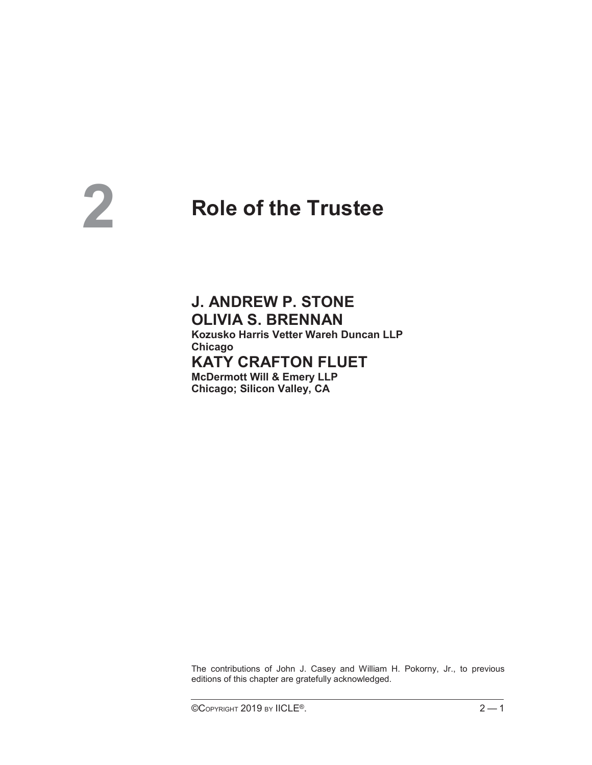# **2**

# **Role of the Trustee**

### **J. ANDREW P. STONE OLIVIA S. BRENNAN**

 **Kozusko Harris Vetter Wareh Duncan LLP Chicago** 

## **KATY CRAFTON FLUET**

 **McDermott Will & Emery LLP Chicago; Silicon Valley, CA** 

The contributions of John J. Casey and William H. Pokorny, Jr., to previous editions of this chapter are gratefully acknowledged.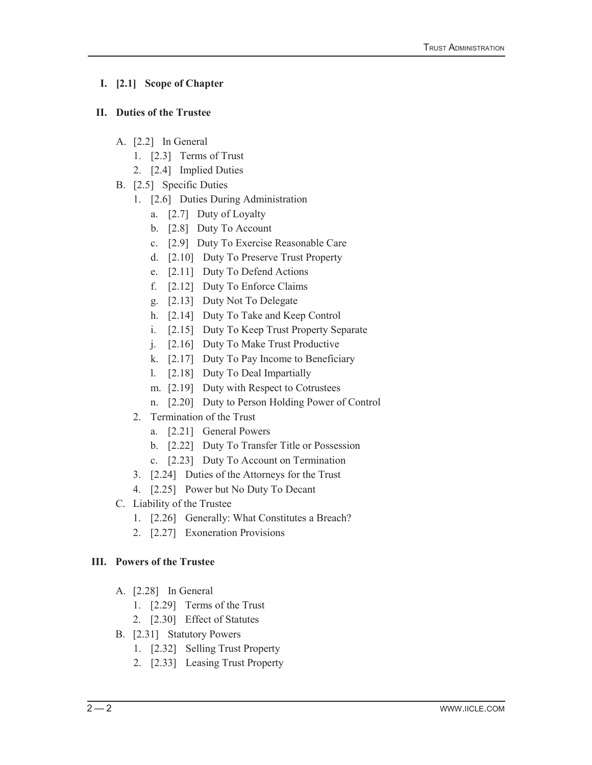#### **I. [2.1] Scope of Chapter**

#### **II. Duties of the Trustee**

- A. [2.2] In General
	- 1. [2.3] Terms of Trust
	- 2. [2.4] Implied Duties
- B. [2.5] Specific Duties
	- 1. [2.6] Duties During Administration
		- a. [2.7] Duty of Loyalty
		- b. [2.8] Duty To Account
		- c. [2.9] Duty To Exercise Reasonable Care
		- d. [2.10] Duty To Preserve Trust Property
		- e. [2.11] Duty To Defend Actions
		- f. [2.12] Duty To Enforce Claims
		- g. [2.13] Duty Not To Delegate
		- h. [2.14] Duty To Take and Keep Control
		- i. [2.15] Duty To Keep Trust Property Separate
		- j. [2.16] Duty To Make Trust Productive
		- k. [2.17] Duty To Pay Income to Beneficiary
		- l. [2.18] Duty To Deal Impartially
		- m. [2.19] Duty with Respect to Cotrustees
		- n. [2.20] Duty to Person Holding Power of Control
	- 2. Termination of the Trust
		- a. [2.21] General Powers
		- b. [2.22] Duty To Transfer Title or Possession
		- c. [2.23] Duty To Account on Termination
	- 3. [2.24] Duties of the Attorneys for the Trust
	- 4. [2.25] Power but No Duty To Decant
- C. Liability of the Trustee
	- 1. [2.26] Generally: What Constitutes a Breach?
	- 2. [2.27] Exoneration Provisions

#### **III. Powers of the Trustee**

- A. [2.28] In General
	- 1. [2.29] Terms of the Trust
	- 2. [2.30] Effect of Statutes
- B. [2.31] Statutory Powers
	- 1. [2.32] Selling Trust Property
	- 2. [2.33] Leasing Trust Property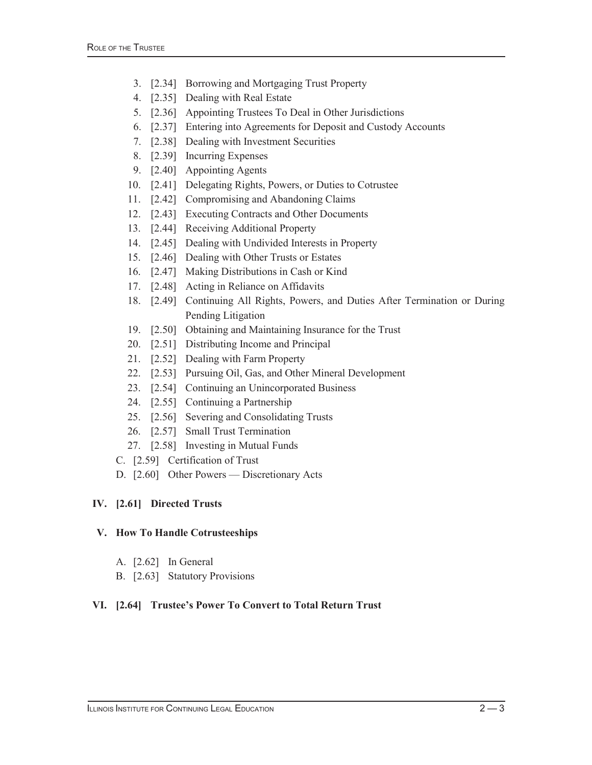- 3. [2.34] Borrowing and Mortgaging Trust Property
- 4. [2.35] Dealing with Real Estate
- 5. [2.36] Appointing Trustees To Deal in Other Jurisdictions
- 6. [2.37] Entering into Agreements for Deposit and Custody Accounts
- 7. [2.38] Dealing with Investment Securities
- 8. [2.39] Incurring Expenses
- 9. [2.40] Appointing Agents
- 10. [2.41] Delegating Rights, Powers, or Duties to Cotrustee
- 11. [2.42] Compromising and Abandoning Claims
- 12. [2.43] Executing Contracts and Other Documents
- 13. [2.44] Receiving Additional Property
- 14. [2.45] Dealing with Undivided Interests in Property
- 15. [2.46] Dealing with Other Trusts or Estates
- 16. [2.47] Making Distributions in Cash or Kind
- 17. [2.48] Acting in Reliance on Affidavits
- 18. [2.49] Continuing All Rights, Powers, and Duties After Termination or During Pending Litigation
- 19. [2.50] Obtaining and Maintaining Insurance for the Trust
- 20. [2.51] Distributing Income and Principal
- 21. [2.52] Dealing with Farm Property
- 22. [2.53] Pursuing Oil, Gas, and Other Mineral Development
- 23. [2.54] Continuing an Unincorporated Business
- 24. [2.55] Continuing a Partnership
- 25. [2.56] Severing and Consolidating Trusts
- 26. [2.57] Small Trust Termination
- 27. [2.58] Investing in Mutual Funds
- C. [2.59] Certification of Trust
- D. [2.60] Other Powers Discretionary Acts

#### **IV. [2.61] Directed Trusts**

#### **V. How To Handle Cotrusteeships**

- A. [2.62] In General
- B. [2.63] Statutory Provisions

#### **VI. [2.64] Trustee's Power To Convert to Total Return Trust**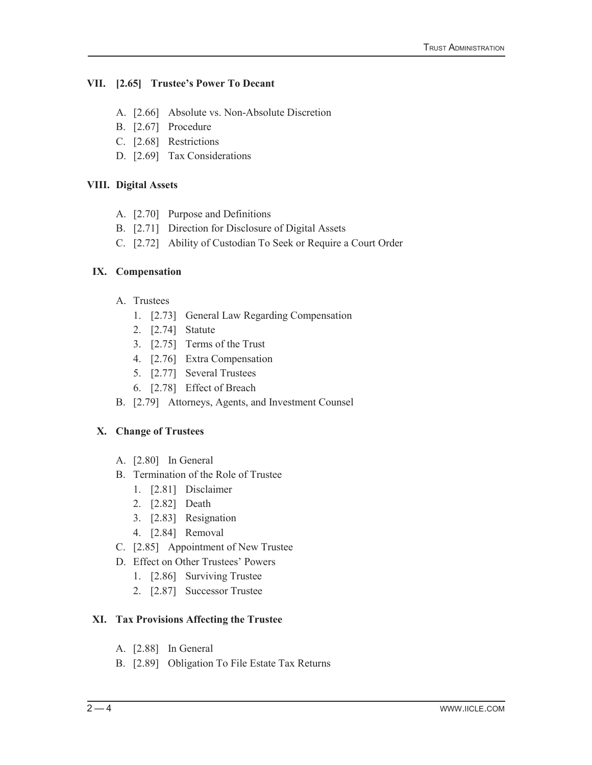#### **VII. [2.65] Trustee's Power To Decant**

- A. [2.66] Absolute vs. Non-Absolute Discretion
- B. [2.67] Procedure
- C. [2.68] Restrictions
- D. [2.69] Tax Considerations

#### **VIII. Digital Assets**

- A. [2.70] Purpose and Definitions
- B. [2.71] Direction for Disclosure of Digital Assets
- C. [2.72] Ability of Custodian To Seek or Require a Court Order

#### **IX. Compensation**

- A. Trustees
	- 1. [2.73] General Law Regarding Compensation
	- 2. [2.74] Statute
	- 3. [2.75] Terms of the Trust
	- 4. [2.76] Extra Compensation
	- 5. [2.77] Several Trustees
	- 6. [2.78] Effect of Breach
- B. [2.79] Attorneys, Agents, and Investment Counsel

#### **X. Change of Trustees**

- A. [2.80] In General
- B. Termination of the Role of Trustee
	- 1. [2.81] Disclaimer
	- 2. [2.82] Death
	- 3. [2.83] Resignation
	- 4. [2.84] Removal
- C. [2.85] Appointment of New Trustee
- D. Effect on Other Trustees' Powers
	- 1. [2.86] Surviving Trustee
	- 2. [2.87] Successor Trustee

#### **XI. Tax Provisions Affecting the Trustee**

- A. [2.88] In General
- B. [2.89] Obligation To File Estate Tax Returns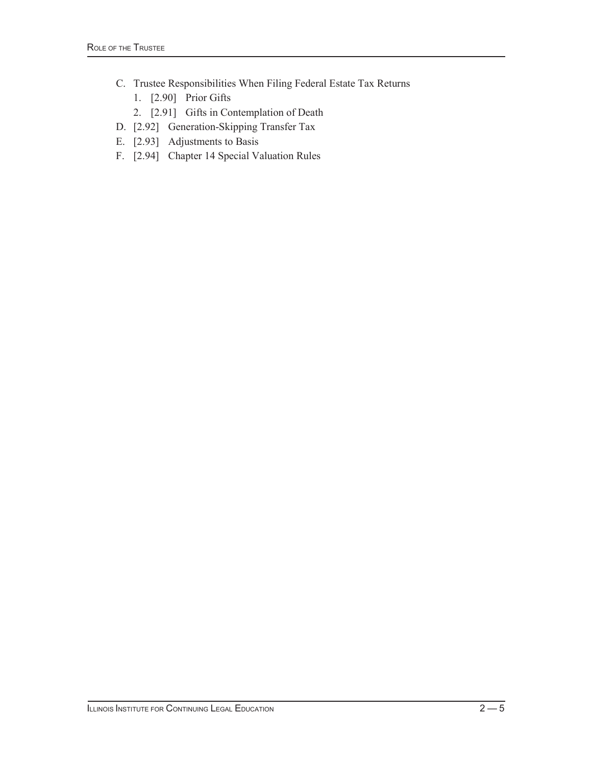- C. Trustee Responsibilities When Filing Federal Estate Tax Returns
	- 1. [2.90] Prior Gifts
	- 2. [2.91] Gifts in Contemplation of Death
- D. [2.92] Generation-Skipping Transfer Tax
- E. [2.93] Adjustments to Basis
- F. [2.94] Chapter 14 Special Valuation Rules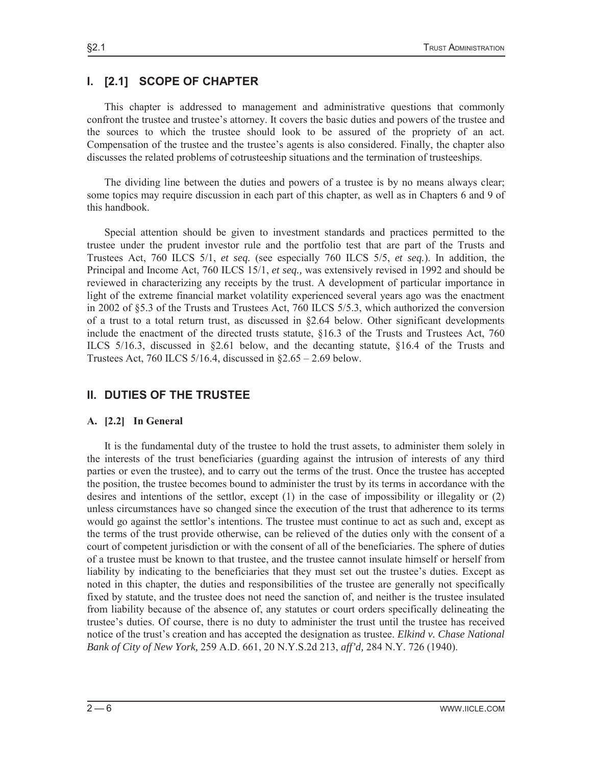#### **I. [2.1] SCOPE OF CHAPTER**

 This chapter is addressed to management and administrative questions that commonly confront the trustee and trustee's attorney. It covers the basic duties and powers of the trustee and the sources to which the trustee should look to be assured of the propriety of an act. Compensation of the trustee and the trustee's agents is also considered. Finally, the chapter also discusses the related problems of cotrusteeship situations and the termination of trusteeships.

 The dividing line between the duties and powers of a trustee is by no means always clear; some topics may require discussion in each part of this chapter, as well as in Chapters 6 and 9 of this handbook.

 Special attention should be given to investment standards and practices permitted to the trustee under the prudent investor rule and the portfolio test that are part of the Trusts and Trustees Act, 760 ILCS 5/1, *et seq.* (see especially 760 ILCS 5/5, *et seq.*). In addition, the Principal and Income Act, 760 ILCS 15/1, *et seq.,* was extensively revised in 1992 and should be reviewed in characterizing any receipts by the trust. A development of particular importance in light of the extreme financial market volatility experienced several years ago was the enactment in 2002 of §5.3 of the Trusts and Trustees Act, 760 ILCS 5/5.3, which authorized the conversion of a trust to a total return trust, as discussed in §2.64 below. Other significant developments include the enactment of the directed trusts statute, §16.3 of the Trusts and Trustees Act, 760 ILCS 5/16.3, discussed in §2.61 below, and the decanting statute, §16.4 of the Trusts and Trustees Act, 760 ILCS 5/16.4, discussed in  $\S2.65 - 2.69$  below.

#### **II. DUTIES OF THE TRUSTEE**

#### **A. [2.2] In General**

 It is the fundamental duty of the trustee to hold the trust assets, to administer them solely in the interests of the trust beneficiaries (guarding against the intrusion of interests of any third parties or even the trustee), and to carry out the terms of the trust. Once the trustee has accepted the position, the trustee becomes bound to administer the trust by its terms in accordance with the desires and intentions of the settlor, except  $(1)$  in the case of impossibility or illegality or  $(2)$ unless circumstances have so changed since the execution of the trust that adherence to its terms would go against the settlor's intentions. The trustee must continue to act as such and, except as the terms of the trust provide otherwise, can be relieved of the duties only with the consent of a court of competent jurisdiction or with the consent of all of the beneficiaries. The sphere of duties of a trustee must be known to that trustee, and the trustee cannot insulate himself or herself from liability by indicating to the beneficiaries that they must set out the trustee's duties. Except as noted in this chapter, the duties and responsibilities of the trustee are generally not specifically fixed by statute, and the trustee does not need the sanction of, and neither is the trustee insulated from liability because of the absence of, any statutes or court orders specifically delineating the trustee's duties. Of course, there is no duty to administer the trust until the trustee has received notice of the trust's creation and has accepted the designation as trustee. *Elkind v. Chase National Bank of City of New York,* 259 A.D. 661, 20 N.Y.S.2d 213, *aff'd,* 284 N.Y. 726 (1940).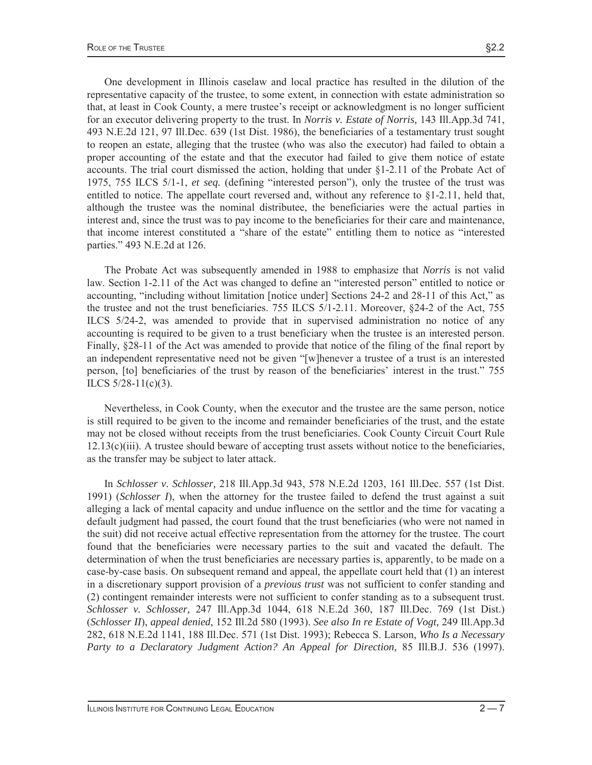One development in Illinois caselaw and local practice has resulted in the dilution of the representative capacity of the trustee, to some extent, in connection with estate administration so that, at least in Cook County, a mere trustee's receipt or acknowledgment is no longer sufficient for an executor delivering property to the trust. In *Norris v. Estate of Norris,* 143 Ill.App.3d 741, 493 N.E.2d 121, 97 Ill.Dec. 639 (1st Dist. 1986), the beneficiaries of a testamentary trust sought to reopen an estate, alleging that the trustee (who was also the executor) had failed to obtain a proper accounting of the estate and that the executor had failed to give them notice of estate accounts. The trial court dismissed the action, holding that under §1-2.11 of the Probate Act of 1975, 755 ILCS 5/1-1, *et seq.* (defining "interested person"), only the trustee of the trust was entitled to notice. The appellate court reversed and, without any reference to  $\S1-2.11$ , held that, although the trustee was the nominal distributee, the beneficiaries were the actual parties in interest and, since the trust was to pay income to the beneficiaries for their care and maintenance, that income interest constituted a "share of the estate" entitling them to notice as "interested parties." 493 N.E.2d at 126.

 The Probate Act was subsequently amended in 1988 to emphasize that *Norris* is not valid law. Section 1-2.11 of the Act was changed to define an "interested person" entitled to notice or accounting, "including without limitation [notice under] Sections 24-2 and 28-11 of this Act," as the trustee and not the trust beneficiaries. 755 ILCS 5/1-2.11. Moreover, §24-2 of the Act, 755 ILCS 5/24-2, was amended to provide that in supervised administration no notice of any accounting is required to be given to a trust beneficiary when the trustee is an interested person. Finally, §28-11 of the Act was amended to provide that notice of the filing of the final report by an independent representative need not be given "[w]henever a trustee of a trust is an interested person, [to] beneficiaries of the trust by reason of the beneficiaries' interest in the trust." 755 ILCS  $5/28-11(c)(3)$ .

 Nevertheless, in Cook County, when the executor and the trustee are the same person, notice is still required to be given to the income and remainder beneficiaries of the trust, and the estate may not be closed without receipts from the trust beneficiaries. Cook County Circuit Court Rule 12.13(c)(iii). A trustee should beware of accepting trust assets without notice to the beneficiaries, as the transfer may be subject to later attack.

 In *Schlosser v. Schlosser,* 218 Ill.App.3d 943, 578 N.E.2d 1203, 161 Ill.Dec. 557 (1st Dist. 1991) (*Schlosser I*), when the attorney for the trustee failed to defend the trust against a suit alleging a lack of mental capacity and undue influence on the settlor and the time for vacating a default judgment had passed, the court found that the trust beneficiaries (who were not named in the suit) did not receive actual effective representation from the attorney for the trustee. The court found that the beneficiaries were necessary parties to the suit and vacated the default. The determination of when the trust beneficiaries are necessary parties is, apparently, to be made on a case-by-case basis. On subsequent remand and appeal, the appellate court held that (1) an interest in a discretionary support provision of a *previous trust* was not sufficient to confer standing and (2) contingent remainder interests were not sufficient to confer standing as to a subsequent trust. *Schlosser v. Schlosser,* 247 Ill.App.3d 1044, 618 N.E.2d 360, 187 Ill.Dec. 769 (1st Dist.) (*Schlosser II*), *appeal denied,* 152 Ill.2d 580 (1993). *See also In re Estate of Vogt,* 249 Ill.App.3d 282, 618 N.E.2d 1141, 188 Ill.Dec. 571 (1st Dist. 1993); Rebecca S. Larson, *Who Is a Necessary Party to a Declaratory Judgment Action? An Appeal for Direction,* 85 Ill.B.J. 536 (1997).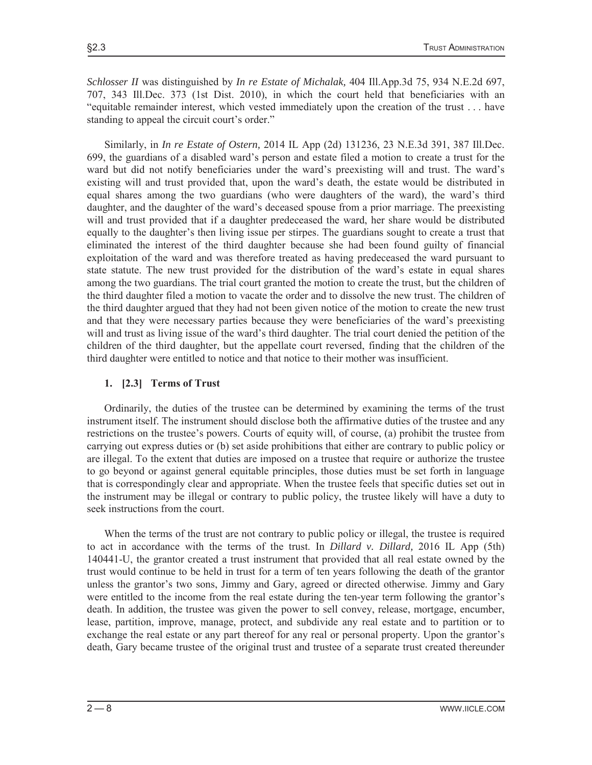*Schlosser II* was distinguished by *In re Estate of Michalak,* 404 Ill.App.3d 75, 934 N.E.2d 697, 707, 343 Ill.Dec. 373 (1st Dist. 2010), in which the court held that beneficiaries with an "equitable remainder interest, which vested immediately upon the creation of the trust . . . have standing to appeal the circuit court's order."

 Similarly, in *In re Estate of Ostern,* 2014 IL App (2d) 131236, 23 N.E.3d 391, 387 Ill.Dec. 699, the guardians of a disabled ward's person and estate filed a motion to create a trust for the ward but did not notify beneficiaries under the ward's preexisting will and trust. The ward's existing will and trust provided that, upon the ward's death, the estate would be distributed in equal shares among the two guardians (who were daughters of the ward), the ward's third daughter, and the daughter of the ward's deceased spouse from a prior marriage. The preexisting will and trust provided that if a daughter predeceased the ward, her share would be distributed equally to the daughter's then living issue per stirpes. The guardians sought to create a trust that eliminated the interest of the third daughter because she had been found guilty of financial exploitation of the ward and was therefore treated as having predeceased the ward pursuant to state statute. The new trust provided for the distribution of the ward's estate in equal shares among the two guardians. The trial court granted the motion to create the trust, but the children of the third daughter filed a motion to vacate the order and to dissolve the new trust. The children of the third daughter argued that they had not been given notice of the motion to create the new trust and that they were necessary parties because they were beneficiaries of the ward's preexisting will and trust as living issue of the ward's third daughter. The trial court denied the petition of the children of the third daughter, but the appellate court reversed, finding that the children of the third daughter were entitled to notice and that notice to their mother was insufficient.

#### **1. [2.3] Terms of Trust**

 Ordinarily, the duties of the trustee can be determined by examining the terms of the trust instrument itself. The instrument should disclose both the affirmative duties of the trustee and any restrictions on the trustee's powers. Courts of equity will, of course, (a) prohibit the trustee from carrying out express duties or (b) set aside prohibitions that either are contrary to public policy or are illegal. To the extent that duties are imposed on a trustee that require or authorize the trustee to go beyond or against general equitable principles, those duties must be set forth in language that is correspondingly clear and appropriate. When the trustee feels that specific duties set out in the instrument may be illegal or contrary to public policy, the trustee likely will have a duty to seek instructions from the court.

 When the terms of the trust are not contrary to public policy or illegal, the trustee is required to act in accordance with the terms of the trust. In *Dillard v. Dillard,* 2016 IL App (5th) 140441-U, the grantor created a trust instrument that provided that all real estate owned by the trust would continue to be held in trust for a term of ten years following the death of the grantor unless the grantor's two sons, Jimmy and Gary, agreed or directed otherwise. Jimmy and Gary were entitled to the income from the real estate during the ten-year term following the grantor's death. In addition, the trustee was given the power to sell convey, release, mortgage, encumber, lease, partition, improve, manage, protect, and subdivide any real estate and to partition or to exchange the real estate or any part thereof for any real or personal property. Upon the grantor's death, Gary became trustee of the original trust and trustee of a separate trust created thereunder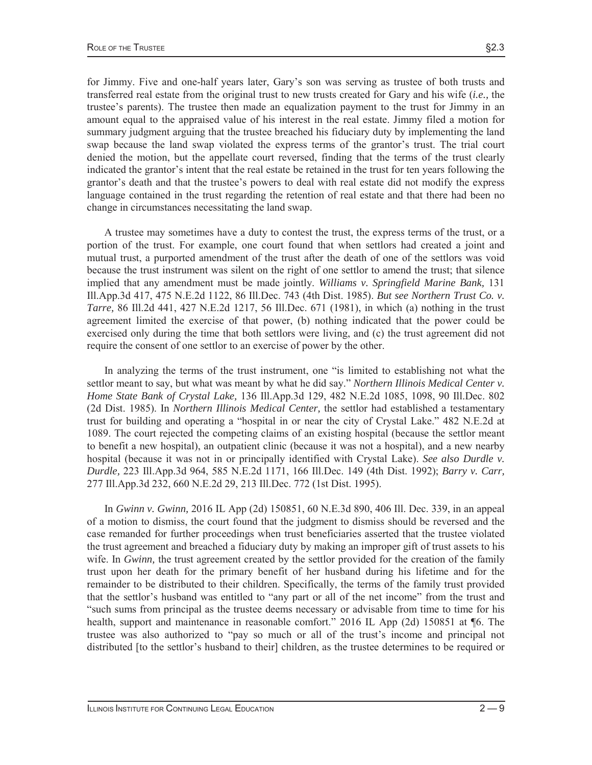for Jimmy. Five and one-half years later, Gary's son was serving as trustee of both trusts and transferred real estate from the original trust to new trusts created for Gary and his wife (*i.e.,* the trustee's parents). The trustee then made an equalization payment to the trust for Jimmy in an amount equal to the appraised value of his interest in the real estate. Jimmy filed a motion for summary judgment arguing that the trustee breached his fiduciary duty by implementing the land swap because the land swap violated the express terms of the grantor's trust. The trial court denied the motion, but the appellate court reversed, finding that the terms of the trust clearly indicated the grantor's intent that the real estate be retained in the trust for ten years following the grantor's death and that the trustee's powers to deal with real estate did not modify the express language contained in the trust regarding the retention of real estate and that there had been no change in circumstances necessitating the land swap.

 A trustee may sometimes have a duty to contest the trust, the express terms of the trust, or a portion of the trust. For example, one court found that when settlors had created a joint and mutual trust, a purported amendment of the trust after the death of one of the settlors was void because the trust instrument was silent on the right of one settlor to amend the trust; that silence implied that any amendment must be made jointly. *Williams v. Springfield Marine Bank,* 131 Ill.App.3d 417, 475 N.E.2d 1122, 86 Ill.Dec. 743 (4th Dist. 1985). *But see Northern Trust Co. v. Tarre,* 86 Ill.2d 441, 427 N.E.2d 1217, 56 Ill.Dec. 671 (1981), in which (a) nothing in the trust agreement limited the exercise of that power, (b) nothing indicated that the power could be exercised only during the time that both settlors were living, and (c) the trust agreement did not require the consent of one settlor to an exercise of power by the other.

 In analyzing the terms of the trust instrument, one "is limited to establishing not what the settlor meant to say, but what was meant by what he did say." *Northern Illinois Medical Center v. Home State Bank of Crystal Lake,* 136 Ill.App.3d 129, 482 N.E.2d 1085, 1098, 90 Ill.Dec. 802 (2d Dist. 1985). In *Northern Illinois Medical Center,* the settlor had established a testamentary trust for building and operating a "hospital in or near the city of Crystal Lake." 482 N.E.2d at 1089. The court rejected the competing claims of an existing hospital (because the settlor meant to benefit a new hospital), an outpatient clinic (because it was not a hospital), and a new nearby hospital (because it was not in or principally identified with Crystal Lake). *See also Durdle v. Durdle,* 223 Ill.App.3d 964, 585 N.E.2d 1171, 166 Ill.Dec. 149 (4th Dist. 1992); *Barry v. Carr,*  277 Ill.App.3d 232, 660 N.E.2d 29, 213 Ill.Dec. 772 (1st Dist. 1995).

 In *Gwinn v. Gwinn,* 2016 IL App (2d) 150851, 60 N.E.3d 890, 406 Ill. Dec. 339, in an appeal of a motion to dismiss, the court found that the judgment to dismiss should be reversed and the case remanded for further proceedings when trust beneficiaries asserted that the trustee violated the trust agreement and breached a fiduciary duty by making an improper gift of trust assets to his wife. In *Gwinn,* the trust agreement created by the settlor provided for the creation of the family trust upon her death for the primary benefit of her husband during his lifetime and for the remainder to be distributed to their children. Specifically, the terms of the family trust provided that the settlor's husband was entitled to "any part or all of the net income" from the trust and "such sums from principal as the trustee deems necessary or advisable from time to time for his health, support and maintenance in reasonable comfort." 2016 IL App (2d) 150851 at ¶6. The trustee was also authorized to "pay so much or all of the trust's income and principal not distributed [to the settlor's husband to their] children, as the trustee determines to be required or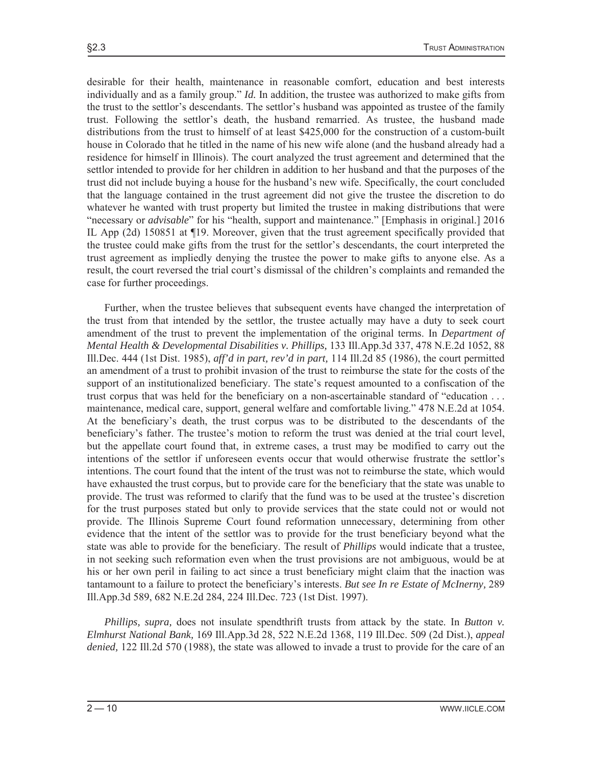desirable for their health, maintenance in reasonable comfort, education and best interests individually and as a family group." *Id.* In addition, the trustee was authorized to make gifts from the trust to the settlor's descendants. The settlor's husband was appointed as trustee of the family trust. Following the settlor's death, the husband remarried. As trustee, the husband made distributions from the trust to himself of at least \$425,000 for the construction of a custom-built house in Colorado that he titled in the name of his new wife alone (and the husband already had a residence for himself in Illinois). The court analyzed the trust agreement and determined that the

settlor intended to provide for her children in addition to her husband and that the purposes of the trust did not include buying a house for the husband's new wife. Specifically, the court concluded that the language contained in the trust agreement did not give the trustee the discretion to do whatever he wanted with trust property but limited the trustee in making distributions that were "necessary or *advisable*" for his "health, support and maintenance." [Emphasis in original.] 2016 IL App (2d) 150851 at ¶19. Moreover, given that the trust agreement specifically provided that the trustee could make gifts from the trust for the settlor's descendants, the court interpreted the trust agreement as impliedly denying the trustee the power to make gifts to anyone else. As a result, the court reversed the trial court's dismissal of the children's complaints and remanded the case for further proceedings.

 Further, when the trustee believes that subsequent events have changed the interpretation of the trust from that intended by the settlor, the trustee actually may have a duty to seek court amendment of the trust to prevent the implementation of the original terms. In *Department of Mental Health & Developmental Disabilities v. Phillips,* 133 Ill.App.3d 337, 478 N.E.2d 1052, 88 Ill.Dec. 444 (1st Dist. 1985), *aff'd in part, rev'd in part,* 114 Ill.2d 85 (1986), the court permitted an amendment of a trust to prohibit invasion of the trust to reimburse the state for the costs of the support of an institutionalized beneficiary. The state's request amounted to a confiscation of the trust corpus that was held for the beneficiary on a non-ascertainable standard of "education . . . maintenance, medical care, support, general welfare and comfortable living." 478 N.E.2d at 1054. At the beneficiary's death, the trust corpus was to be distributed to the descendants of the beneficiary's father. The trustee's motion to reform the trust was denied at the trial court level, but the appellate court found that, in extreme cases, a trust may be modified to carry out the intentions of the settlor if unforeseen events occur that would otherwise frustrate the settlor's intentions. The court found that the intent of the trust was not to reimburse the state, which would have exhausted the trust corpus, but to provide care for the beneficiary that the state was unable to provide. The trust was reformed to clarify that the fund was to be used at the trustee's discretion for the trust purposes stated but only to provide services that the state could not or would not provide. The Illinois Supreme Court found reformation unnecessary, determining from other evidence that the intent of the settlor was to provide for the trust beneficiary beyond what the state was able to provide for the beneficiary. The result of *Phillips* would indicate that a trustee, in not seeking such reformation even when the trust provisions are not ambiguous, would be at his or her own peril in failing to act since a trust beneficiary might claim that the inaction was tantamount to a failure to protect the beneficiary's interests. *But see In re Estate of McInerny,* 289 Ill.App.3d 589, 682 N.E.2d 284, 224 Ill.Dec. 723 (1st Dist. 1997).

*Phillips, supra,* does not insulate spendthrift trusts from attack by the state. In *Button v. Elmhurst National Bank,* 169 Ill.App.3d 28, 522 N.E.2d 1368, 119 Ill.Dec. 509 (2d Dist.), *appeal denied,* 122 Ill.2d 570 (1988), the state was allowed to invade a trust to provide for the care of an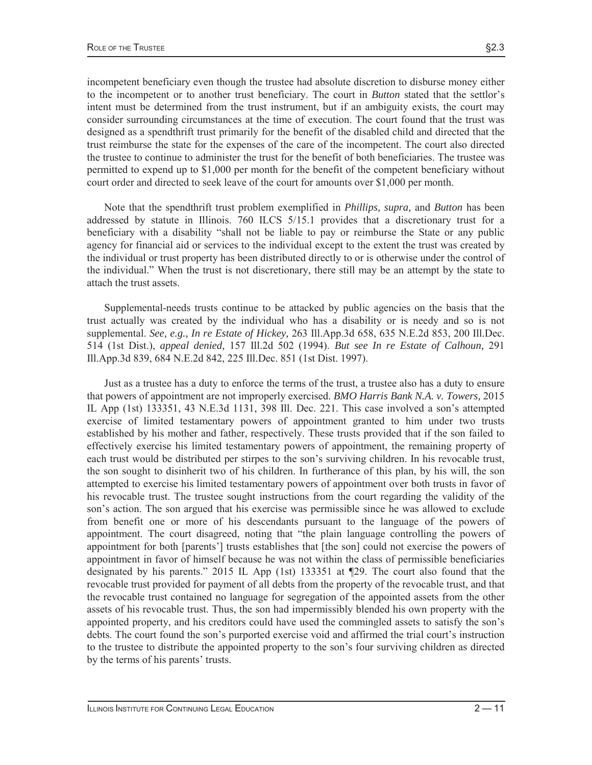incompetent beneficiary even though the trustee had absolute discretion to disburse money either to the incompetent or to another trust beneficiary. The court in *Button* stated that the settlor's intent must be determined from the trust instrument, but if an ambiguity exists, the court may consider surrounding circumstances at the time of execution. The court found that the trust was designed as a spendthrift trust primarily for the benefit of the disabled child and directed that the trust reimburse the state for the expenses of the care of the incompetent. The court also directed the trustee to continue to administer the trust for the benefit of both beneficiaries. The trustee was permitted to expend up to \$1,000 per month for the benefit of the competent beneficiary without court order and directed to seek leave of the court for amounts over \$1,000 per month.

 Note that the spendthrift trust problem exemplified in *Phillips, supra,* and *Button* has been addressed by statute in Illinois. 760 ILCS 5/15.1 provides that a discretionary trust for a beneficiary with a disability "shall not be liable to pay or reimburse the State or any public agency for financial aid or services to the individual except to the extent the trust was created by the individual or trust property has been distributed directly to or is otherwise under the control of the individual." When the trust is not discretionary, there still may be an attempt by the state to attach the trust assets.

 Supplemental-needs trusts continue to be attacked by public agencies on the basis that the trust actually was created by the individual who has a disability or is needy and so is not supplemental. *See, e.g., In re Estate of Hickey,* 263 Ill.App.3d 658, 635 N.E.2d 853, 200 Ill.Dec. 514 (1st Dist.), *appeal denied,* 157 Ill.2d 502 (1994). *But see In re Estate of Calhoun,* 291 Ill.App.3d 839, 684 N.E.2d 842, 225 Ill.Dec. 851 (1st Dist. 1997).

 Just as a trustee has a duty to enforce the terms of the trust, a trustee also has a duty to ensure that powers of appointment are not improperly exercised. *BMO Harris Bank N.A. v. Towers,* 2015 IL App (1st) 133351, 43 N.E.3d 1131, 398 Ill. Dec. 221. This case involved a son's attempted exercise of limited testamentary powers of appointment granted to him under two trusts established by his mother and father, respectively. These trusts provided that if the son failed to effectively exercise his limited testamentary powers of appointment, the remaining property of each trust would be distributed per stirpes to the son's surviving children. In his revocable trust, the son sought to disinherit two of his children. In furtherance of this plan, by his will, the son attempted to exercise his limited testamentary powers of appointment over both trusts in favor of his revocable trust. The trustee sought instructions from the court regarding the validity of the son's action. The son argued that his exercise was permissible since he was allowed to exclude from benefit one or more of his descendants pursuant to the language of the powers of appointment. The court disagreed, noting that "the plain language controlling the powers of appointment for both [parents'] trusts establishes that [the son] could not exercise the powers of appointment in favor of himself because he was not within the class of permissible beneficiaries designated by his parents." 2015 IL App (1st) 133351 at ¶29. The court also found that the revocable trust provided for payment of all debts from the property of the revocable trust, and that the revocable trust contained no language for segregation of the appointed assets from the other assets of his revocable trust. Thus, the son had impermissibly blended his own property with the appointed property, and his creditors could have used the commingled assets to satisfy the son's debts. The court found the son's purported exercise void and affirmed the trial court's instruction to the trustee to distribute the appointed property to the son's four surviving children as directed by the terms of his parents' trusts.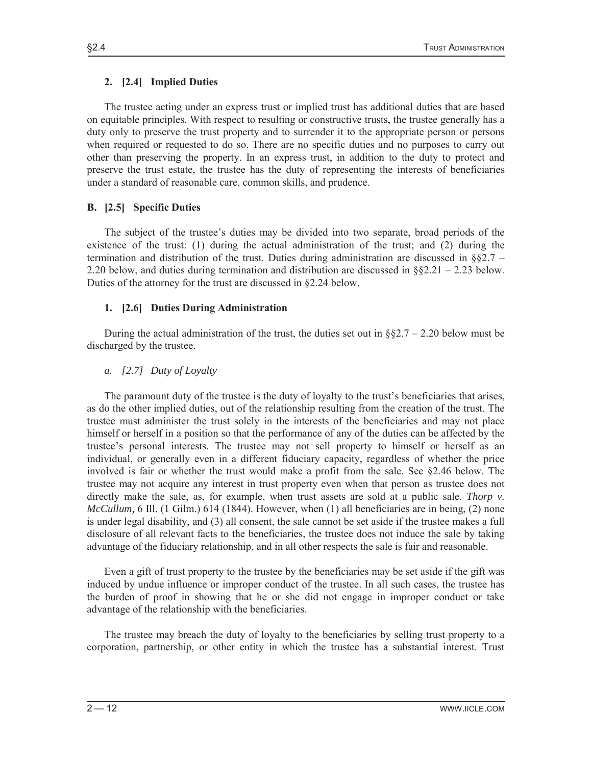#### **2. [2.4] Implied Duties**

 The trustee acting under an express trust or implied trust has additional duties that are based on equitable principles. With respect to resulting or constructive trusts, the trustee generally has a duty only to preserve the trust property and to surrender it to the appropriate person or persons when required or requested to do so. There are no specific duties and no purposes to carry out other than preserving the property. In an express trust, in addition to the duty to protect and preserve the trust estate, the trustee has the duty of representing the interests of beneficiaries under a standard of reasonable care, common skills, and prudence.

#### **B. [2.5] Specific Duties**

 The subject of the trustee's duties may be divided into two separate, broad periods of the existence of the trust: (1) during the actual administration of the trust; and (2) during the termination and distribution of the trust. Duties during administration are discussed in  $\S$ 2.7 – 2.20 below, and duties during termination and distribution are discussed in  $\S$ 2.21 – 2.23 below. Duties of the attorney for the trust are discussed in §2.24 below.

#### **1. [2.6] Duties During Administration**

During the actual administration of the trust, the duties set out in  $\S$ §2.7 – 2.20 below must be discharged by the trustee.

#### *a. [2.7] Duty of Loyalty*

 The paramount duty of the trustee is the duty of loyalty to the trust's beneficiaries that arises, as do the other implied duties, out of the relationship resulting from the creation of the trust. The trustee must administer the trust solely in the interests of the beneficiaries and may not place himself or herself in a position so that the performance of any of the duties can be affected by the trustee's personal interests. The trustee may not sell property to himself or herself as an individual, or generally even in a different fiduciary capacity, regardless of whether the price involved is fair or whether the trust would make a profit from the sale. See §2.46 below. The trustee may not acquire any interest in trust property even when that person as trustee does not directly make the sale, as, for example, when trust assets are sold at a public sale. *Thorp v. McCullum,* 6 Ill. (1 Gilm.) 614 (1844). However, when (1) all beneficiaries are in being, (2) none is under legal disability, and (3) all consent, the sale cannot be set aside if the trustee makes a full disclosure of all relevant facts to the beneficiaries, the trustee does not induce the sale by taking advantage of the fiduciary relationship, and in all other respects the sale is fair and reasonable.

 Even a gift of trust property to the trustee by the beneficiaries may be set aside if the gift was induced by undue influence or improper conduct of the trustee. In all such cases, the trustee has the burden of proof in showing that he or she did not engage in improper conduct or take advantage of the relationship with the beneficiaries.

 The trustee may breach the duty of loyalty to the beneficiaries by selling trust property to a corporation, partnership, or other entity in which the trustee has a substantial interest. Trust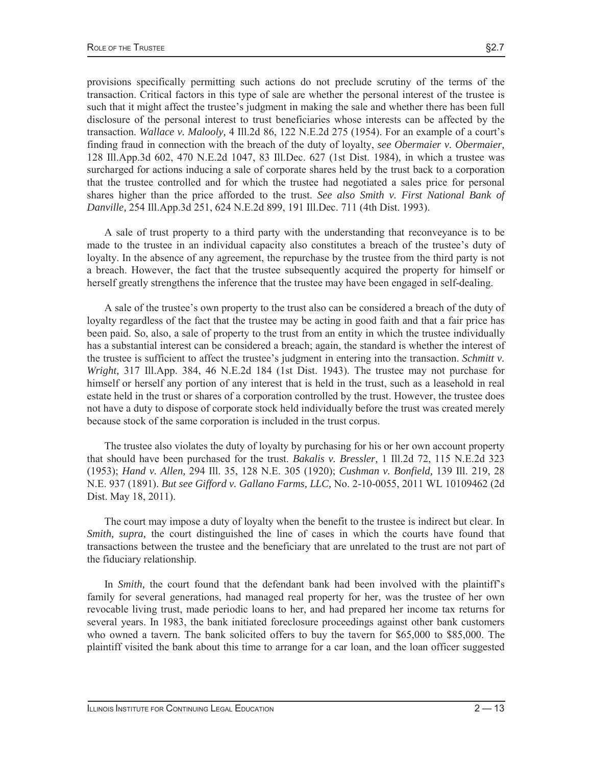provisions specifically permitting such actions do not preclude scrutiny of the terms of the transaction. Critical factors in this type of sale are whether the personal interest of the trustee is such that it might affect the trustee's judgment in making the sale and whether there has been full disclosure of the personal interest to trust beneficiaries whose interests can be affected by the transaction. *Wallace v. Malooly,* 4 Ill.2d 86, 122 N.E.2d 275 (1954). For an example of a court's finding fraud in connection with the breach of the duty of loyalty, *see Obermaier v. Obermaier,*  128 Ill.App.3d 602, 470 N.E.2d 1047, 83 Ill.Dec. 627 (1st Dist. 1984), in which a trustee was surcharged for actions inducing a sale of corporate shares held by the trust back to a corporation that the trustee controlled and for which the trustee had negotiated a sales price for personal shares higher than the price afforded to the trust. *See also Smith v. First National Bank of Danville,* 254 Ill.App.3d 251, 624 N.E.2d 899, 191 Ill.Dec. 711 (4th Dist. 1993).

 A sale of trust property to a third party with the understanding that reconveyance is to be made to the trustee in an individual capacity also constitutes a breach of the trustee's duty of loyalty. In the absence of any agreement, the repurchase by the trustee from the third party is not a breach. However, the fact that the trustee subsequently acquired the property for himself or herself greatly strengthens the inference that the trustee may have been engaged in self-dealing.

 A sale of the trustee's own property to the trust also can be considered a breach of the duty of loyalty regardless of the fact that the trustee may be acting in good faith and that a fair price has been paid. So, also, a sale of property to the trust from an entity in which the trustee individually has a substantial interest can be considered a breach; again, the standard is whether the interest of the trustee is sufficient to affect the trustee's judgment in entering into the transaction. *Schmitt v. Wright,* 317 Ill.App. 384, 46 N.E.2d 184 (1st Dist. 1943). The trustee may not purchase for himself or herself any portion of any interest that is held in the trust, such as a leasehold in real estate held in the trust or shares of a corporation controlled by the trust. However, the trustee does not have a duty to dispose of corporate stock held individually before the trust was created merely because stock of the same corporation is included in the trust corpus.

 The trustee also violates the duty of loyalty by purchasing for his or her own account property that should have been purchased for the trust. *Bakalis v. Bressler,* 1 Ill.2d 72, 115 N.E.2d 323 (1953); *Hand v. Allen,* 294 Ill. 35, 128 N.E. 305 (1920); *Cushman v. Bonfield,* 139 Ill. 219, 28 N.E. 937 (1891). *But see Gifford v. Gallano Farms, LLC,* No. 2-10-0055, 2011 WL 10109462 (2d Dist. May 18, 2011).

 The court may impose a duty of loyalty when the benefit to the trustee is indirect but clear. In *Smith, supra,* the court distinguished the line of cases in which the courts have found that transactions between the trustee and the beneficiary that are unrelated to the trust are not part of the fiduciary relationship.

 In *Smith,* the court found that the defendant bank had been involved with the plaintiff's family for several generations, had managed real property for her, was the trustee of her own revocable living trust, made periodic loans to her, and had prepared her income tax returns for several years. In 1983, the bank initiated foreclosure proceedings against other bank customers who owned a tavern. The bank solicited offers to buy the tavern for \$65,000 to \$85,000. The plaintiff visited the bank about this time to arrange for a car loan, and the loan officer suggested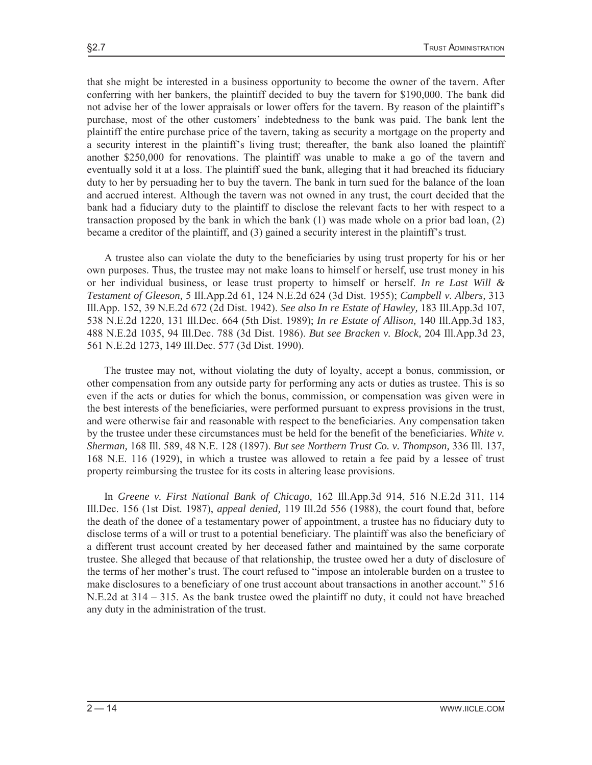that she might be interested in a business opportunity to become the owner of the tavern. After conferring with her bankers, the plaintiff decided to buy the tavern for \$190,000. The bank did not advise her of the lower appraisals or lower offers for the tavern. By reason of the plaintiff's purchase, most of the other customers' indebtedness to the bank was paid. The bank lent the plaintiff the entire purchase price of the tavern, taking as security a mortgage on the property and a security interest in the plaintiff's living trust; thereafter, the bank also loaned the plaintiff another \$250,000 for renovations. The plaintiff was unable to make a go of the tavern and eventually sold it at a loss. The plaintiff sued the bank, alleging that it had breached its fiduciary duty to her by persuading her to buy the tavern. The bank in turn sued for the balance of the loan and accrued interest. Although the tavern was not owned in any trust, the court decided that the bank had a fiduciary duty to the plaintiff to disclose the relevant facts to her with respect to a transaction proposed by the bank in which the bank  $(1)$  was made whole on a prior bad loan,  $(2)$ became a creditor of the plaintiff, and (3) gained a security interest in the plaintiff's trust.

 A trustee also can violate the duty to the beneficiaries by using trust property for his or her own purposes. Thus, the trustee may not make loans to himself or herself, use trust money in his or her individual business, or lease trust property to himself or herself. *In re Last Will & Testament of Gleeson,* 5 Ill.App.2d 61, 124 N.E.2d 624 (3d Dist. 1955); *Campbell v. Albers,* 313 Ill.App. 152, 39 N.E.2d 672 (2d Dist. 1942). *See also In re Estate of Hawley,* 183 Ill.App.3d 107, 538 N.E.2d 1220, 131 Ill.Dec. 664 (5th Dist. 1989); *In re Estate of Allison,* 140 Ill.App.3d 183, 488 N.E.2d 1035, 94 Ill.Dec. 788 (3d Dist. 1986). *But see Bracken v. Block,* 204 Ill.App.3d 23, 561 N.E.2d 1273, 149 Ill.Dec. 577 (3d Dist. 1990).

 The trustee may not, without violating the duty of loyalty, accept a bonus, commission, or other compensation from any outside party for performing any acts or duties as trustee. This is so even if the acts or duties for which the bonus, commission, or compensation was given were in the best interests of the beneficiaries, were performed pursuant to express provisions in the trust, and were otherwise fair and reasonable with respect to the beneficiaries. Any compensation taken by the trustee under these circumstances must be held for the benefit of the beneficiaries. *White v. Sherman,* 168 Ill. 589, 48 N.E. 128 (1897). *But see Northern Trust Co. v. Thompson,* 336 Ill. 137, 168 N.E. 116 (1929), in which a trustee was allowed to retain a fee paid by a lessee of trust property reimbursing the trustee for its costs in altering lease provisions.

 In *Greene v. First National Bank of Chicago,* 162 Ill.App.3d 914, 516 N.E.2d 311, 114 Ill.Dec. 156 (1st Dist. 1987), *appeal denied,* 119 Ill.2d 556 (1988), the court found that, before the death of the donee of a testamentary power of appointment, a trustee has no fiduciary duty to disclose terms of a will or trust to a potential beneficiary. The plaintiff was also the beneficiary of a different trust account created by her deceased father and maintained by the same corporate trustee. She alleged that because of that relationship, the trustee owed her a duty of disclosure of the terms of her mother's trust. The court refused to "impose an intolerable burden on a trustee to make disclosures to a beneficiary of one trust account about transactions in another account." 516 N.E.2d at 314 – 315. As the bank trustee owed the plaintiff no duty, it could not have breached any duty in the administration of the trust.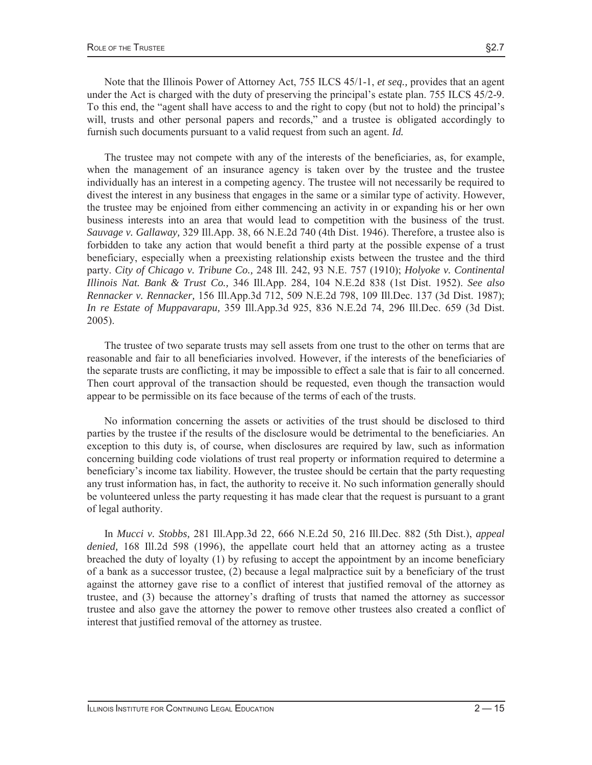Note that the Illinois Power of Attorney Act, 755 ILCS 45/1-1, *et seq.,* provides that an agent under the Act is charged with the duty of preserving the principal's estate plan. 755 ILCS 45/2-9. To this end, the "agent shall have access to and the right to copy (but not to hold) the principal's will, trusts and other personal papers and records," and a trustee is obligated accordingly to furnish such documents pursuant to a valid request from such an agent. *Id.* 

 The trustee may not compete with any of the interests of the beneficiaries, as, for example, when the management of an insurance agency is taken over by the trustee and the trustee individually has an interest in a competing agency. The trustee will not necessarily be required to divest the interest in any business that engages in the same or a similar type of activity. However, the trustee may be enjoined from either commencing an activity in or expanding his or her own business interests into an area that would lead to competition with the business of the trust. *Sauvage v. Gallaway,* 329 Ill.App. 38, 66 N.E.2d 740 (4th Dist. 1946). Therefore, a trustee also is forbidden to take any action that would benefit a third party at the possible expense of a trust beneficiary, especially when a preexisting relationship exists between the trustee and the third party. *City of Chicago v. Tribune Co.,* 248 Ill. 242, 93 N.E. 757 (1910); *Holyoke v. Continental Illinois Nat. Bank & Trust Co.,* 346 Ill.App. 284, 104 N.E.2d 838 (1st Dist. 1952). *See also Rennacker v. Rennacker,* 156 Ill.App.3d 712, 509 N.E.2d 798, 109 Ill.Dec. 137 (3d Dist. 1987); *In re Estate of Muppavarapu,* 359 Ill.App.3d 925, 836 N.E.2d 74, 296 Ill.Dec. 659 (3d Dist. 2005).

 The trustee of two separate trusts may sell assets from one trust to the other on terms that are reasonable and fair to all beneficiaries involved. However, if the interests of the beneficiaries of the separate trusts are conflicting, it may be impossible to effect a sale that is fair to all concerned. Then court approval of the transaction should be requested, even though the transaction would appear to be permissible on its face because of the terms of each of the trusts.

 No information concerning the assets or activities of the trust should be disclosed to third parties by the trustee if the results of the disclosure would be detrimental to the beneficiaries. An exception to this duty is, of course, when disclosures are required by law, such as information concerning building code violations of trust real property or information required to determine a beneficiary's income tax liability. However, the trustee should be certain that the party requesting any trust information has, in fact, the authority to receive it. No such information generally should be volunteered unless the party requesting it has made clear that the request is pursuant to a grant of legal authority.

 In *Mucci v. Stobbs,* 281 Ill.App.3d 22, 666 N.E.2d 50, 216 Ill.Dec. 882 (5th Dist.), *appeal denied,* 168 Ill.2d 598 (1996), the appellate court held that an attorney acting as a trustee breached the duty of loyalty (1) by refusing to accept the appointment by an income beneficiary of a bank as a successor trustee, (2) because a legal malpractice suit by a beneficiary of the trust against the attorney gave rise to a conflict of interest that justified removal of the attorney as trustee, and (3) because the attorney's drafting of trusts that named the attorney as successor trustee and also gave the attorney the power to remove other trustees also created a conflict of interest that justified removal of the attorney as trustee.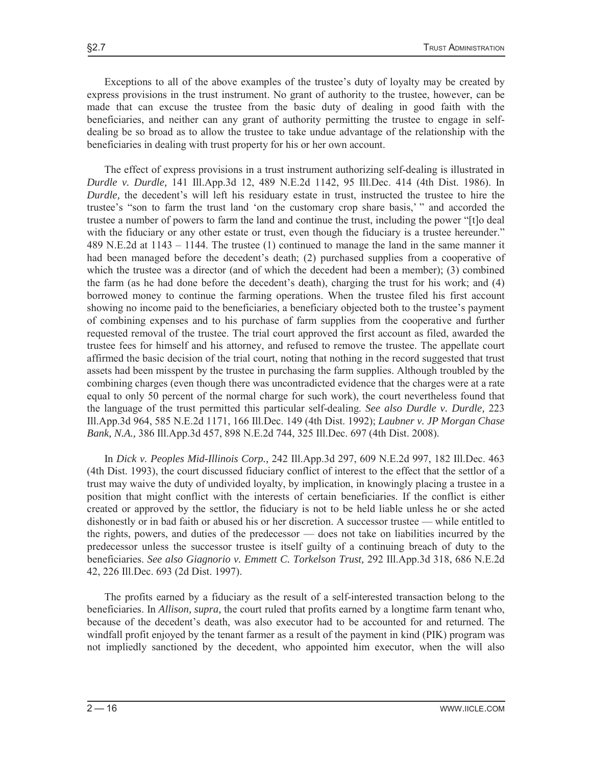Exceptions to all of the above examples of the trustee's duty of loyalty may be created by express provisions in the trust instrument. No grant of authority to the trustee, however, can be made that can excuse the trustee from the basic duty of dealing in good faith with the beneficiaries, and neither can any grant of authority permitting the trustee to engage in selfdealing be so broad as to allow the trustee to take undue advantage of the relationship with the beneficiaries in dealing with trust property for his or her own account.

 The effect of express provisions in a trust instrument authorizing self-dealing is illustrated in *Durdle v. Durdle,* 141 Ill.App.3d 12, 489 N.E.2d 1142, 95 Ill.Dec. 414 (4th Dist. 1986). In *Durdle*, the decedent's will left his residuary estate in trust, instructed the trustee to hire the trustee's "son to farm the trust land 'on the customary crop share basis,' " and accorded the trustee a number of powers to farm the land and continue the trust, including the power "[t]o deal with the fiduciary or any other estate or trust, even though the fiduciary is a trustee hereunder." 489 N.E.2d at 1143 – 1144. The trustee (1) continued to manage the land in the same manner it had been managed before the decedent's death; (2) purchased supplies from a cooperative of which the trustee was a director (and of which the decedent had been a member); (3) combined the farm (as he had done before the decedent's death), charging the trust for his work; and (4) borrowed money to continue the farming operations. When the trustee filed his first account showing no income paid to the beneficiaries, a beneficiary objected both to the trustee's payment of combining expenses and to his purchase of farm supplies from the cooperative and further requested removal of the trustee. The trial court approved the first account as filed, awarded the trustee fees for himself and his attorney, and refused to remove the trustee. The appellate court affirmed the basic decision of the trial court, noting that nothing in the record suggested that trust assets had been misspent by the trustee in purchasing the farm supplies. Although troubled by the combining charges (even though there was uncontradicted evidence that the charges were at a rate equal to only 50 percent of the normal charge for such work), the court nevertheless found that the language of the trust permitted this particular self-dealing. *See also Durdle v. Durdle,* 223 Ill.App.3d 964, 585 N.E.2d 1171, 166 Ill.Dec. 149 (4th Dist. 1992); *Laubner v. JP Morgan Chase Bank, N.A.,* 386 Ill.App.3d 457, 898 N.E.2d 744, 325 Ill.Dec. 697 (4th Dist. 2008).

 In *Dick v. Peoples Mid-Illinois Corp.,* 242 Ill.App.3d 297, 609 N.E.2d 997, 182 Ill.Dec. 463 (4th Dist. 1993), the court discussed fiduciary conflict of interest to the effect that the settlor of a trust may waive the duty of undivided loyalty, by implication, in knowingly placing a trustee in a position that might conflict with the interests of certain beneficiaries. If the conflict is either created or approved by the settlor, the fiduciary is not to be held liable unless he or she acted dishonestly or in bad faith or abused his or her discretion. A successor trustee — while entitled to the rights, powers, and duties of the predecessor — does not take on liabilities incurred by the predecessor unless the successor trustee is itself guilty of a continuing breach of duty to the beneficiaries. *See also Giagnorio v. Emmett C. Torkelson Trust,* 292 Ill.App.3d 318, 686 N.E.2d 42, 226 Ill.Dec. 693 (2d Dist. 1997).

 The profits earned by a fiduciary as the result of a self-interested transaction belong to the beneficiaries. In *Allison, supra,* the court ruled that profits earned by a longtime farm tenant who, because of the decedent's death, was also executor had to be accounted for and returned. The windfall profit enjoyed by the tenant farmer as a result of the payment in kind (PIK) program was not impliedly sanctioned by the decedent, who appointed him executor, when the will also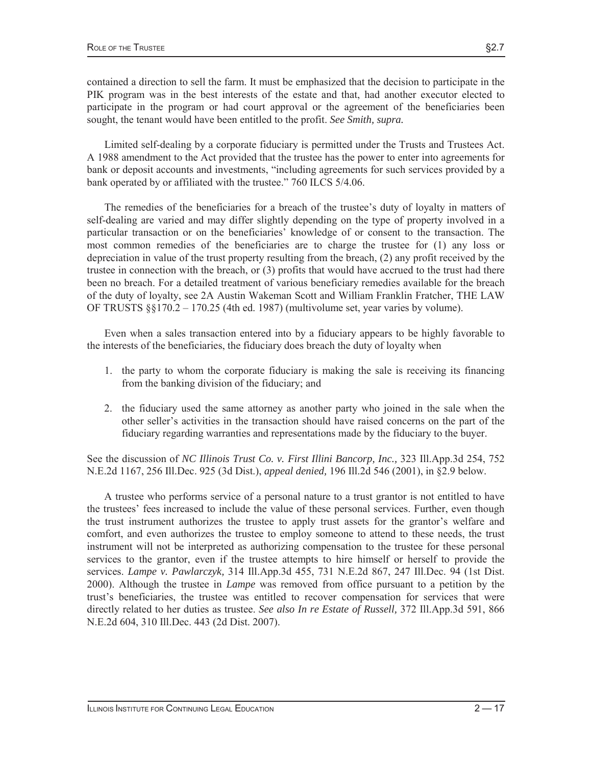contained a direction to sell the farm. It must be emphasized that the decision to participate in the PIK program was in the best interests of the estate and that, had another executor elected to participate in the program or had court approval or the agreement of the beneficiaries been sought, the tenant would have been entitled to the profit. *See Smith, supra.* 

 Limited self-dealing by a corporate fiduciary is permitted under the Trusts and Trustees Act. A 1988 amendment to the Act provided that the trustee has the power to enter into agreements for bank or deposit accounts and investments, "including agreements for such services provided by a bank operated by or affiliated with the trustee." 760 ILCS 5/4.06.

 The remedies of the beneficiaries for a breach of the trustee's duty of loyalty in matters of self-dealing are varied and may differ slightly depending on the type of property involved in a particular transaction or on the beneficiaries' knowledge of or consent to the transaction. The most common remedies of the beneficiaries are to charge the trustee for (1) any loss or depreciation in value of the trust property resulting from the breach, (2) any profit received by the trustee in connection with the breach, or (3) profits that would have accrued to the trust had there been no breach. For a detailed treatment of various beneficiary remedies available for the breach of the duty of loyalty, see 2A Austin Wakeman Scott and William Franklin Fratcher, THE LAW OF TRUSTS  $\S$ [170.2 – 170.25 (4th ed. 1987) (multivolume set, year varies by volume).

 Even when a sales transaction entered into by a fiduciary appears to be highly favorable to the interests of the beneficiaries, the fiduciary does breach the duty of loyalty when

- 1. the party to whom the corporate fiduciary is making the sale is receiving its financing from the banking division of the fiduciary; and
- 2. the fiduciary used the same attorney as another party who joined in the sale when the other seller's activities in the transaction should have raised concerns on the part of the fiduciary regarding warranties and representations made by the fiduciary to the buyer.

See the discussion of *NC Illinois Trust Co. v. First Illini Bancorp, Inc.,* 323 Ill.App.3d 254, 752 N.E.2d 1167, 256 Ill.Dec. 925 (3d Dist.), *appeal denied,* 196 Ill.2d 546 (2001), in §2.9 below.

 A trustee who performs service of a personal nature to a trust grantor is not entitled to have the trustees' fees increased to include the value of these personal services. Further, even though the trust instrument authorizes the trustee to apply trust assets for the grantor's welfare and comfort, and even authorizes the trustee to employ someone to attend to these needs, the trust instrument will not be interpreted as authorizing compensation to the trustee for these personal services to the grantor, even if the trustee attempts to hire himself or herself to provide the services. *Lampe v. Pawlarczyk,* 314 Ill.App.3d 455, 731 N.E.2d 867, 247 Ill.Dec. 94 (1st Dist. 2000). Although the trustee in *Lampe* was removed from office pursuant to a petition by the trust's beneficiaries, the trustee was entitled to recover compensation for services that were directly related to her duties as trustee. *See also In re Estate of Russell,* 372 Ill.App.3d 591, 866 N.E.2d 604, 310 Ill.Dec. 443 (2d Dist. 2007).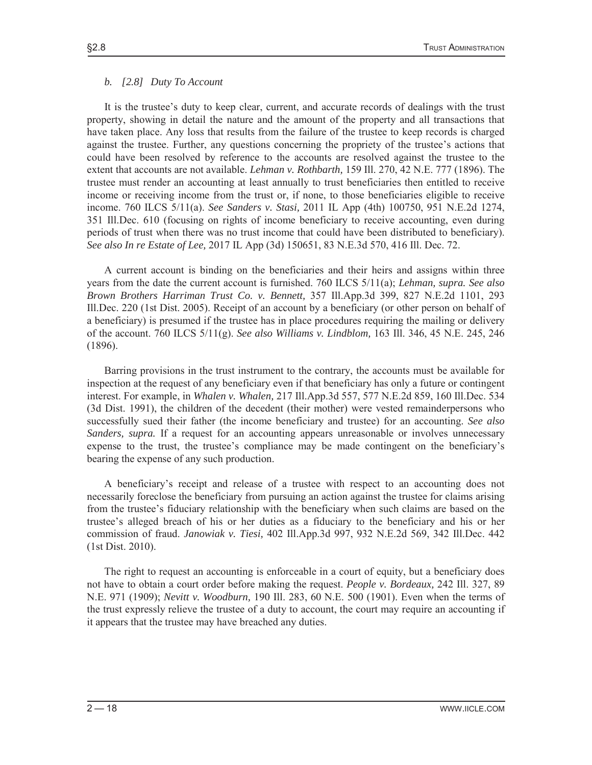#### *b. [2.8] Duty To Account*

 It is the trustee's duty to keep clear, current, and accurate records of dealings with the trust property, showing in detail the nature and the amount of the property and all transactions that have taken place. Any loss that results from the failure of the trustee to keep records is charged against the trustee. Further, any questions concerning the propriety of the trustee's actions that could have been resolved by reference to the accounts are resolved against the trustee to the extent that accounts are not available. *Lehman v. Rothbarth,* 159 Ill. 270, 42 N.E. 777 (1896). The trustee must render an accounting at least annually to trust beneficiaries then entitled to receive income or receiving income from the trust or, if none, to those beneficiaries eligible to receive income. 760 ILCS 5/11(a). *See Sanders v. Stasi,* 2011 IL App (4th) 100750, 951 N.E.2d 1274, 351 Ill.Dec. 610 (focusing on rights of income beneficiary to receive accounting, even during periods of trust when there was no trust income that could have been distributed to beneficiary). *See also In re Estate of Lee,* 2017 IL App (3d) 150651, 83 N.E.3d 570, 416 Ill. Dec. 72.

 A current account is binding on the beneficiaries and their heirs and assigns within three years from the date the current account is furnished. 760 ILCS 5/11(a); *Lehman, supra. See also Brown Brothers Harriman Trust Co. v. Bennett,* 357 Ill.App.3d 399, 827 N.E.2d 1101, 293 Ill.Dec. 220 (1st Dist. 2005). Receipt of an account by a beneficiary (or other person on behalf of a beneficiary) is presumed if the trustee has in place procedures requiring the mailing or delivery of the account. 760 ILCS 5/11(g). *See also Williams v. Lindblom,* 163 Ill. 346, 45 N.E. 245, 246 (1896).

 Barring provisions in the trust instrument to the contrary, the accounts must be available for inspection at the request of any beneficiary even if that beneficiary has only a future or contingent interest. For example, in *Whalen v. Whalen,* 217 Ill.App.3d 557, 577 N.E.2d 859, 160 Ill.Dec. 534 (3d Dist. 1991), the children of the decedent (their mother) were vested remainderpersons who successfully sued their father (the income beneficiary and trustee) for an accounting. *See also Sanders, supra.* If a request for an accounting appears unreasonable or involves unnecessary expense to the trust, the trustee's compliance may be made contingent on the beneficiary's bearing the expense of any such production.

 A beneficiary's receipt and release of a trustee with respect to an accounting does not necessarily foreclose the beneficiary from pursuing an action against the trustee for claims arising from the trustee's fiduciary relationship with the beneficiary when such claims are based on the trustee's alleged breach of his or her duties as a fiduciary to the beneficiary and his or her commission of fraud. *Janowiak v. Tiesi,* 402 Ill.App.3d 997, 932 N.E.2d 569, 342 Ill.Dec. 442 (1st Dist. 2010).

 The right to request an accounting is enforceable in a court of equity, but a beneficiary does not have to obtain a court order before making the request. *People v. Bordeaux,* 242 Ill. 327, 89 N.E. 971 (1909); *Nevitt v. Woodburn,* 190 Ill. 283, 60 N.E. 500 (1901). Even when the terms of the trust expressly relieve the trustee of a duty to account, the court may require an accounting if it appears that the trustee may have breached any duties.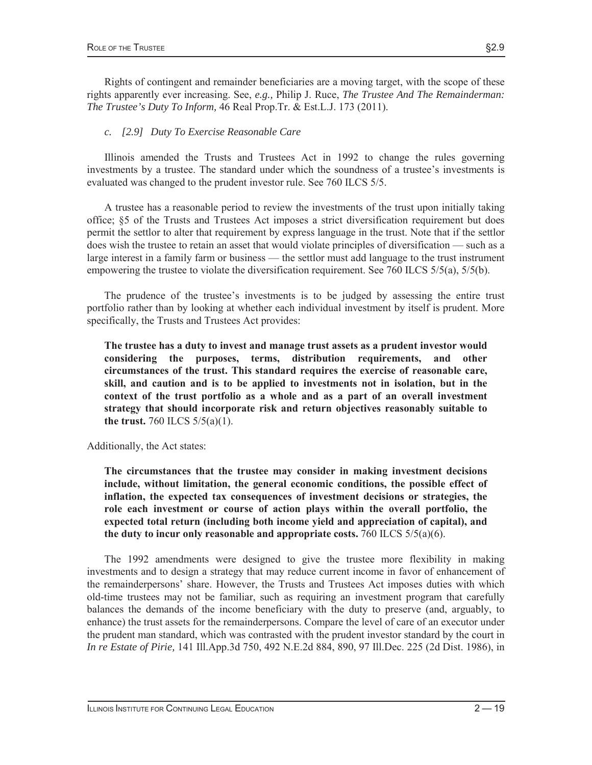Rights of contingent and remainder beneficiaries are a moving target, with the scope of these rights apparently ever increasing. See, *e.g.,* Philip J. Ruce, *The Trustee And The Remainderman: The Trustee's Duty To Inform,* 46 Real Prop.Tr. & Est.L.J. 173 (2011).

#### *c. [2.9] Duty To Exercise Reasonable Care*

 Illinois amended the Trusts and Trustees Act in 1992 to change the rules governing investments by a trustee. The standard under which the soundness of a trustee's investments is evaluated was changed to the prudent investor rule. See 760 ILCS 5/5.

 A trustee has a reasonable period to review the investments of the trust upon initially taking office; §5 of the Trusts and Trustees Act imposes a strict diversification requirement but does permit the settlor to alter that requirement by express language in the trust. Note that if the settlor does wish the trustee to retain an asset that would violate principles of diversification — such as a large interest in a family farm or business — the settlor must add language to the trust instrument empowering the trustee to violate the diversification requirement. See 760 ILCS 5/5(a), 5/5(b).

 The prudence of the trustee's investments is to be judged by assessing the entire trust portfolio rather than by looking at whether each individual investment by itself is prudent. More specifically, the Trusts and Trustees Act provides:

**The trustee has a duty to invest and manage trust assets as a prudent investor would considering the purposes, terms, distribution requirements, and other circumstances of the trust. This standard requires the exercise of reasonable care, skill, and caution and is to be applied to investments not in isolation, but in the context of the trust portfolio as a whole and as a part of an overall investment strategy that should incorporate risk and return objectives reasonably suitable to the trust.** 760 ILCS 5/5(a)(1).

Additionally, the Act states:

**The circumstances that the trustee may consider in making investment decisions include, without limitation, the general economic conditions, the possible effect of inflation, the expected tax consequences of investment decisions or strategies, the role each investment or course of action plays within the overall portfolio, the expected total return (including both income yield and appreciation of capital), and the duty to incur only reasonable and appropriate costs.**  $760$  ILCS  $5/5(a)(6)$ .

 The 1992 amendments were designed to give the trustee more flexibility in making investments and to design a strategy that may reduce current income in favor of enhancement of the remainderpersons' share. However, the Trusts and Trustees Act imposes duties with which old-time trustees may not be familiar, such as requiring an investment program that carefully balances the demands of the income beneficiary with the duty to preserve (and, arguably, to enhance) the trust assets for the remainderpersons. Compare the level of care of an executor under the prudent man standard, which was contrasted with the prudent investor standard by the court in *In re Estate of Pirie,* 141 Ill.App.3d 750, 492 N.E.2d 884, 890, 97 Ill.Dec. 225 (2d Dist. 1986), in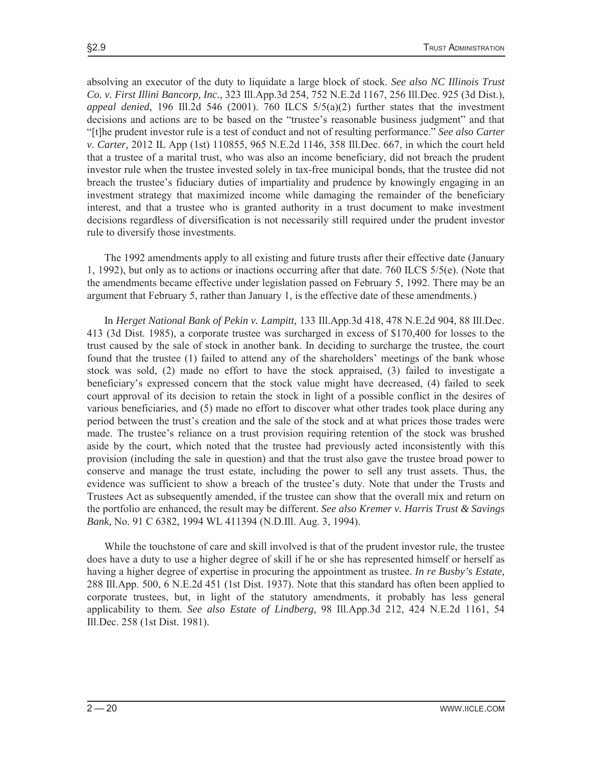absolving an executor of the duty to liquidate a large block of stock. *See also NC Illinois Trust Co. v. First Illini Bancorp, Inc.,* 323 Ill.App.3d 254, 752 N.E.2d 1167, 256 Ill.Dec. 925 (3d Dist.), *appeal denied,* 196 Ill.2d 546 (2001). 760 ILCS 5/5(a)(2) further states that the investment decisions and actions are to be based on the "trustee's reasonable business judgment" and that "[t]he prudent investor rule is a test of conduct and not of resulting performance." *See also Carter v. Carter,* 2012 IL App (1st) 110855, 965 N.E.2d 1146, 358 Ill.Dec. 667, in which the court held that a trustee of a marital trust, who was also an income beneficiary, did not breach the prudent investor rule when the trustee invested solely in tax-free municipal bonds, that the trustee did not breach the trustee's fiduciary duties of impartiality and prudence by knowingly engaging in an investment strategy that maximized income while damaging the remainder of the beneficiary interest, and that a trustee who is granted authority in a trust document to make investment decisions regardless of diversification is not necessarily still required under the prudent investor rule to diversify those investments.

 The 1992 amendments apply to all existing and future trusts after their effective date (January 1, 1992), but only as to actions or inactions occurring after that date. 760 ILCS 5/5(e). (Note that the amendments became effective under legislation passed on February 5, 1992. There may be an argument that February 5, rather than January 1, is the effective date of these amendments.)

 In *Herget National Bank of Pekin v. Lampitt,* 133 Ill.App.3d 418, 478 N.E.2d 904, 88 Ill.Dec. 413 (3d Dist. 1985), a corporate trustee was surcharged in excess of \$170,400 for losses to the trust caused by the sale of stock in another bank. In deciding to surcharge the trustee, the court found that the trustee (1) failed to attend any of the shareholders' meetings of the bank whose stock was sold, (2) made no effort to have the stock appraised, (3) failed to investigate a beneficiary's expressed concern that the stock value might have decreased, (4) failed to seek court approval of its decision to retain the stock in light of a possible conflict in the desires of various beneficiaries, and (5) made no effort to discover what other trades took place during any period between the trust's creation and the sale of the stock and at what prices those trades were made. The trustee's reliance on a trust provision requiring retention of the stock was brushed aside by the court, which noted that the trustee had previously acted inconsistently with this provision (including the sale in question) and that the trust also gave the trustee broad power to conserve and manage the trust estate, including the power to sell any trust assets. Thus, the evidence was sufficient to show a breach of the trustee's duty. Note that under the Trusts and Trustees Act as subsequently amended, if the trustee can show that the overall mix and return on the portfolio are enhanced, the result may be different. *See also Kremer v. Harris Trust & Savings Bank,* No. 91 C 6382, 1994 WL 411394 (N.D.Ill. Aug. 3, 1994).

 While the touchstone of care and skill involved is that of the prudent investor rule, the trustee does have a duty to use a higher degree of skill if he or she has represented himself or herself as having a higher degree of expertise in procuring the appointment as trustee. *In re Busby's Estate,*  288 Ill.App. 500, 6 N.E.2d 451 (1st Dist. 1937). Note that this standard has often been applied to corporate trustees, but, in light of the statutory amendments, it probably has less general applicability to them. *See also Estate of Lindberg,* 98 Ill.App.3d 212, 424 N.E.2d 1161, 54 Ill.Dec. 258 (1st Dist. 1981).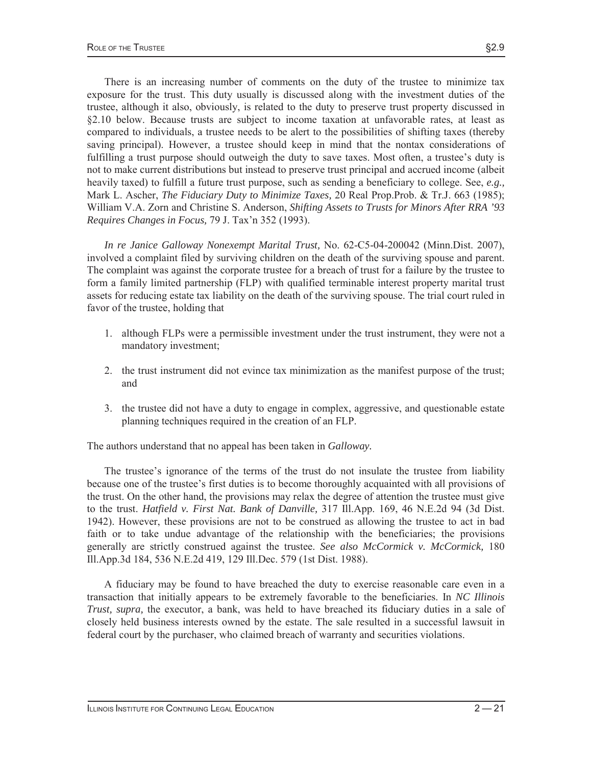There is an increasing number of comments on the duty of the trustee to minimize tax exposure for the trust. This duty usually is discussed along with the investment duties of the trustee, although it also, obviously, is related to the duty to preserve trust property discussed in §2.10 below. Because trusts are subject to income taxation at unfavorable rates, at least as compared to individuals, a trustee needs to be alert to the possibilities of shifting taxes (thereby saving principal). However, a trustee should keep in mind that the nontax considerations of fulfilling a trust purpose should outweigh the duty to save taxes. Most often, a trustee's duty is not to make current distributions but instead to preserve trust principal and accrued income (albeit heavily taxed) to fulfill a future trust purpose, such as sending a beneficiary to college. See, *e.g.,*  Mark L. Ascher, *The Fiduciary Duty to Minimize Taxes,* 20 Real Prop.Prob. & Tr.J. 663 (1985); William V.A. Zorn and Christine S. Anderson, *Shifting Assets to Trusts for Minors After RRA '93 Requires Changes in Focus,* 79 J. Tax'n 352 (1993).

*In re Janice Galloway Nonexempt Marital Trust,* No. 62-C5-04-200042 (Minn.Dist. 2007), involved a complaint filed by surviving children on the death of the surviving spouse and parent. The complaint was against the corporate trustee for a breach of trust for a failure by the trustee to form a family limited partnership (FLP) with qualified terminable interest property marital trust assets for reducing estate tax liability on the death of the surviving spouse. The trial court ruled in favor of the trustee, holding that

- 1. although FLPs were a permissible investment under the trust instrument, they were not a mandatory investment;
- 2. the trust instrument did not evince tax minimization as the manifest purpose of the trust; and
- 3. the trustee did not have a duty to engage in complex, aggressive, and questionable estate planning techniques required in the creation of an FLP.

The authors understand that no appeal has been taken in *Galloway.*

 The trustee's ignorance of the terms of the trust do not insulate the trustee from liability because one of the trustee's first duties is to become thoroughly acquainted with all provisions of the trust. On the other hand, the provisions may relax the degree of attention the trustee must give to the trust. *Hatfield v. First Nat. Bank of Danville,* 317 Ill.App. 169, 46 N.E.2d 94 (3d Dist. 1942). However, these provisions are not to be construed as allowing the trustee to act in bad faith or to take undue advantage of the relationship with the beneficiaries; the provisions generally are strictly construed against the trustee. *See also McCormick v. McCormick,* 180 Ill.App.3d 184, 536 N.E.2d 419, 129 Ill.Dec. 579 (1st Dist. 1988).

 A fiduciary may be found to have breached the duty to exercise reasonable care even in a transaction that initially appears to be extremely favorable to the beneficiaries. In *NC Illinois Trust, supra,* the executor, a bank, was held to have breached its fiduciary duties in a sale of closely held business interests owned by the estate. The sale resulted in a successful lawsuit in federal court by the purchaser, who claimed breach of warranty and securities violations.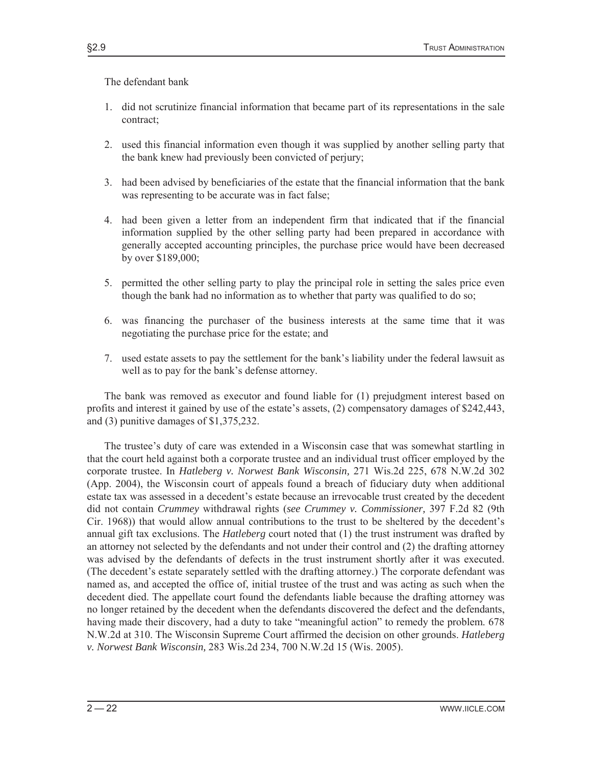The defendant bank

- 1. did not scrutinize financial information that became part of its representations in the sale contract;
- 2. used this financial information even though it was supplied by another selling party that the bank knew had previously been convicted of perjury;
- 3. had been advised by beneficiaries of the estate that the financial information that the bank was representing to be accurate was in fact false;
- 4. had been given a letter from an independent firm that indicated that if the financial information supplied by the other selling party had been prepared in accordance with generally accepted accounting principles, the purchase price would have been decreased by over \$189,000;
- 5. permitted the other selling party to play the principal role in setting the sales price even though the bank had no information as to whether that party was qualified to do so;
- 6. was financing the purchaser of the business interests at the same time that it was negotiating the purchase price for the estate; and
- 7. used estate assets to pay the settlement for the bank's liability under the federal lawsuit as well as to pay for the bank's defense attorney.

 The bank was removed as executor and found liable for (1) prejudgment interest based on profits and interest it gained by use of the estate's assets, (2) compensatory damages of \$242,443, and (3) punitive damages of \$1,375,232.

 The trustee's duty of care was extended in a Wisconsin case that was somewhat startling in that the court held against both a corporate trustee and an individual trust officer employed by the corporate trustee. In *Hatleberg v. Norwest Bank Wisconsin,* 271 Wis.2d 225, 678 N.W.2d 302 (App. 2004), the Wisconsin court of appeals found a breach of fiduciary duty when additional estate tax was assessed in a decedent's estate because an irrevocable trust created by the decedent did not contain *Crummey* withdrawal rights (*see Crummey v. Commissioner,* 397 F.2d 82 (9th Cir. 1968)) that would allow annual contributions to the trust to be sheltered by the decedent's annual gift tax exclusions. The *Hatleberg* court noted that (1) the trust instrument was drafted by an attorney not selected by the defendants and not under their control and (2) the drafting attorney was advised by the defendants of defects in the trust instrument shortly after it was executed. (The decedent's estate separately settled with the drafting attorney.) The corporate defendant was named as, and accepted the office of, initial trustee of the trust and was acting as such when the decedent died. The appellate court found the defendants liable because the drafting attorney was no longer retained by the decedent when the defendants discovered the defect and the defendants, having made their discovery, had a duty to take "meaningful action" to remedy the problem. 678 N.W.2d at 310. The Wisconsin Supreme Court affirmed the decision on other grounds. *Hatleberg v. Norwest Bank Wisconsin,* 283 Wis.2d 234, 700 N.W.2d 15 (Wis. 2005).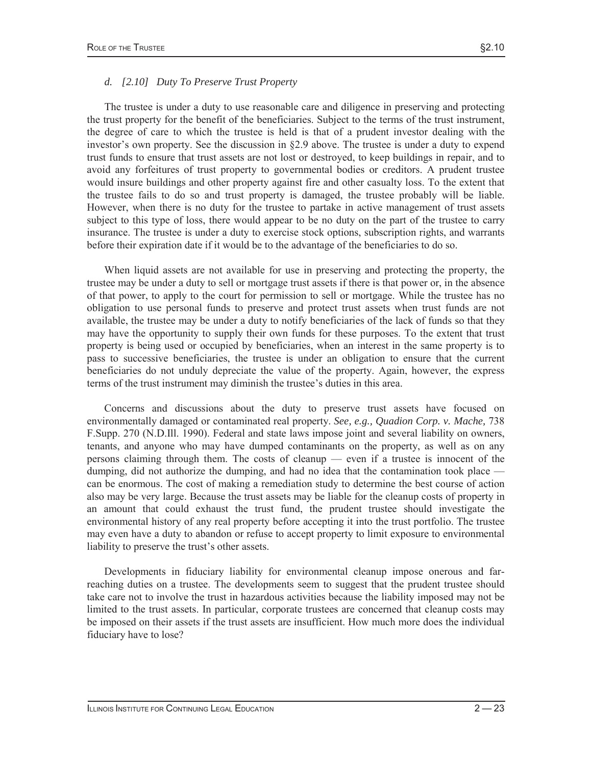#### *d. [2.10] Duty To Preserve Trust Property*

 The trustee is under a duty to use reasonable care and diligence in preserving and protecting the trust property for the benefit of the beneficiaries. Subject to the terms of the trust instrument, the degree of care to which the trustee is held is that of a prudent investor dealing with the investor's own property. See the discussion in  $\S 2.9$  above. The trustee is under a duty to expend trust funds to ensure that trust assets are not lost or destroyed, to keep buildings in repair, and to avoid any forfeitures of trust property to governmental bodies or creditors. A prudent trustee would insure buildings and other property against fire and other casualty loss. To the extent that the trustee fails to do so and trust property is damaged, the trustee probably will be liable. However, when there is no duty for the trustee to partake in active management of trust assets subject to this type of loss, there would appear to be no duty on the part of the trustee to carry insurance. The trustee is under a duty to exercise stock options, subscription rights, and warrants before their expiration date if it would be to the advantage of the beneficiaries to do so.

 When liquid assets are not available for use in preserving and protecting the property, the trustee may be under a duty to sell or mortgage trust assets if there is that power or, in the absence of that power, to apply to the court for permission to sell or mortgage. While the trustee has no obligation to use personal funds to preserve and protect trust assets when trust funds are not available, the trustee may be under a duty to notify beneficiaries of the lack of funds so that they may have the opportunity to supply their own funds for these purposes. To the extent that trust property is being used or occupied by beneficiaries, when an interest in the same property is to pass to successive beneficiaries, the trustee is under an obligation to ensure that the current beneficiaries do not unduly depreciate the value of the property. Again, however, the express terms of the trust instrument may diminish the trustee's duties in this area.

 Concerns and discussions about the duty to preserve trust assets have focused on environmentally damaged or contaminated real property. *See, e.g., Quadion Corp. v. Mache,* 738 F.Supp. 270 (N.D.Ill. 1990). Federal and state laws impose joint and several liability on owners, tenants, and anyone who may have dumped contaminants on the property, as well as on any persons claiming through them. The costs of cleanup — even if a trustee is innocent of the dumping, did not authorize the dumping, and had no idea that the contamination took place can be enormous. The cost of making a remediation study to determine the best course of action also may be very large. Because the trust assets may be liable for the cleanup costs of property in an amount that could exhaust the trust fund, the prudent trustee should investigate the environmental history of any real property before accepting it into the trust portfolio. The trustee may even have a duty to abandon or refuse to accept property to limit exposure to environmental liability to preserve the trust's other assets.

 Developments in fiduciary liability for environmental cleanup impose onerous and farreaching duties on a trustee. The developments seem to suggest that the prudent trustee should take care not to involve the trust in hazardous activities because the liability imposed may not be limited to the trust assets. In particular, corporate trustees are concerned that cleanup costs may be imposed on their assets if the trust assets are insufficient. How much more does the individual fiduciary have to lose?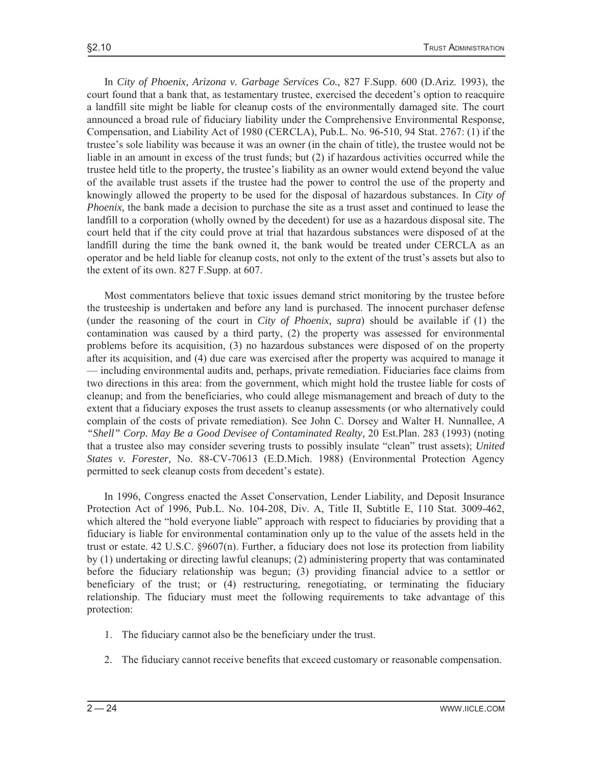In *City of Phoenix, Arizona v. Garbage Services Co.,* 827 F.Supp. 600 (D.Ariz. 1993), the court found that a bank that, as testamentary trustee, exercised the decedent's option to reacquire a landfill site might be liable for cleanup costs of the environmentally damaged site. The court announced a broad rule of fiduciary liability under the Comprehensive Environmental Response, Compensation, and Liability Act of 1980 (CERCLA), Pub.L. No. 96-510, 94 Stat. 2767: (1) if the trustee's sole liability was because it was an owner (in the chain of title), the trustee would not be liable in an amount in excess of the trust funds; but (2) if hazardous activities occurred while the trustee held title to the property, the trustee's liability as an owner would extend beyond the value of the available trust assets if the trustee had the power to control the use of the property and knowingly allowed the property to be used for the disposal of hazardous substances. In *City of Phoenix,* the bank made a decision to purchase the site as a trust asset and continued to lease the landfill to a corporation (wholly owned by the decedent) for use as a hazardous disposal site. The court held that if the city could prove at trial that hazardous substances were disposed of at the landfill during the time the bank owned it, the bank would be treated under CERCLA as an operator and be held liable for cleanup costs, not only to the extent of the trust's assets but also to the extent of its own. 827 F.Supp. at 607.

 Most commentators believe that toxic issues demand strict monitoring by the trustee before the trusteeship is undertaken and before any land is purchased. The innocent purchaser defense (under the reasoning of the court in *City of Phoenix, supra*) should be available if (1) the contamination was caused by a third party, (2) the property was assessed for environmental problems before its acquisition, (3) no hazardous substances were disposed of on the property after its acquisition, and (4) due care was exercised after the property was acquired to manage it — including environmental audits and, perhaps, private remediation. Fiduciaries face claims from two directions in this area: from the government, which might hold the trustee liable for costs of cleanup; and from the beneficiaries, who could allege mismanagement and breach of duty to the extent that a fiduciary exposes the trust assets to cleanup assessments (or who alternatively could complain of the costs of private remediation). See John C. Dorsey and Walter H. Nunnallee, *A "Shell" Corp. May Be a Good Devisee of Contaminated Realty,* 20 Est.Plan. 283 (1993) (noting that a trustee also may consider severing trusts to possibly insulate "clean" trust assets); *United States v. Forester,* No. 88-CV-70613 (E.D.Mich. 1988) (Environmental Protection Agency permitted to seek cleanup costs from decedent's estate).

 In 1996, Congress enacted the Asset Conservation, Lender Liability, and Deposit Insurance Protection Act of 1996, Pub.L. No. 104-208, Div. A, Title II, Subtitle E, 110 Stat. 3009-462, which altered the "hold everyone liable" approach with respect to fiduciaries by providing that a fiduciary is liable for environmental contamination only up to the value of the assets held in the trust or estate. 42 U.S.C. §9607(n). Further, a fiduciary does not lose its protection from liability by (1) undertaking or directing lawful cleanups; (2) administering property that was contaminated before the fiduciary relationship was begun; (3) providing financial advice to a settlor or beneficiary of the trust; or (4) restructuring, renegotiating, or terminating the fiduciary relationship. The fiduciary must meet the following requirements to take advantage of this protection:

- 1. The fiduciary cannot also be the beneficiary under the trust.
- 2. The fiduciary cannot receive benefits that exceed customary or reasonable compensation.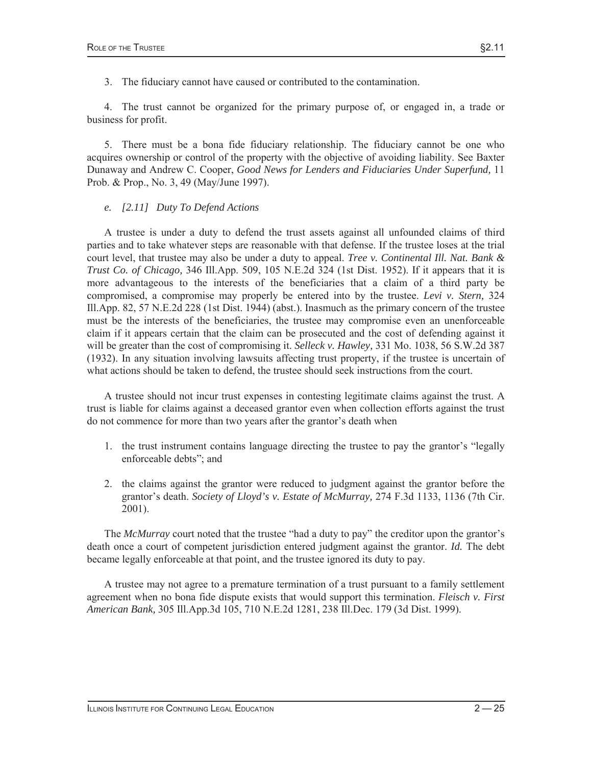3. The fiduciary cannot have caused or contributed to the contamination.

 4. The trust cannot be organized for the primary purpose of, or engaged in, a trade or business for profit.

 5. There must be a bona fide fiduciary relationship. The fiduciary cannot be one who acquires ownership or control of the property with the objective of avoiding liability. See Baxter Dunaway and Andrew C. Cooper, *Good News for Lenders and Fiduciaries Under Superfund,* 11 Prob. & Prop., No. 3, 49 (May/June 1997).

#### *e. [2.11] Duty To Defend Actions*

 A trustee is under a duty to defend the trust assets against all unfounded claims of third parties and to take whatever steps are reasonable with that defense. If the trustee loses at the trial court level, that trustee may also be under a duty to appeal. *Tree v. Continental Ill. Nat. Bank & Trust Co. of Chicago,* 346 Ill.App. 509, 105 N.E.2d 324 (1st Dist. 1952). If it appears that it is more advantageous to the interests of the beneficiaries that a claim of a third party be compromised, a compromise may properly be entered into by the trustee. *Levi v. Stern,* 324 Ill.App. 82, 57 N.E.2d 228 (1st Dist. 1944) (abst.). Inasmuch as the primary concern of the trustee must be the interests of the beneficiaries, the trustee may compromise even an unenforceable claim if it appears certain that the claim can be prosecuted and the cost of defending against it will be greater than the cost of compromising it. *Selleck v. Hawley,* 331 Mo. 1038, 56 S.W.2d 387 (1932). In any situation involving lawsuits affecting trust property, if the trustee is uncertain of what actions should be taken to defend, the trustee should seek instructions from the court.

 A trustee should not incur trust expenses in contesting legitimate claims against the trust. A trust is liable for claims against a deceased grantor even when collection efforts against the trust do not commence for more than two years after the grantor's death when

- 1. the trust instrument contains language directing the trustee to pay the grantor's "legally enforceable debts"; and
- 2. the claims against the grantor were reduced to judgment against the grantor before the grantor's death. *Society of Lloyd's v. Estate of McMurray,* 274 F.3d 1133, 1136 (7th Cir. 2001).

 The *McMurray* court noted that the trustee "had a duty to pay" the creditor upon the grantor's death once a court of competent jurisdiction entered judgment against the grantor. *Id.* The debt became legally enforceable at that point, and the trustee ignored its duty to pay.

 A trustee may not agree to a premature termination of a trust pursuant to a family settlement agreement when no bona fide dispute exists that would support this termination. *Fleisch v. First American Bank,* 305 Ill.App.3d 105, 710 N.E.2d 1281, 238 Ill.Dec. 179 (3d Dist. 1999).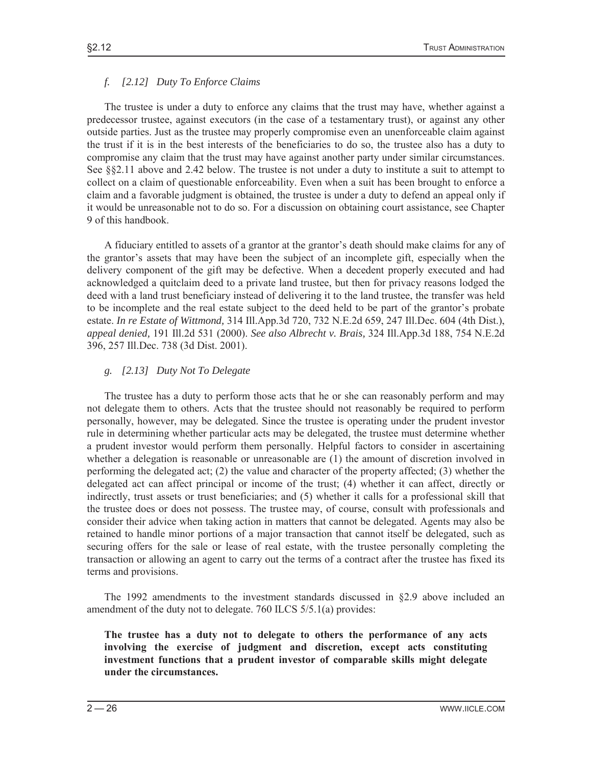#### *f. [2.12] Duty To Enforce Claims*

 The trustee is under a duty to enforce any claims that the trust may have, whether against a predecessor trustee, against executors (in the case of a testamentary trust), or against any other outside parties. Just as the trustee may properly compromise even an unenforceable claim against the trust if it is in the best interests of the beneficiaries to do so, the trustee also has a duty to compromise any claim that the trust may have against another party under similar circumstances. See §§2.11 above and 2.42 below. The trustee is not under a duty to institute a suit to attempt to collect on a claim of questionable enforceability. Even when a suit has been brought to enforce a claim and a favorable judgment is obtained, the trustee is under a duty to defend an appeal only if it would be unreasonable not to do so. For a discussion on obtaining court assistance, see Chapter 9 of this handbook.

 A fiduciary entitled to assets of a grantor at the grantor's death should make claims for any of the grantor's assets that may have been the subject of an incomplete gift, especially when the delivery component of the gift may be defective. When a decedent properly executed and had acknowledged a quitclaim deed to a private land trustee, but then for privacy reasons lodged the deed with a land trust beneficiary instead of delivering it to the land trustee, the transfer was held to be incomplete and the real estate subject to the deed held to be part of the grantor's probate estate. *In re Estate of Wittmond,* 314 Ill.App.3d 720, 732 N.E.2d 659, 247 Ill.Dec. 604 (4th Dist.), *appeal denied,* 191 Ill.2d 531 (2000). *See also Albrecht v. Brais,* 324 Ill.App.3d 188, 754 N.E.2d 396, 257 Ill.Dec. 738 (3d Dist. 2001).

#### *g. [2.13] Duty Not To Delegate*

 The trustee has a duty to perform those acts that he or she can reasonably perform and may not delegate them to others. Acts that the trustee should not reasonably be required to perform personally, however, may be delegated. Since the trustee is operating under the prudent investor rule in determining whether particular acts may be delegated, the trustee must determine whether a prudent investor would perform them personally. Helpful factors to consider in ascertaining whether a delegation is reasonable or unreasonable are (1) the amount of discretion involved in performing the delegated act; (2) the value and character of the property affected; (3) whether the delegated act can affect principal or income of the trust; (4) whether it can affect, directly or indirectly, trust assets or trust beneficiaries; and (5) whether it calls for a professional skill that the trustee does or does not possess. The trustee may, of course, consult with professionals and consider their advice when taking action in matters that cannot be delegated. Agents may also be retained to handle minor portions of a major transaction that cannot itself be delegated, such as securing offers for the sale or lease of real estate, with the trustee personally completing the transaction or allowing an agent to carry out the terms of a contract after the trustee has fixed its terms and provisions.

The 1992 amendments to the investment standards discussed in  $\S 2.9$  above included an amendment of the duty not to delegate. 760 ILCS 5/5.1(a) provides:

**The trustee has a duty not to delegate to others the performance of any acts involving the exercise of judgment and discretion, except acts constituting investment functions that a prudent investor of comparable skills might delegate under the circumstances.**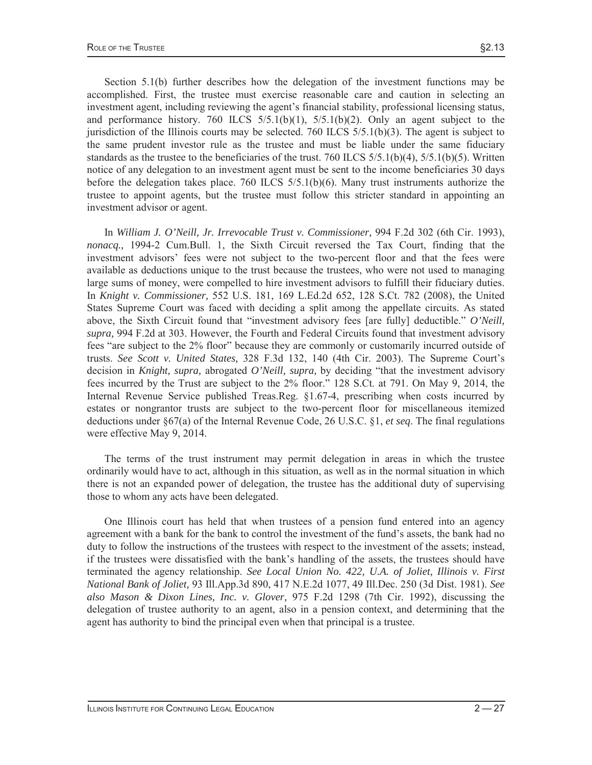Section 5.1(b) further describes how the delegation of the investment functions may be accomplished. First, the trustee must exercise reasonable care and caution in selecting an investment agent, including reviewing the agent's financial stability, professional licensing status, and performance history. 760 ILCS  $5/5.1(b)(1)$ ,  $5/5.1(b)(2)$ . Only an agent subject to the jurisdiction of the Illinois courts may be selected. 760 ILCS  $5/5.1(b)(3)$ . The agent is subject to the same prudent investor rule as the trustee and must be liable under the same fiduciary standards as the trustee to the beneficiaries of the trust. 760 ILCS  $5/5.1(b)(4)$ ,  $5/5.1(b)(5)$ . Written notice of any delegation to an investment agent must be sent to the income beneficiaries 30 days before the delegation takes place. 760 ILCS  $5/5.1(b)(6)$ . Many trust instruments authorize the trustee to appoint agents, but the trustee must follow this stricter standard in appointing an investment advisor or agent.

 In *William J. O'Neill, Jr. Irrevocable Trust v. Commissioner,* 994 F.2d 302 (6th Cir. 1993), *nonacq.,* 1994-2 Cum.Bull. 1, the Sixth Circuit reversed the Tax Court, finding that the investment advisors' fees were not subject to the two-percent floor and that the fees were available as deductions unique to the trust because the trustees, who were not used to managing large sums of money, were compelled to hire investment advisors to fulfill their fiduciary duties. In *Knight v. Commissioner,* 552 U.S. 181, 169 L.Ed.2d 652, 128 S.Ct. 782 (2008), the United States Supreme Court was faced with deciding a split among the appellate circuits. As stated above, the Sixth Circuit found that "investment advisory fees [are fully] deductible." *O'Neill, supra,* 994 F.2d at 303. However, the Fourth and Federal Circuits found that investment advisory fees "are subject to the 2% floor" because they are commonly or customarily incurred outside of trusts. *See Scott v. United States,* 328 F.3d 132, 140 (4th Cir. 2003). The Supreme Court's decision in *Knight, supra,* abrogated *O'Neill, supra,* by deciding "that the investment advisory fees incurred by the Trust are subject to the 2% floor." 128 S.Ct. at 791. On May 9, 2014, the Internal Revenue Service published Treas.Reg. §1.67-4, prescribing when costs incurred by estates or nongrantor trusts are subject to the two-percent floor for miscellaneous itemized deductions under §67(a) of the Internal Revenue Code, 26 U.S.C. §1, *et seq*. The final regulations were effective May 9, 2014.

 The terms of the trust instrument may permit delegation in areas in which the trustee ordinarily would have to act, although in this situation, as well as in the normal situation in which there is not an expanded power of delegation, the trustee has the additional duty of supervising those to whom any acts have been delegated.

 One Illinois court has held that when trustees of a pension fund entered into an agency agreement with a bank for the bank to control the investment of the fund's assets, the bank had no duty to follow the instructions of the trustees with respect to the investment of the assets; instead, if the trustees were dissatisfied with the bank's handling of the assets, the trustees should have terminated the agency relationship. *See Local Union No. 422, U.A. of Joliet, Illinois v. First National Bank of Joliet,* 93 Ill.App.3d 890, 417 N.E.2d 1077, 49 Ill.Dec. 250 (3d Dist. 1981). *See also Mason & Dixon Lines, Inc. v. Glover,* 975 F.2d 1298 (7th Cir. 1992), discussing the delegation of trustee authority to an agent, also in a pension context, and determining that the agent has authority to bind the principal even when that principal is a trustee.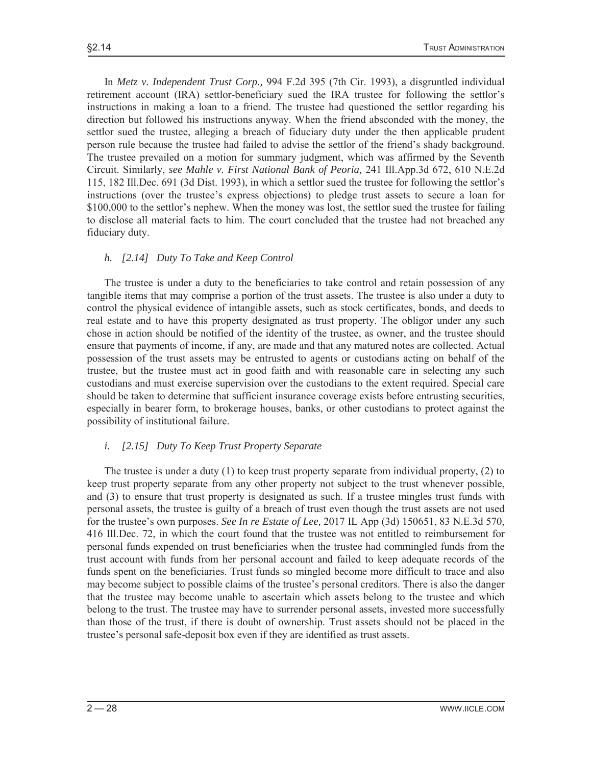In *Metz v. Independent Trust Corp.,* 994 F.2d 395 (7th Cir. 1993), a disgruntled individual retirement account (IRA) settlor-beneficiary sued the IRA trustee for following the settlor's instructions in making a loan to a friend. The trustee had questioned the settlor regarding his direction but followed his instructions anyway. When the friend absconded with the money, the settlor sued the trustee, alleging a breach of fiduciary duty under the then applicable prudent person rule because the trustee had failed to advise the settlor of the friend's shady background. The trustee prevailed on a motion for summary judgment, which was affirmed by the Seventh Circuit. Similarly, *see Mahle v. First National Bank of Peoria,* 241 Ill.App.3d 672, 610 N.E.2d 115, 182 Ill.Dec. 691 (3d Dist. 1993), in which a settlor sued the trustee for following the settlor's instructions (over the trustee's express objections) to pledge trust assets to secure a loan for \$100,000 to the settlor's nephew. When the money was lost, the settlor sued the trustee for failing to disclose all material facts to him. The court concluded that the trustee had not breached any fiduciary duty.

#### *h. [2.14] Duty To Take and Keep Control*

 The trustee is under a duty to the beneficiaries to take control and retain possession of any tangible items that may comprise a portion of the trust assets. The trustee is also under a duty to control the physical evidence of intangible assets, such as stock certificates, bonds, and deeds to real estate and to have this property designated as trust property. The obligor under any such chose in action should be notified of the identity of the trustee, as owner, and the trustee should ensure that payments of income, if any, are made and that any matured notes are collected. Actual possession of the trust assets may be entrusted to agents or custodians acting on behalf of the trustee, but the trustee must act in good faith and with reasonable care in selecting any such custodians and must exercise supervision over the custodians to the extent required. Special care should be taken to determine that sufficient insurance coverage exists before entrusting securities, especially in bearer form, to brokerage houses, banks, or other custodians to protect against the possibility of institutional failure.

#### *i. [2.15] Duty To Keep Trust Property Separate*

 The trustee is under a duty (1) to keep trust property separate from individual property, (2) to keep trust property separate from any other property not subject to the trust whenever possible, and (3) to ensure that trust property is designated as such. If a trustee mingles trust funds with personal assets, the trustee is guilty of a breach of trust even though the trust assets are not used for the trustee's own purposes. *See In re Estate of Lee,* 2017 IL App (3d) 150651, 83 N.E.3d 570, 416 Ill.Dec. 72, in which the court found that the trustee was not entitled to reimbursement for personal funds expended on trust beneficiaries when the trustee had commingled funds from the trust account with funds from her personal account and failed to keep adequate records of the funds spent on the beneficiaries. Trust funds so mingled become more difficult to trace and also may become subject to possible claims of the trustee's personal creditors. There is also the danger that the trustee may become unable to ascertain which assets belong to the trustee and which belong to the trust. The trustee may have to surrender personal assets, invested more successfully than those of the trust, if there is doubt of ownership. Trust assets should not be placed in the trustee's personal safe-deposit box even if they are identified as trust assets.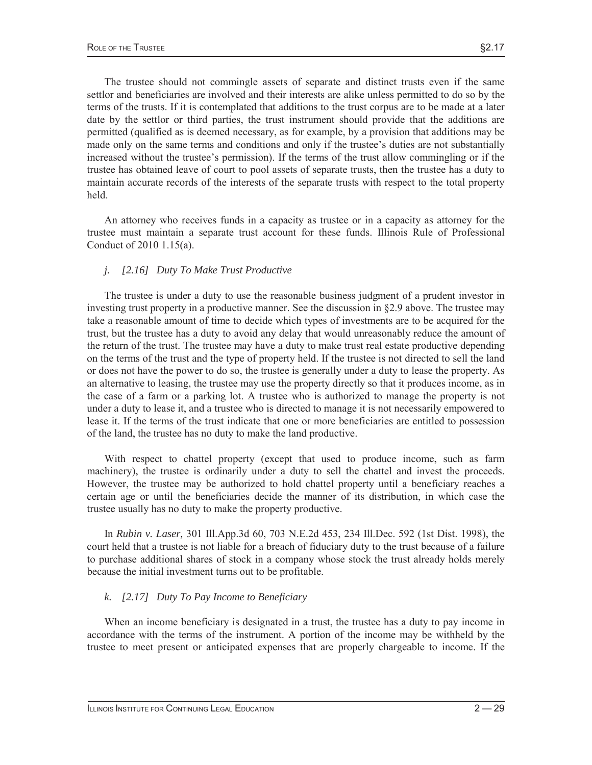The trustee should not commingle assets of separate and distinct trusts even if the same settlor and beneficiaries are involved and their interests are alike unless permitted to do so by the terms of the trusts. If it is contemplated that additions to the trust corpus are to be made at a later date by the settlor or third parties, the trust instrument should provide that the additions are permitted (qualified as is deemed necessary, as for example, by a provision that additions may be made only on the same terms and conditions and only if the trustee's duties are not substantially increased without the trustee's permission). If the terms of the trust allow commingling or if the trustee has obtained leave of court to pool assets of separate trusts, then the trustee has a duty to maintain accurate records of the interests of the separate trusts with respect to the total property held.

 An attorney who receives funds in a capacity as trustee or in a capacity as attorney for the trustee must maintain a separate trust account for these funds. Illinois Rule of Professional Conduct of 2010 1.15(a).

#### *j. [2.16] Duty To Make Trust Productive*

 The trustee is under a duty to use the reasonable business judgment of a prudent investor in investing trust property in a productive manner. See the discussion in §2.9 above. The trustee may take a reasonable amount of time to decide which types of investments are to be acquired for the trust, but the trustee has a duty to avoid any delay that would unreasonably reduce the amount of the return of the trust. The trustee may have a duty to make trust real estate productive depending on the terms of the trust and the type of property held. If the trustee is not directed to sell the land or does not have the power to do so, the trustee is generally under a duty to lease the property. As an alternative to leasing, the trustee may use the property directly so that it produces income, as in the case of a farm or a parking lot. A trustee who is authorized to manage the property is not under a duty to lease it, and a trustee who is directed to manage it is not necessarily empowered to lease it. If the terms of the trust indicate that one or more beneficiaries are entitled to possession of the land, the trustee has no duty to make the land productive.

 With respect to chattel property (except that used to produce income, such as farm machinery), the trustee is ordinarily under a duty to sell the chattel and invest the proceeds. However, the trustee may be authorized to hold chattel property until a beneficiary reaches a certain age or until the beneficiaries decide the manner of its distribution, in which case the trustee usually has no duty to make the property productive.

 In *Rubin v. Laser,* 301 Ill.App.3d 60, 703 N.E.2d 453, 234 Ill.Dec. 592 (1st Dist. 1998), the court held that a trustee is not liable for a breach of fiduciary duty to the trust because of a failure to purchase additional shares of stock in a company whose stock the trust already holds merely because the initial investment turns out to be profitable.

#### *k. [2.17] Duty To Pay Income to Beneficiary*

When an income beneficiary is designated in a trust, the trustee has a duty to pay income in accordance with the terms of the instrument. A portion of the income may be withheld by the trustee to meet present or anticipated expenses that are properly chargeable to income. If the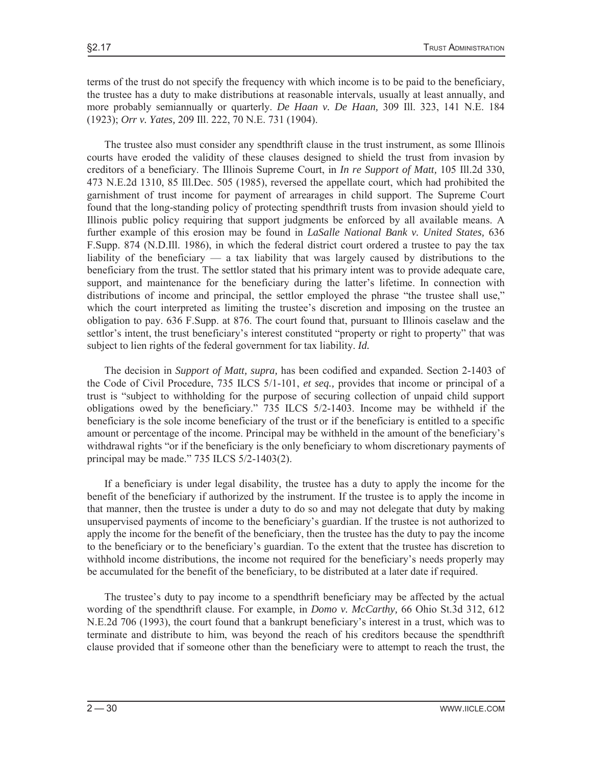terms of the trust do not specify the frequency with which income is to be paid to the beneficiary, the trustee has a duty to make distributions at reasonable intervals, usually at least annually, and more probably semiannually or quarterly. *De Haan v. De Haan,* 309 Ill. 323, 141 N.E. 184 (1923); *Orr v. Yates,* 209 Ill. 222, 70 N.E. 731 (1904).

 The trustee also must consider any spendthrift clause in the trust instrument, as some Illinois courts have eroded the validity of these clauses designed to shield the trust from invasion by creditors of a beneficiary. The Illinois Supreme Court, in *In re Support of Matt,* 105 Ill.2d 330, 473 N.E.2d 1310, 85 Ill.Dec. 505 (1985), reversed the appellate court, which had prohibited the garnishment of trust income for payment of arrearages in child support. The Supreme Court found that the long-standing policy of protecting spendthrift trusts from invasion should yield to Illinois public policy requiring that support judgments be enforced by all available means. A further example of this erosion may be found in *LaSalle National Bank v. United States,* 636 F.Supp. 874 (N.D.Ill. 1986), in which the federal district court ordered a trustee to pay the tax liability of the beneficiary — a tax liability that was largely caused by distributions to the beneficiary from the trust. The settlor stated that his primary intent was to provide adequate care, support, and maintenance for the beneficiary during the latter's lifetime. In connection with distributions of income and principal, the settlor employed the phrase "the trustee shall use," which the court interpreted as limiting the trustee's discretion and imposing on the trustee an obligation to pay. 636 F.Supp. at 876. The court found that, pursuant to Illinois caselaw and the settlor's intent, the trust beneficiary's interest constituted "property or right to property" that was subject to lien rights of the federal government for tax liability. *Id.* 

 The decision in *Support of Matt, supra,* has been codified and expanded. Section 2-1403 of the Code of Civil Procedure, 735 ILCS 5/1-101, *et seq.,* provides that income or principal of a trust is "subject to withholding for the purpose of securing collection of unpaid child support obligations owed by the beneficiary." 735 ILCS 5/2-1403. Income may be withheld if the beneficiary is the sole income beneficiary of the trust or if the beneficiary is entitled to a specific amount or percentage of the income. Principal may be withheld in the amount of the beneficiary's withdrawal rights "or if the beneficiary is the only beneficiary to whom discretionary payments of principal may be made." 735 ILCS 5/2-1403(2).

 If a beneficiary is under legal disability, the trustee has a duty to apply the income for the benefit of the beneficiary if authorized by the instrument. If the trustee is to apply the income in that manner, then the trustee is under a duty to do so and may not delegate that duty by making unsupervised payments of income to the beneficiary's guardian. If the trustee is not authorized to apply the income for the benefit of the beneficiary, then the trustee has the duty to pay the income to the beneficiary or to the beneficiary's guardian. To the extent that the trustee has discretion to withhold income distributions, the income not required for the beneficiary's needs properly may be accumulated for the benefit of the beneficiary, to be distributed at a later date if required.

 The trustee's duty to pay income to a spendthrift beneficiary may be affected by the actual wording of the spendthrift clause. For example, in *Domo v. McCarthy,* 66 Ohio St.3d 312, 612 N.E.2d 706 (1993), the court found that a bankrupt beneficiary's interest in a trust, which was to terminate and distribute to him, was beyond the reach of his creditors because the spendthrift clause provided that if someone other than the beneficiary were to attempt to reach the trust, the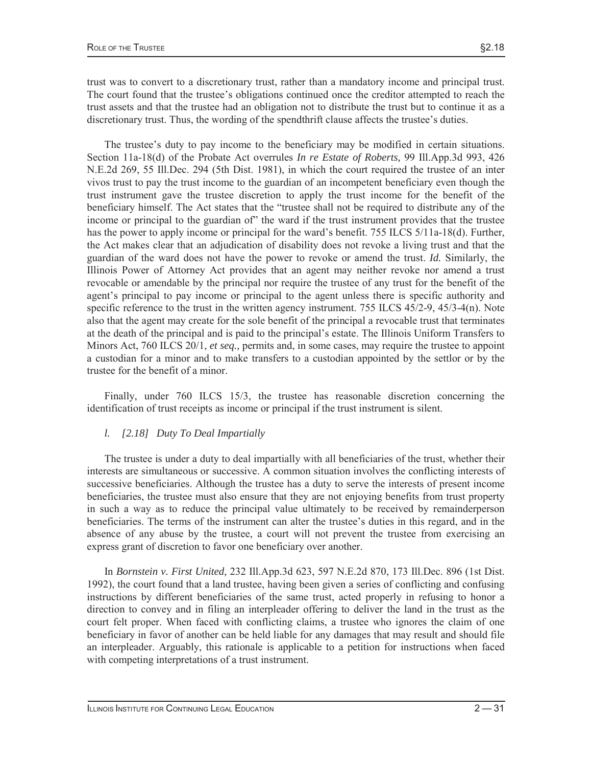trust was to convert to a discretionary trust, rather than a mandatory income and principal trust. The court found that the trustee's obligations continued once the creditor attempted to reach the trust assets and that the trustee had an obligation not to distribute the trust but to continue it as a discretionary trust. Thus, the wording of the spendthrift clause affects the trustee's duties.

 The trustee's duty to pay income to the beneficiary may be modified in certain situations. Section 11a-18(d) of the Probate Act overrules *In re Estate of Roberts,* 99 Ill.App.3d 993, 426 N.E.2d 269, 55 Ill.Dec. 294 (5th Dist. 1981), in which the court required the trustee of an inter vivos trust to pay the trust income to the guardian of an incompetent beneficiary even though the trust instrument gave the trustee discretion to apply the trust income for the benefit of the beneficiary himself. The Act states that the "trustee shall not be required to distribute any of the income or principal to the guardian of" the ward if the trust instrument provides that the trustee has the power to apply income or principal for the ward's benefit. 755 ILCS 5/11a-18(d). Further, the Act makes clear that an adjudication of disability does not revoke a living trust and that the guardian of the ward does not have the power to revoke or amend the trust. *Id.* Similarly, the Illinois Power of Attorney Act provides that an agent may neither revoke nor amend a trust revocable or amendable by the principal nor require the trustee of any trust for the benefit of the agent's principal to pay income or principal to the agent unless there is specific authority and specific reference to the trust in the written agency instrument. 755 ILCS 45/2-9, 45/3-4(n). Note also that the agent may create for the sole benefit of the principal a revocable trust that terminates at the death of the principal and is paid to the principal's estate. The Illinois Uniform Transfers to Minors Act, 760 ILCS 20/1, *et seq.,* permits and, in some cases, may require the trustee to appoint a custodian for a minor and to make transfers to a custodian appointed by the settlor or by the trustee for the benefit of a minor.

 Finally, under 760 ILCS 15/3, the trustee has reasonable discretion concerning the identification of trust receipts as income or principal if the trust instrument is silent.

#### *l. [2.18] Duty To Deal Impartially*

 The trustee is under a duty to deal impartially with all beneficiaries of the trust, whether their interests are simultaneous or successive. A common situation involves the conflicting interests of successive beneficiaries. Although the trustee has a duty to serve the interests of present income beneficiaries, the trustee must also ensure that they are not enjoying benefits from trust property in such a way as to reduce the principal value ultimately to be received by remainderperson beneficiaries. The terms of the instrument can alter the trustee's duties in this regard, and in the absence of any abuse by the trustee, a court will not prevent the trustee from exercising an express grant of discretion to favor one beneficiary over another.

 In *Bornstein v. First United,* 232 Ill.App.3d 623, 597 N.E.2d 870, 173 Ill.Dec. 896 (1st Dist. 1992), the court found that a land trustee, having been given a series of conflicting and confusing instructions by different beneficiaries of the same trust, acted properly in refusing to honor a direction to convey and in filing an interpleader offering to deliver the land in the trust as the court felt proper. When faced with conflicting claims, a trustee who ignores the claim of one beneficiary in favor of another can be held liable for any damages that may result and should file an interpleader. Arguably, this rationale is applicable to a petition for instructions when faced with competing interpretations of a trust instrument.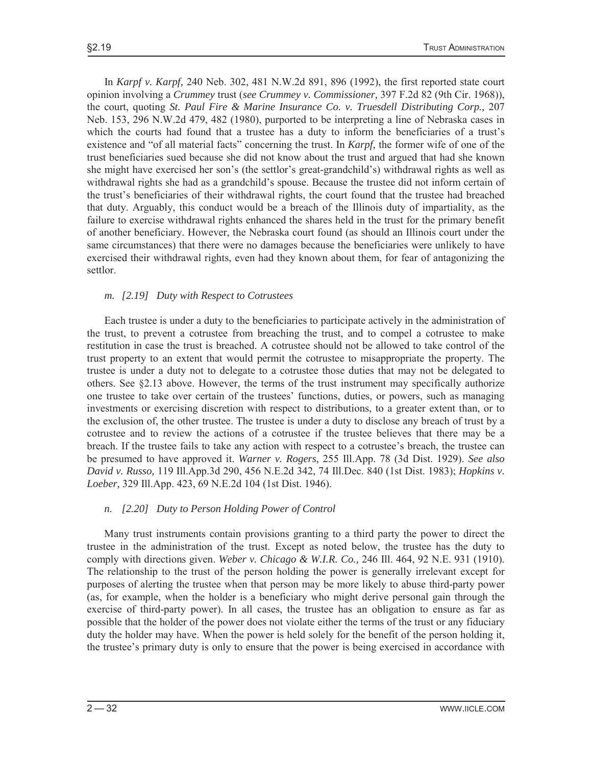In *Karpf v. Karpf,* 240 Neb. 302, 481 N.W.2d 891, 896 (1992), the first reported state court opinion involving a *Crummey* trust (*see Crummey v. Commissioner,* 397 F.2d 82 (9th Cir. 1968)), the court, quoting *St. Paul Fire & Marine Insurance Co. v. Truesdell Distributing Corp.,* 207 Neb. 153, 296 N.W.2d 479, 482 (1980), purported to be interpreting a line of Nebraska cases in which the courts had found that a trustee has a duty to inform the beneficiaries of a trust's existence and "of all material facts" concerning the trust. In *Karpf,* the former wife of one of the trust beneficiaries sued because she did not know about the trust and argued that had she known she might have exercised her son's (the settlor's great-grandchild's) withdrawal rights as well as withdrawal rights she had as a grandchild's spouse. Because the trustee did not inform certain of the trust's beneficiaries of their withdrawal rights, the court found that the trustee had breached that duty. Arguably, this conduct would be a breach of the Illinois duty of impartiality, as the failure to exercise withdrawal rights enhanced the shares held in the trust for the primary benefit of another beneficiary. However, the Nebraska court found (as should an Illinois court under the same circumstances) that there were no damages because the beneficiaries were unlikely to have exercised their withdrawal rights, even had they known about them, for fear of antagonizing the settlor.

#### *m. [2.19] Duty with Respect to Cotrustees*

 Each trustee is under a duty to the beneficiaries to participate actively in the administration of the trust, to prevent a cotrustee from breaching the trust, and to compel a cotrustee to make restitution in case the trust is breached. A cotrustee should not be allowed to take control of the trust property to an extent that would permit the cotrustee to misappropriate the property. The trustee is under a duty not to delegate to a cotrustee those duties that may not be delegated to others. See §2.13 above. However, the terms of the trust instrument may specifically authorize one trustee to take over certain of the trustees' functions, duties, or powers, such as managing investments or exercising discretion with respect to distributions, to a greater extent than, or to the exclusion of, the other trustee. The trustee is under a duty to disclose any breach of trust by a cotrustee and to review the actions of a cotrustee if the trustee believes that there may be a breach. If the trustee fails to take any action with respect to a cotrustee's breach, the trustee can be presumed to have approved it. *Warner v. Rogers,* 255 Ill.App. 78 (3d Dist. 1929). *See also David v. Russo,* 119 Ill.App.3d 290, 456 N.E.2d 342, 74 Ill.Dec. 840 (1st Dist. 1983); *Hopkins v. Loeber,* 329 Ill.App. 423, 69 N.E.2d 104 (1st Dist. 1946).

#### *n. [2.20] Duty to Person Holding Power of Control*

 Many trust instruments contain provisions granting to a third party the power to direct the trustee in the administration of the trust. Except as noted below, the trustee has the duty to comply with directions given. *Weber v. Chicago & W.I.R. Co.,* 246 Ill. 464, 92 N.E. 931 (1910). The relationship to the trust of the person holding the power is generally irrelevant except for purposes of alerting the trustee when that person may be more likely to abuse third-party power (as, for example, when the holder is a beneficiary who might derive personal gain through the exercise of third-party power). In all cases, the trustee has an obligation to ensure as far as possible that the holder of the power does not violate either the terms of the trust or any fiduciary duty the holder may have. When the power is held solely for the benefit of the person holding it, the trustee's primary duty is only to ensure that the power is being exercised in accordance with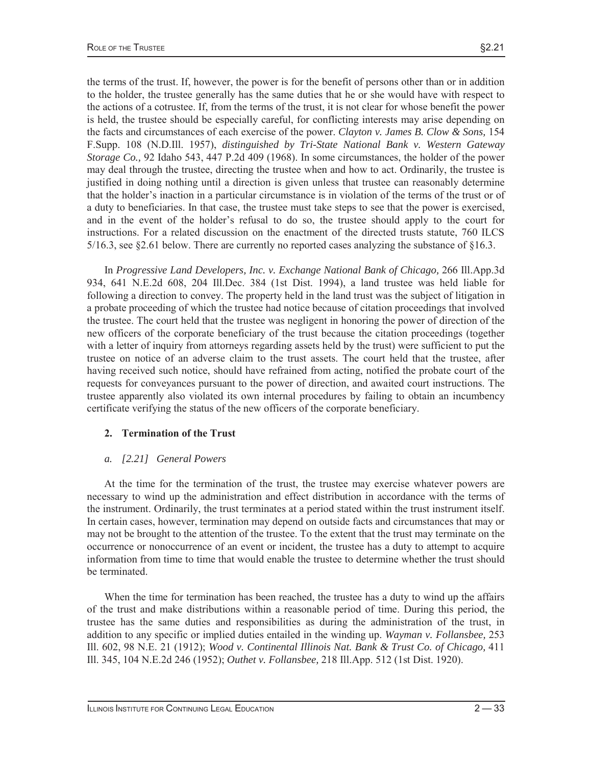the terms of the trust. If, however, the power is for the benefit of persons other than or in addition to the holder, the trustee generally has the same duties that he or she would have with respect to the actions of a cotrustee. If, from the terms of the trust, it is not clear for whose benefit the power is held, the trustee should be especially careful, for conflicting interests may arise depending on the facts and circumstances of each exercise of the power. *Clayton v. James B. Clow & Sons,* 154 F.Supp. 108 (N.D.Ill. 1957), *distinguished by Tri-State National Bank v. Western Gateway Storage Co.,* 92 Idaho 543, 447 P.2d 409 (1968). In some circumstances, the holder of the power may deal through the trustee, directing the trustee when and how to act. Ordinarily, the trustee is justified in doing nothing until a direction is given unless that trustee can reasonably determine that the holder's inaction in a particular circumstance is in violation of the terms of the trust or of a duty to beneficiaries. In that case, the trustee must take steps to see that the power is exercised, and in the event of the holder's refusal to do so, the trustee should apply to the court for instructions. For a related discussion on the enactment of the directed trusts statute, 760 ILCS 5/16.3, see §2.61 below. There are currently no reported cases analyzing the substance of §16.3.

 In *Progressive Land Developers, Inc. v. Exchange National Bank of Chicago,* 266 Ill.App.3d 934, 641 N.E.2d 608, 204 Ill.Dec. 384 (1st Dist. 1994), a land trustee was held liable for following a direction to convey. The property held in the land trust was the subject of litigation in a probate proceeding of which the trustee had notice because of citation proceedings that involved the trustee. The court held that the trustee was negligent in honoring the power of direction of the new officers of the corporate beneficiary of the trust because the citation proceedings (together with a letter of inquiry from attorneys regarding assets held by the trust) were sufficient to put the trustee on notice of an adverse claim to the trust assets. The court held that the trustee, after having received such notice, should have refrained from acting, notified the probate court of the requests for conveyances pursuant to the power of direction, and awaited court instructions. The trustee apparently also violated its own internal procedures by failing to obtain an incumbency certificate verifying the status of the new officers of the corporate beneficiary.

#### **2. Termination of the Trust**

#### *a. [2.21] General Powers*

 At the time for the termination of the trust, the trustee may exercise whatever powers are necessary to wind up the administration and effect distribution in accordance with the terms of the instrument. Ordinarily, the trust terminates at a period stated within the trust instrument itself. In certain cases, however, termination may depend on outside facts and circumstances that may or may not be brought to the attention of the trustee. To the extent that the trust may terminate on the occurrence or nonoccurrence of an event or incident, the trustee has a duty to attempt to acquire information from time to time that would enable the trustee to determine whether the trust should be terminated.

 When the time for termination has been reached, the trustee has a duty to wind up the affairs of the trust and make distributions within a reasonable period of time. During this period, the trustee has the same duties and responsibilities as during the administration of the trust, in addition to any specific or implied duties entailed in the winding up. *Wayman v. Follansbee,* 253 Ill. 602, 98 N.E. 21 (1912); *Wood v. Continental Illinois Nat. Bank & Trust Co. of Chicago,* 411 Ill. 345, 104 N.E.2d 246 (1952); *Outhet v. Follansbee,* 218 Ill.App. 512 (1st Dist. 1920).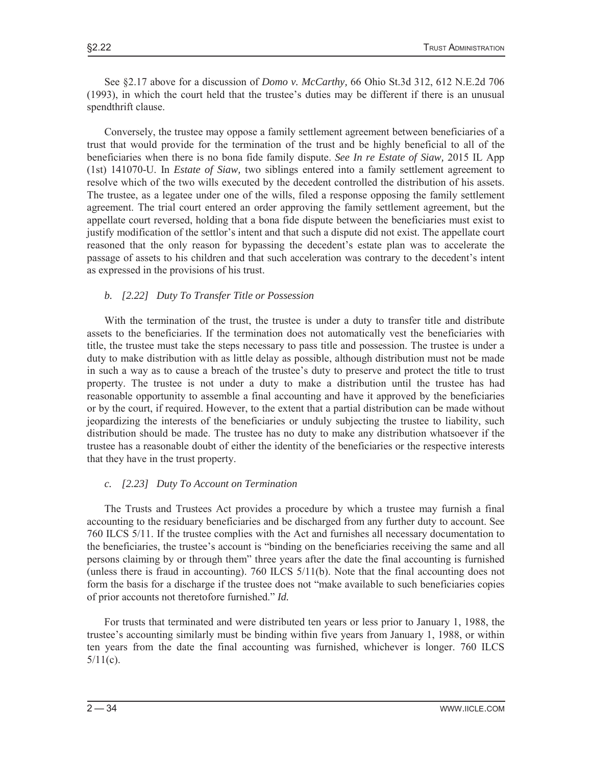See §2.17 above for a discussion of *Domo v. McCarthy,* 66 Ohio St.3d 312, 612 N.E.2d 706 (1993), in which the court held that the trustee's duties may be different if there is an unusual spendthrift clause.

 Conversely, the trustee may oppose a family settlement agreement between beneficiaries of a trust that would provide for the termination of the trust and be highly beneficial to all of the beneficiaries when there is no bona fide family dispute. *See In re Estate of Siaw,* 2015 IL App (1st) 141070-U. In *Estate of Siaw,* two siblings entered into a family settlement agreement to resolve which of the two wills executed by the decedent controlled the distribution of his assets. The trustee, as a legatee under one of the wills, filed a response opposing the family settlement agreement. The trial court entered an order approving the family settlement agreement, but the appellate court reversed, holding that a bona fide dispute between the beneficiaries must exist to justify modification of the settlor's intent and that such a dispute did not exist. The appellate court reasoned that the only reason for bypassing the decedent's estate plan was to accelerate the passage of assets to his children and that such acceleration was contrary to the decedent's intent as expressed in the provisions of his trust.

#### *b. [2.22] Duty To Transfer Title or Possession*

With the termination of the trust, the trustee is under a duty to transfer title and distribute assets to the beneficiaries. If the termination does not automatically vest the beneficiaries with title, the trustee must take the steps necessary to pass title and possession. The trustee is under a duty to make distribution with as little delay as possible, although distribution must not be made in such a way as to cause a breach of the trustee's duty to preserve and protect the title to trust property. The trustee is not under a duty to make a distribution until the trustee has had reasonable opportunity to assemble a final accounting and have it approved by the beneficiaries or by the court, if required. However, to the extent that a partial distribution can be made without jeopardizing the interests of the beneficiaries or unduly subjecting the trustee to liability, such distribution should be made. The trustee has no duty to make any distribution whatsoever if the trustee has a reasonable doubt of either the identity of the beneficiaries or the respective interests that they have in the trust property.

#### *c. [2.23] Duty To Account on Termination*

 The Trusts and Trustees Act provides a procedure by which a trustee may furnish a final accounting to the residuary beneficiaries and be discharged from any further duty to account. See 760 ILCS 5/11. If the trustee complies with the Act and furnishes all necessary documentation to the beneficiaries, the trustee's account is "binding on the beneficiaries receiving the same and all persons claiming by or through them" three years after the date the final accounting is furnished (unless there is fraud in accounting). 760 ILCS 5/11(b). Note that the final accounting does not form the basis for a discharge if the trustee does not "make available to such beneficiaries copies of prior accounts not theretofore furnished." *Id.* 

 For trusts that terminated and were distributed ten years or less prior to January 1, 1988, the trustee's accounting similarly must be binding within five years from January 1, 1988, or within ten years from the date the final accounting was furnished, whichever is longer. 760 ILCS  $5/11(c)$ .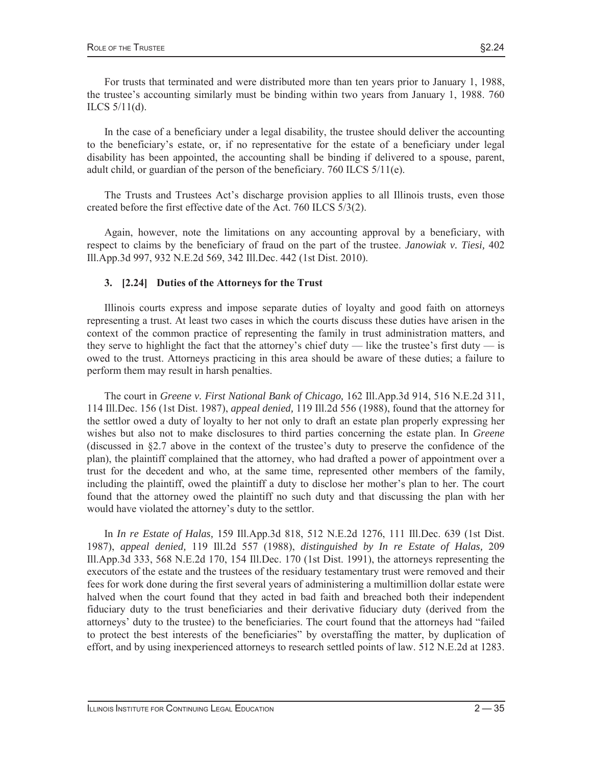For trusts that terminated and were distributed more than ten years prior to January 1, 1988, the trustee's accounting similarly must be binding within two years from January 1, 1988. 760 ILCS 5/11(d).

 In the case of a beneficiary under a legal disability, the trustee should deliver the accounting to the beneficiary's estate, or, if no representative for the estate of a beneficiary under legal disability has been appointed, the accounting shall be binding if delivered to a spouse, parent, adult child, or guardian of the person of the beneficiary. 760 ILCS 5/11(e).

 The Trusts and Trustees Act's discharge provision applies to all Illinois trusts, even those created before the first effective date of the Act. 760 ILCS 5/3(2).

 Again, however, note the limitations on any accounting approval by a beneficiary, with respect to claims by the beneficiary of fraud on the part of the trustee. *Janowiak v. Tiesi,* 402 Ill.App.3d 997, 932 N.E.2d 569, 342 Ill.Dec. 442 (1st Dist. 2010).

#### **3. [2.24] Duties of the Attorneys for the Trust**

 Illinois courts express and impose separate duties of loyalty and good faith on attorneys representing a trust. At least two cases in which the courts discuss these duties have arisen in the context of the common practice of representing the family in trust administration matters, and they serve to highlight the fact that the attorney's chief duty — like the trustee's first duty — is owed to the trust. Attorneys practicing in this area should be aware of these duties; a failure to perform them may result in harsh penalties.

 The court in *Greene v. First National Bank of Chicago,* 162 Ill.App.3d 914, 516 N.E.2d 311, 114 Ill.Dec. 156 (1st Dist. 1987), *appeal denied,* 119 Ill.2d 556 (1988), found that the attorney for the settlor owed a duty of loyalty to her not only to draft an estate plan properly expressing her wishes but also not to make disclosures to third parties concerning the estate plan. In *Greene*  (discussed in §2.7 above in the context of the trustee's duty to preserve the confidence of the plan), the plaintiff complained that the attorney, who had drafted a power of appointment over a trust for the decedent and who, at the same time, represented other members of the family, including the plaintiff, owed the plaintiff a duty to disclose her mother's plan to her. The court found that the attorney owed the plaintiff no such duty and that discussing the plan with her would have violated the attorney's duty to the settlor.

 In *In re Estate of Halas,* 159 Ill.App.3d 818, 512 N.E.2d 1276, 111 Ill.Dec. 639 (1st Dist. 1987), *appeal denied,* 119 Ill.2d 557 (1988), *distinguished by In re Estate of Halas,* 209 Ill.App.3d 333, 568 N.E.2d 170, 154 Ill.Dec. 170 (1st Dist. 1991), the attorneys representing the executors of the estate and the trustees of the residuary testamentary trust were removed and their fees for work done during the first several years of administering a multimillion dollar estate were halved when the court found that they acted in bad faith and breached both their independent fiduciary duty to the trust beneficiaries and their derivative fiduciary duty (derived from the attorneys' duty to the trustee) to the beneficiaries. The court found that the attorneys had "failed to protect the best interests of the beneficiaries" by overstaffing the matter, by duplication of effort, and by using inexperienced attorneys to research settled points of law. 512 N.E.2d at 1283.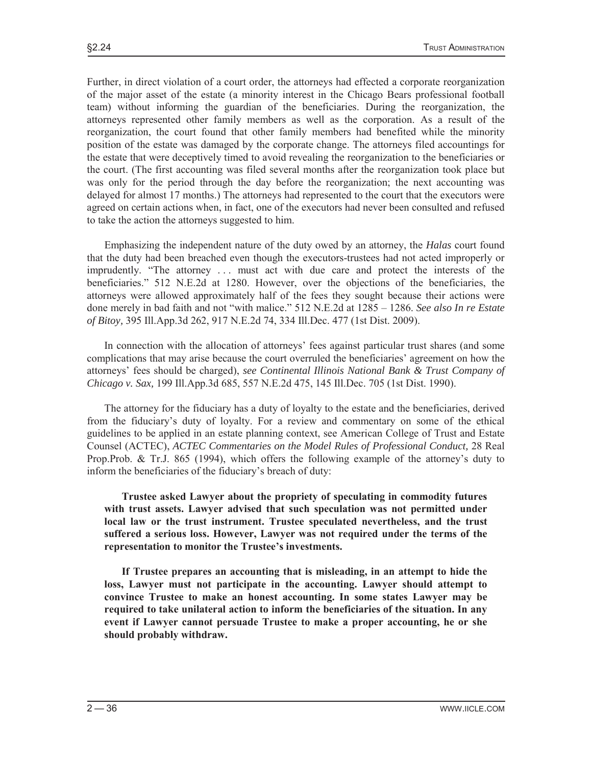Further, in direct violation of a court order, the attorneys had effected a corporate reorganization of the major asset of the estate (a minority interest in the Chicago Bears professional football team) without informing the guardian of the beneficiaries. During the reorganization, the attorneys represented other family members as well as the corporation. As a result of the reorganization, the court found that other family members had benefited while the minority position of the estate was damaged by the corporate change. The attorneys filed accountings for the estate that were deceptively timed to avoid revealing the reorganization to the beneficiaries or the court. (The first accounting was filed several months after the reorganization took place but was only for the period through the day before the reorganization; the next accounting was delayed for almost 17 months.) The attorneys had represented to the court that the executors were agreed on certain actions when, in fact, one of the executors had never been consulted and refused to take the action the attorneys suggested to him.

 Emphasizing the independent nature of the duty owed by an attorney, the *Halas* court found that the duty had been breached even though the executors-trustees had not acted improperly or imprudently. "The attorney . . . must act with due care and protect the interests of the beneficiaries." 512 N.E.2d at 1280. However, over the objections of the beneficiaries, the attorneys were allowed approximately half of the fees they sought because their actions were done merely in bad faith and not "with malice." 512 N.E.2d at 1285 – 1286. *See also In re Estate of Bitoy,* 395 Ill.App.3d 262, 917 N.E.2d 74, 334 Ill.Dec. 477 (1st Dist. 2009).

 In connection with the allocation of attorneys' fees against particular trust shares (and some complications that may arise because the court overruled the beneficiaries' agreement on how the attorneys' fees should be charged), *see Continental Illinois National Bank & Trust Company of Chicago v. Sax,* 199 Ill.App.3d 685, 557 N.E.2d 475, 145 Ill.Dec. 705 (1st Dist. 1990).

 The attorney for the fiduciary has a duty of loyalty to the estate and the beneficiaries, derived from the fiduciary's duty of loyalty. For a review and commentary on some of the ethical guidelines to be applied in an estate planning context, see American College of Trust and Estate Counsel (ACTEC), *ACTEC Commentaries on the Model Rules of Professional Conduct,* 28 Real Prop.Prob. & Tr.J. 865 (1994), which offers the following example of the attorney's duty to inform the beneficiaries of the fiduciary's breach of duty:

 **Trustee asked Lawyer about the propriety of speculating in commodity futures with trust assets. Lawyer advised that such speculation was not permitted under local law or the trust instrument. Trustee speculated nevertheless, and the trust suffered a serious loss. However, Lawyer was not required under the terms of the representation to monitor the Trustee's investments.** 

 **If Trustee prepares an accounting that is misleading, in an attempt to hide the loss, Lawyer must not participate in the accounting. Lawyer should attempt to convince Trustee to make an honest accounting. In some states Lawyer may be required to take unilateral action to inform the beneficiaries of the situation. In any event if Lawyer cannot persuade Trustee to make a proper accounting, he or she should probably withdraw.**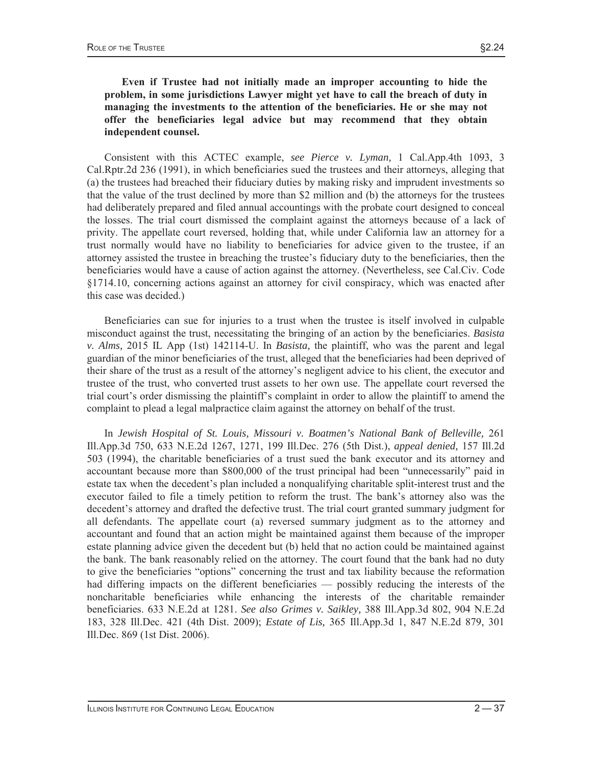**Even if Trustee had not initially made an improper accounting to hide the problem, in some jurisdictions Lawyer might yet have to call the breach of duty in managing the investments to the attention of the beneficiaries. He or she may not offer the beneficiaries legal advice but may recommend that they obtain independent counsel.** 

 Consistent with this ACTEC example, *see Pierce v. Lyman,* 1 Cal.App.4th 1093, 3 Cal.Rptr.2d 236 (1991), in which beneficiaries sued the trustees and their attorneys, alleging that (a) the trustees had breached their fiduciary duties by making risky and imprudent investments so that the value of the trust declined by more than \$2 million and (b) the attorneys for the trustees had deliberately prepared and filed annual accountings with the probate court designed to conceal the losses. The trial court dismissed the complaint against the attorneys because of a lack of privity. The appellate court reversed, holding that, while under California law an attorney for a trust normally would have no liability to beneficiaries for advice given to the trustee, if an attorney assisted the trustee in breaching the trustee's fiduciary duty to the beneficiaries, then the beneficiaries would have a cause of action against the attorney. (Nevertheless, see Cal.Civ. Code §1714.10, concerning actions against an attorney for civil conspiracy, which was enacted after this case was decided.)

 Beneficiaries can sue for injuries to a trust when the trustee is itself involved in culpable misconduct against the trust, necessitating the bringing of an action by the beneficiaries. *Basista v. Alms,* 2015 IL App (1st) 142114-U. In *Basista,* the plaintiff, who was the parent and legal guardian of the minor beneficiaries of the trust, alleged that the beneficiaries had been deprived of their share of the trust as a result of the attorney's negligent advice to his client, the executor and trustee of the trust, who converted trust assets to her own use. The appellate court reversed the trial court's order dismissing the plaintiff's complaint in order to allow the plaintiff to amend the complaint to plead a legal malpractice claim against the attorney on behalf of the trust.

In *Jewish Hospital of St. Louis, Missouri v. Boatmen's National Bank of Belleville, 261* Ill.App.3d 750, 633 N.E.2d 1267, 1271, 199 Ill.Dec. 276 (5th Dist.), *appeal denied,* 157 Ill.2d 503 (1994), the charitable beneficiaries of a trust sued the bank executor and its attorney and accountant because more than \$800,000 of the trust principal had been "unnecessarily" paid in estate tax when the decedent's plan included a nonqualifying charitable split-interest trust and the executor failed to file a timely petition to reform the trust. The bank's attorney also was the decedent's attorney and drafted the defective trust. The trial court granted summary judgment for all defendants. The appellate court (a) reversed summary judgment as to the attorney and accountant and found that an action might be maintained against them because of the improper estate planning advice given the decedent but (b) held that no action could be maintained against the bank. The bank reasonably relied on the attorney. The court found that the bank had no duty to give the beneficiaries "options" concerning the trust and tax liability because the reformation had differing impacts on the different beneficiaries — possibly reducing the interests of the noncharitable beneficiaries while enhancing the interests of the charitable remainder beneficiaries. 633 N.E.2d at 1281. *See also Grimes v. Saikley,* 388 Ill.App.3d 802, 904 N.E.2d 183, 328 Ill.Dec. 421 (4th Dist. 2009); *Estate of Lis,* 365 Ill.App.3d 1, 847 N.E.2d 879, 301 Ill.Dec. 869 (1st Dist. 2006).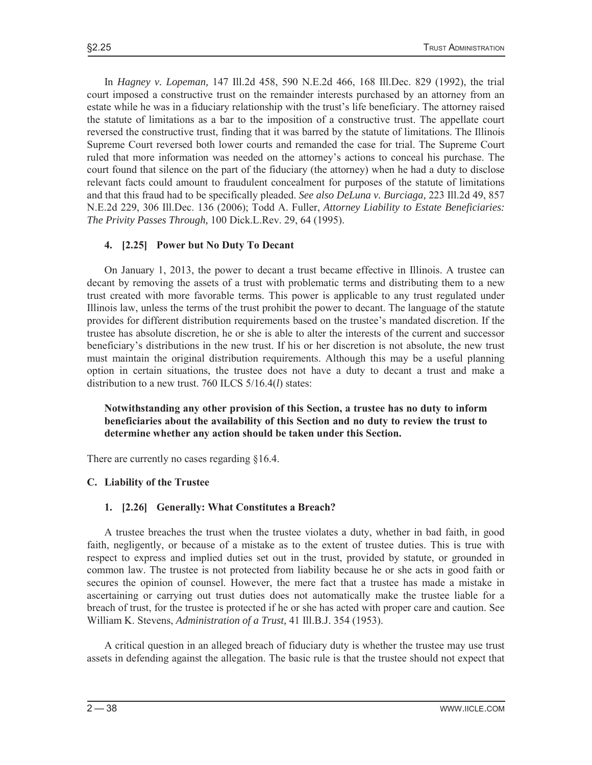In *Hagney v. Lopeman,* 147 Ill.2d 458, 590 N.E.2d 466, 168 Ill.Dec. 829 (1992), the trial court imposed a constructive trust on the remainder interests purchased by an attorney from an estate while he was in a fiduciary relationship with the trust's life beneficiary. The attorney raised the statute of limitations as a bar to the imposition of a constructive trust. The appellate court reversed the constructive trust, finding that it was barred by the statute of limitations. The Illinois Supreme Court reversed both lower courts and remanded the case for trial. The Supreme Court ruled that more information was needed on the attorney's actions to conceal his purchase. The court found that silence on the part of the fiduciary (the attorney) when he had a duty to disclose relevant facts could amount to fraudulent concealment for purposes of the statute of limitations and that this fraud had to be specifically pleaded. *See also DeLuna v. Burciaga,* 223 Ill.2d 49, 857 N.E.2d 229, 306 Ill.Dec. 136 (2006); Todd A. Fuller, *Attorney Liability to Estate Beneficiaries: The Privity Passes Through,* 100 Dick.L.Rev. 29, 64 (1995).

## **4. [2.25] Power but No Duty To Decant**

 On January 1, 2013, the power to decant a trust became effective in Illinois. A trustee can decant by removing the assets of a trust with problematic terms and distributing them to a new trust created with more favorable terms. This power is applicable to any trust regulated under Illinois law, unless the terms of the trust prohibit the power to decant. The language of the statute provides for different distribution requirements based on the trustee's mandated discretion. If the trustee has absolute discretion, he or she is able to alter the interests of the current and successor beneficiary's distributions in the new trust. If his or her discretion is not absolute, the new trust must maintain the original distribution requirements. Although this may be a useful planning option in certain situations, the trustee does not have a duty to decant a trust and make a distribution to a new trust. 760 ILCS 5/16.4(*l*) states:

## **Notwithstanding any other provision of this Section, a trustee has no duty to inform beneficiaries about the availability of this Section and no duty to review the trust to determine whether any action should be taken under this Section.**

There are currently no cases regarding §16.4.

#### **C. Liability of the Trustee**

#### **1. [2.26] Generally: What Constitutes a Breach?**

 A trustee breaches the trust when the trustee violates a duty, whether in bad faith, in good faith, negligently, or because of a mistake as to the extent of trustee duties. This is true with respect to express and implied duties set out in the trust, provided by statute, or grounded in common law. The trustee is not protected from liability because he or she acts in good faith or secures the opinion of counsel. However, the mere fact that a trustee has made a mistake in ascertaining or carrying out trust duties does not automatically make the trustee liable for a breach of trust, for the trustee is protected if he or she has acted with proper care and caution. See William K. Stevens, *Administration of a Trust,* 41 Ill.B.J. 354 (1953).

 A critical question in an alleged breach of fiduciary duty is whether the trustee may use trust assets in defending against the allegation. The basic rule is that the trustee should not expect that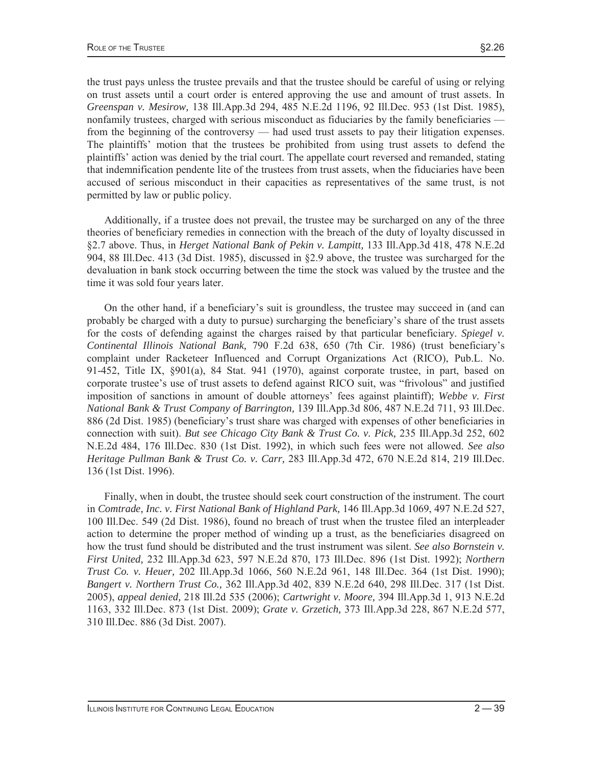the trust pays unless the trustee prevails and that the trustee should be careful of using or relying on trust assets until a court order is entered approving the use and amount of trust assets. In *Greenspan v. Mesirow,* 138 Ill.App.3d 294, 485 N.E.2d 1196, 92 Ill.Dec. 953 (1st Dist. 1985), nonfamily trustees, charged with serious misconduct as fiduciaries by the family beneficiaries from the beginning of the controversy — had used trust assets to pay their litigation expenses. The plaintiffs' motion that the trustees be prohibited from using trust assets to defend the plaintiffs' action was denied by the trial court. The appellate court reversed and remanded, stating that indemnification pendente lite of the trustees from trust assets, when the fiduciaries have been accused of serious misconduct in their capacities as representatives of the same trust, is not permitted by law or public policy.

 Additionally, if a trustee does not prevail, the trustee may be surcharged on any of the three theories of beneficiary remedies in connection with the breach of the duty of loyalty discussed in §2.7 above. Thus, in *Herget National Bank of Pekin v. Lampitt,* 133 Ill.App.3d 418, 478 N.E.2d 904, 88 Ill.Dec. 413 (3d Dist. 1985), discussed in §2.9 above, the trustee was surcharged for the devaluation in bank stock occurring between the time the stock was valued by the trustee and the time it was sold four years later.

 On the other hand, if a beneficiary's suit is groundless, the trustee may succeed in (and can probably be charged with a duty to pursue) surcharging the beneficiary's share of the trust assets for the costs of defending against the charges raised by that particular beneficiary. *Spiegel v. Continental Illinois National Bank,* 790 F.2d 638, 650 (7th Cir. 1986) (trust beneficiary's complaint under Racketeer Influenced and Corrupt Organizations Act (RICO), Pub.L. No. 91-452, Title IX, §901(a), 84 Stat. 941 (1970), against corporate trustee, in part, based on corporate trustee's use of trust assets to defend against RICO suit, was "frivolous" and justified imposition of sanctions in amount of double attorneys' fees against plaintiff); *Webbe v. First National Bank & Trust Company of Barrington,* 139 Ill.App.3d 806, 487 N.E.2d 711, 93 Ill.Dec. 886 (2d Dist. 1985) (beneficiary's trust share was charged with expenses of other beneficiaries in connection with suit). *But see Chicago City Bank & Trust Co. v. Pick,* 235 Ill.App.3d 252, 602 N.E.2d 484, 176 Ill.Dec. 830 (1st Dist. 1992), in which such fees were not allowed. *See also Heritage Pullman Bank & Trust Co. v. Carr,* 283 Ill.App.3d 472, 670 N.E.2d 814, 219 Ill.Dec. 136 (1st Dist. 1996).

 Finally, when in doubt, the trustee should seek court construction of the instrument. The court in *Comtrade, Inc. v. First National Bank of Highland Park,* 146 Ill.App.3d 1069, 497 N.E.2d 527, 100 Ill.Dec. 549 (2d Dist. 1986), found no breach of trust when the trustee filed an interpleader action to determine the proper method of winding up a trust, as the beneficiaries disagreed on how the trust fund should be distributed and the trust instrument was silent. *See also Bornstein v. First United,* 232 Ill.App.3d 623, 597 N.E.2d 870, 173 Ill.Dec. 896 (1st Dist. 1992); *Northern Trust Co. v. Heuer,* 202 Ill.App.3d 1066, 560 N.E.2d 961, 148 Ill.Dec. 364 (1st Dist. 1990); *Bangert v. Northern Trust Co.,* 362 Ill.App.3d 402, 839 N.E.2d 640, 298 Ill.Dec. 317 (1st Dist. 2005), *appeal denied,* 218 Ill.2d 535 (2006); *Cartwright v. Moore,* 394 Ill.App.3d 1, 913 N.E.2d 1163, 332 Ill.Dec. 873 (1st Dist. 2009); *Grate v. Grzetich,* 373 Ill.App.3d 228, 867 N.E.2d 577, 310 Ill.Dec. 886 (3d Dist. 2007).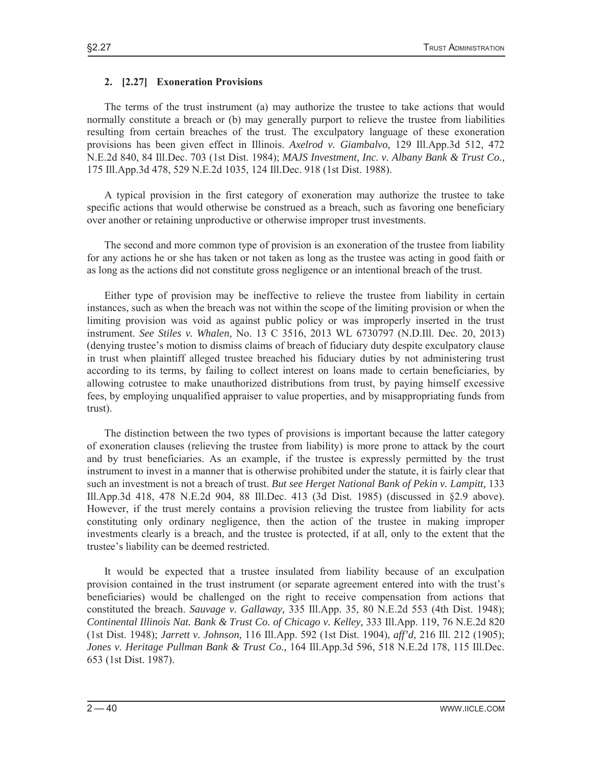## **2. [2.27] Exoneration Provisions**

 The terms of the trust instrument (a) may authorize the trustee to take actions that would normally constitute a breach or (b) may generally purport to relieve the trustee from liabilities resulting from certain breaches of the trust. The exculpatory language of these exoneration provisions has been given effect in Illinois. *Axelrod v. Giambalvo,* 129 Ill.App.3d 512, 472 N.E.2d 840, 84 Ill.Dec. 703 (1st Dist. 1984); *MAJS Investment, Inc. v. Albany Bank & Trust Co.,*  175 Ill.App.3d 478, 529 N.E.2d 1035, 124 Ill.Dec. 918 (1st Dist. 1988).

 A typical provision in the first category of exoneration may authorize the trustee to take specific actions that would otherwise be construed as a breach, such as favoring one beneficiary over another or retaining unproductive or otherwise improper trust investments.

 The second and more common type of provision is an exoneration of the trustee from liability for any actions he or she has taken or not taken as long as the trustee was acting in good faith or as long as the actions did not constitute gross negligence or an intentional breach of the trust.

 Either type of provision may be ineffective to relieve the trustee from liability in certain instances, such as when the breach was not within the scope of the limiting provision or when the limiting provision was void as against public policy or was improperly inserted in the trust instrument. *See Stiles v. Whalen,* No. 13 C 3516, 2013 WL 6730797 (N.D.Ill. Dec. 20, 2013) (denying trustee's motion to dismiss claims of breach of fiduciary duty despite exculpatory clause in trust when plaintiff alleged trustee breached his fiduciary duties by not administering trust according to its terms, by failing to collect interest on loans made to certain beneficiaries, by allowing cotrustee to make unauthorized distributions from trust, by paying himself excessive fees, by employing unqualified appraiser to value properties, and by misappropriating funds from trust).

 The distinction between the two types of provisions is important because the latter category of exoneration clauses (relieving the trustee from liability) is more prone to attack by the court and by trust beneficiaries. As an example, if the trustee is expressly permitted by the trust instrument to invest in a manner that is otherwise prohibited under the statute, it is fairly clear that such an investment is not a breach of trust. *But see Herget National Bank of Pekin v. Lampitt,* 133 Ill.App.3d 418, 478 N.E.2d 904, 88 Ill.Dec. 413 (3d Dist. 1985) (discussed in §2.9 above). However, if the trust merely contains a provision relieving the trustee from liability for acts constituting only ordinary negligence, then the action of the trustee in making improper investments clearly is a breach, and the trustee is protected, if at all, only to the extent that the trustee's liability can be deemed restricted.

 It would be expected that a trustee insulated from liability because of an exculpation provision contained in the trust instrument (or separate agreement entered into with the trust's beneficiaries) would be challenged on the right to receive compensation from actions that constituted the breach. *Sauvage v. Gallaway,* 335 Ill.App. 35, 80 N.E.2d 553 (4th Dist. 1948); *Continental Illinois Nat. Bank & Trust Co. of Chicago v. Kelley,* 333 Ill.App. 119, 76 N.E.2d 820 (1st Dist. 1948); *Jarrett v. Johnson,* 116 Ill.App. 592 (1st Dist. 1904), *aff'd,* 216 Ill. 212 (1905); *Jones v. Heritage Pullman Bank & Trust Co.,* 164 Ill.App.3d 596, 518 N.E.2d 178, 115 Ill.Dec. 653 (1st Dist. 1987).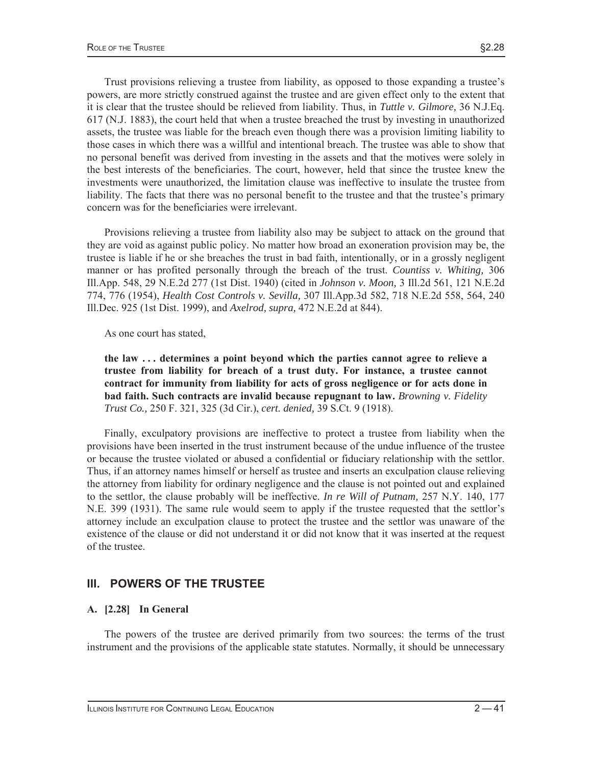Trust provisions relieving a trustee from liability, as opposed to those expanding a trustee's powers, are more strictly construed against the trustee and are given effect only to the extent that it is clear that the trustee should be relieved from liability. Thus, in *Tuttle v. Gilmore,* 36 N.J.Eq. 617 (N.J. 1883), the court held that when a trustee breached the trust by investing in unauthorized assets, the trustee was liable for the breach even though there was a provision limiting liability to those cases in which there was a willful and intentional breach. The trustee was able to show that no personal benefit was derived from investing in the assets and that the motives were solely in the best interests of the beneficiaries. The court, however, held that since the trustee knew the investments were unauthorized, the limitation clause was ineffective to insulate the trustee from liability. The facts that there was no personal benefit to the trustee and that the trustee's primary concern was for the beneficiaries were irrelevant.

 Provisions relieving a trustee from liability also may be subject to attack on the ground that they are void as against public policy. No matter how broad an exoneration provision may be, the trustee is liable if he or she breaches the trust in bad faith, intentionally, or in a grossly negligent manner or has profited personally through the breach of the trust. *Countiss v. Whiting,* 306 Ill.App. 548, 29 N.E.2d 277 (1st Dist. 1940) (cited in *Johnson v. Moon,* 3 Ill.2d 561, 121 N.E.2d 774, 776 (1954), *Health Cost Controls v. Sevilla,* 307 Ill.App.3d 582, 718 N.E.2d 558, 564, 240 Ill.Dec. 925 (1st Dist. 1999), and *Axelrod, supra,* 472 N.E.2d at 844).

As one court has stated,

**the law . . . determines a point beyond which the parties cannot agree to relieve a trustee from liability for breach of a trust duty. For instance, a trustee cannot contract for immunity from liability for acts of gross negligence or for acts done in bad faith. Such contracts are invalid because repugnant to law.** *Browning v. Fidelity Trust Co.,* 250 F. 321, 325 (3d Cir.), *cert. denied,* 39 S.Ct. 9 (1918).

 Finally, exculpatory provisions are ineffective to protect a trustee from liability when the provisions have been inserted in the trust instrument because of the undue influence of the trustee or because the trustee violated or abused a confidential or fiduciary relationship with the settlor. Thus, if an attorney names himself or herself as trustee and inserts an exculpation clause relieving the attorney from liability for ordinary negligence and the clause is not pointed out and explained to the settlor, the clause probably will be ineffective. *In re Will of Putnam,* 257 N.Y. 140, 177 N.E. 399 (1931). The same rule would seem to apply if the trustee requested that the settlor's attorney include an exculpation clause to protect the trustee and the settlor was unaware of the existence of the clause or did not understand it or did not know that it was inserted at the request of the trustee.

# **III. POWERS OF THE TRUSTEE**

## **A. [2.28] In General**

 The powers of the trustee are derived primarily from two sources: the terms of the trust instrument and the provisions of the applicable state statutes. Normally, it should be unnecessary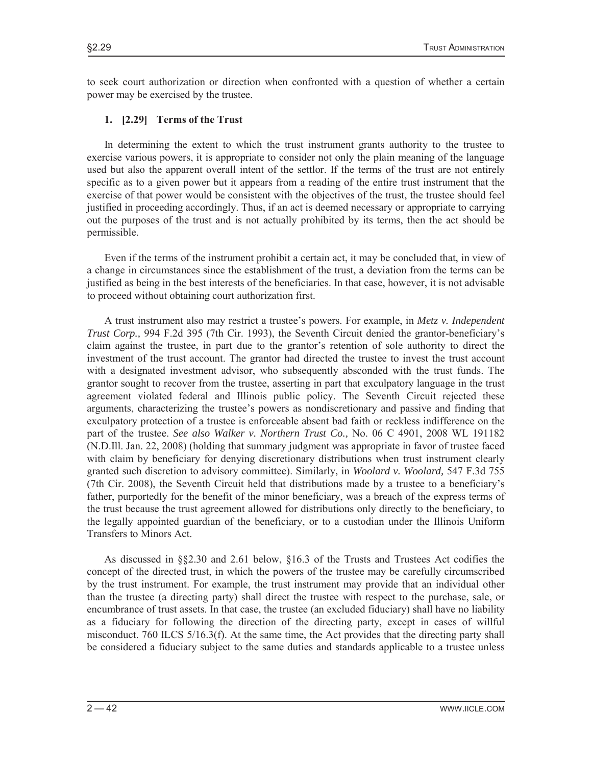to seek court authorization or direction when confronted with a question of whether a certain power may be exercised by the trustee.

## **1. [2.29] Terms of the Trust**

 In determining the extent to which the trust instrument grants authority to the trustee to exercise various powers, it is appropriate to consider not only the plain meaning of the language used but also the apparent overall intent of the settlor. If the terms of the trust are not entirely specific as to a given power but it appears from a reading of the entire trust instrument that the exercise of that power would be consistent with the objectives of the trust, the trustee should feel justified in proceeding accordingly. Thus, if an act is deemed necessary or appropriate to carrying out the purposes of the trust and is not actually prohibited by its terms, then the act should be permissible.

 Even if the terms of the instrument prohibit a certain act, it may be concluded that, in view of a change in circumstances since the establishment of the trust, a deviation from the terms can be justified as being in the best interests of the beneficiaries. In that case, however, it is not advisable to proceed without obtaining court authorization first.

 A trust instrument also may restrict a trustee's powers. For example, in *Metz v. Independent Trust Corp.,* 994 F.2d 395 (7th Cir. 1993), the Seventh Circuit denied the grantor-beneficiary's claim against the trustee, in part due to the grantor's retention of sole authority to direct the investment of the trust account. The grantor had directed the trustee to invest the trust account with a designated investment advisor, who subsequently absconded with the trust funds. The grantor sought to recover from the trustee, asserting in part that exculpatory language in the trust agreement violated federal and Illinois public policy. The Seventh Circuit rejected these arguments, characterizing the trustee's powers as nondiscretionary and passive and finding that exculpatory protection of a trustee is enforceable absent bad faith or reckless indifference on the part of the trustee. *See also Walker v. Northern Trust Co.,* No. 06 C 4901, 2008 WL 191182 (N.D.Ill. Jan. 22, 2008) (holding that summary judgment was appropriate in favor of trustee faced with claim by beneficiary for denying discretionary distributions when trust instrument clearly granted such discretion to advisory committee). Similarly, in *Woolard v. Woolard,* 547 F.3d 755 (7th Cir. 2008), the Seventh Circuit held that distributions made by a trustee to a beneficiary's father, purportedly for the benefit of the minor beneficiary, was a breach of the express terms of the trust because the trust agreement allowed for distributions only directly to the beneficiary, to the legally appointed guardian of the beneficiary, or to a custodian under the Illinois Uniform Transfers to Minors Act.

 As discussed in §§2.30 and 2.61 below, §16.3 of the Trusts and Trustees Act codifies the concept of the directed trust, in which the powers of the trustee may be carefully circumscribed by the trust instrument. For example, the trust instrument may provide that an individual other than the trustee (a directing party) shall direct the trustee with respect to the purchase, sale, or encumbrance of trust assets. In that case, the trustee (an excluded fiduciary) shall have no liability as a fiduciary for following the direction of the directing party, except in cases of willful misconduct. 760 ILCS 5/16.3(f). At the same time, the Act provides that the directing party shall be considered a fiduciary subject to the same duties and standards applicable to a trustee unless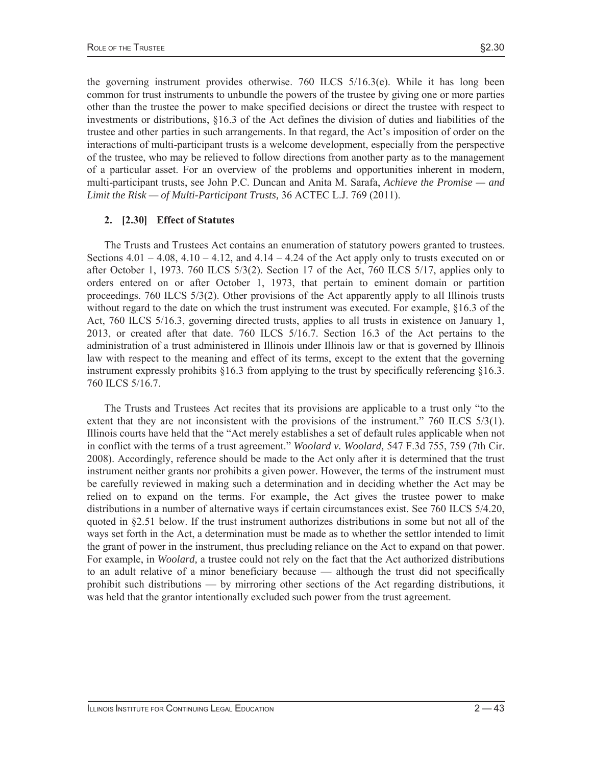the governing instrument provides otherwise. 760 ILCS  $5/16.3$ (e). While it has long been common for trust instruments to unbundle the powers of the trustee by giving one or more parties other than the trustee the power to make specified decisions or direct the trustee with respect to investments or distributions, §16.3 of the Act defines the division of duties and liabilities of the trustee and other parties in such arrangements. In that regard, the Act's imposition of order on the interactions of multi-participant trusts is a welcome development, especially from the perspective of the trustee, who may be relieved to follow directions from another party as to the management of a particular asset. For an overview of the problems and opportunities inherent in modern, multi-participant trusts, see John P.C. Duncan and Anita M. Sarafa, *Achieve the Promise — and Limit the Risk — of Multi-Participant Trusts,* 36 ACTEC L.J. 769 (2011).

#### **2. [2.30] Effect of Statutes**

 The Trusts and Trustees Act contains an enumeration of statutory powers granted to trustees. Sections  $4.01 - 4.08$ ,  $4.10 - 4.12$ , and  $4.14 - 4.24$  of the Act apply only to trusts executed on or after October 1, 1973. 760 ILCS 5/3(2). Section 17 of the Act, 760 ILCS 5/17, applies only to orders entered on or after October 1, 1973, that pertain to eminent domain or partition proceedings. 760 ILCS 5/3(2). Other provisions of the Act apparently apply to all Illinois trusts without regard to the date on which the trust instrument was executed. For example, §16.3 of the Act, 760 ILCS 5/16.3, governing directed trusts, applies to all trusts in existence on January 1, 2013, or created after that date. 760 ILCS 5/16.7. Section 16.3 of the Act pertains to the administration of a trust administered in Illinois under Illinois law or that is governed by Illinois law with respect to the meaning and effect of its terms, except to the extent that the governing instrument expressly prohibits  $§16.3$  from applying to the trust by specifically referencing  $§16.3$ . 760 ILCS 5/16.7.

 The Trusts and Trustees Act recites that its provisions are applicable to a trust only "to the extent that they are not inconsistent with the provisions of the instrument." 760 ILCS 5/3(1). Illinois courts have held that the "Act merely establishes a set of default rules applicable when not in conflict with the terms of a trust agreement." *Woolard v. Woolard,* 547 F.3d 755, 759 (7th Cir. 2008). Accordingly, reference should be made to the Act only after it is determined that the trust instrument neither grants nor prohibits a given power. However, the terms of the instrument must be carefully reviewed in making such a determination and in deciding whether the Act may be relied on to expand on the terms. For example, the Act gives the trustee power to make distributions in a number of alternative ways if certain circumstances exist. See 760 ILCS 5/4.20, quoted in §2.51 below. If the trust instrument authorizes distributions in some but not all of the ways set forth in the Act, a determination must be made as to whether the settlor intended to limit the grant of power in the instrument, thus precluding reliance on the Act to expand on that power. For example, in *Woolard,* a trustee could not rely on the fact that the Act authorized distributions to an adult relative of a minor beneficiary because — although the trust did not specifically prohibit such distributions — by mirroring other sections of the Act regarding distributions, it was held that the grantor intentionally excluded such power from the trust agreement.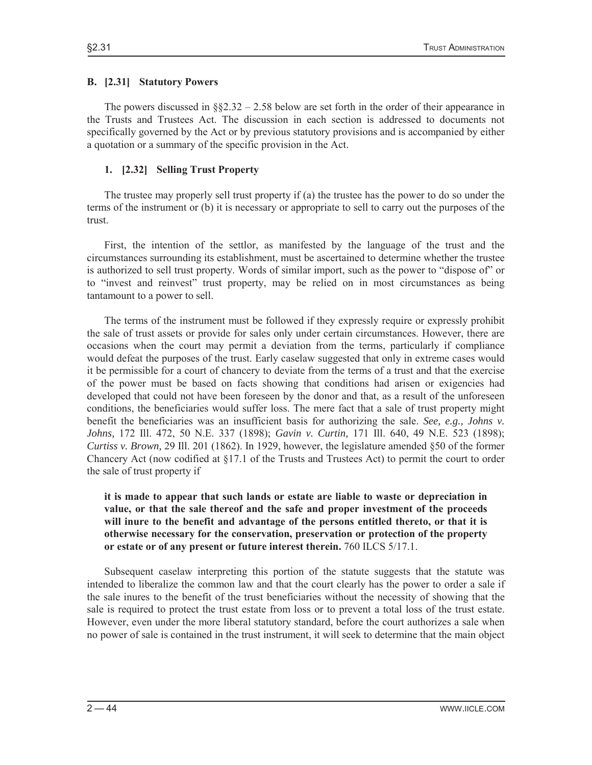### **B. [2.31] Statutory Powers**

The powers discussed in  $\S$ 2.32 – 2.58 below are set forth in the order of their appearance in the Trusts and Trustees Act. The discussion in each section is addressed to documents not specifically governed by the Act or by previous statutory provisions and is accompanied by either a quotation or a summary of the specific provision in the Act.

## **1. [2.32] Selling Trust Property**

 The trustee may properly sell trust property if (a) the trustee has the power to do so under the terms of the instrument or (b) it is necessary or appropriate to sell to carry out the purposes of the trust.

 First, the intention of the settlor, as manifested by the language of the trust and the circumstances surrounding its establishment, must be ascertained to determine whether the trustee is authorized to sell trust property. Words of similar import, such as the power to "dispose of" or to "invest and reinvest" trust property, may be relied on in most circumstances as being tantamount to a power to sell.

 The terms of the instrument must be followed if they expressly require or expressly prohibit the sale of trust assets or provide for sales only under certain circumstances. However, there are occasions when the court may permit a deviation from the terms, particularly if compliance would defeat the purposes of the trust. Early caselaw suggested that only in extreme cases would it be permissible for a court of chancery to deviate from the terms of a trust and that the exercise of the power must be based on facts showing that conditions had arisen or exigencies had developed that could not have been foreseen by the donor and that, as a result of the unforeseen conditions, the beneficiaries would suffer loss. The mere fact that a sale of trust property might benefit the beneficiaries was an insufficient basis for authorizing the sale. *See, e.g., Johns v. Johns,* 172 Ill. 472, 50 N.E. 337 (1898); *Gavin v. Curtin,* 171 Ill. 640, 49 N.E. 523 (1898); *Curtiss v. Brown,* 29 Ill. 201 (1862). In 1929, however, the legislature amended §50 of the former Chancery Act (now codified at §17.1 of the Trusts and Trustees Act) to permit the court to order the sale of trust property if

## **it is made to appear that such lands or estate are liable to waste or depreciation in value, or that the sale thereof and the safe and proper investment of the proceeds will inure to the benefit and advantage of the persons entitled thereto, or that it is otherwise necessary for the conservation, preservation or protection of the property or estate or of any present or future interest therein.** 760 ILCS 5/17.1.

 Subsequent caselaw interpreting this portion of the statute suggests that the statute was intended to liberalize the common law and that the court clearly has the power to order a sale if the sale inures to the benefit of the trust beneficiaries without the necessity of showing that the sale is required to protect the trust estate from loss or to prevent a total loss of the trust estate. However, even under the more liberal statutory standard, before the court authorizes a sale when no power of sale is contained in the trust instrument, it will seek to determine that the main object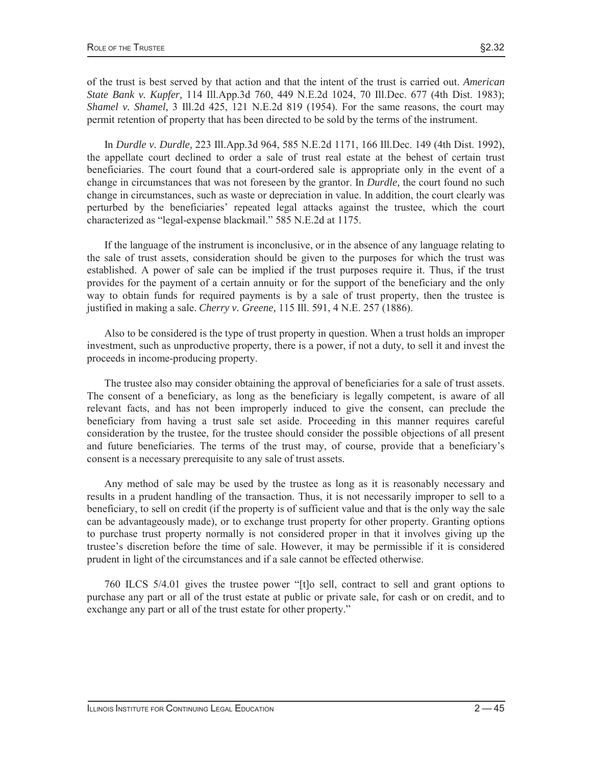of the trust is best served by that action and that the intent of the trust is carried out. *American State Bank v. Kupfer,* 114 Ill.App.3d 760, 449 N.E.2d 1024, 70 Ill.Dec. 677 (4th Dist. 1983); *Shamel v. Shamel,* 3 Ill.2d 425, 121 N.E.2d 819 (1954). For the same reasons, the court may permit retention of property that has been directed to be sold by the terms of the instrument.

 In *Durdle v. Durdle,* 223 Ill.App.3d 964, 585 N.E.2d 1171, 166 Ill.Dec. 149 (4th Dist. 1992), the appellate court declined to order a sale of trust real estate at the behest of certain trust beneficiaries. The court found that a court-ordered sale is appropriate only in the event of a change in circumstances that was not foreseen by the grantor. In *Durdle,* the court found no such change in circumstances, such as waste or depreciation in value. In addition, the court clearly was perturbed by the beneficiaries' repeated legal attacks against the trustee, which the court characterized as "legal-expense blackmail." 585 N.E.2d at 1175.

 If the language of the instrument is inconclusive, or in the absence of any language relating to the sale of trust assets, consideration should be given to the purposes for which the trust was established. A power of sale can be implied if the trust purposes require it. Thus, if the trust provides for the payment of a certain annuity or for the support of the beneficiary and the only way to obtain funds for required payments is by a sale of trust property, then the trustee is justified in making a sale. *Cherry v. Greene,* 115 Ill. 591, 4 N.E. 257 (1886).

 Also to be considered is the type of trust property in question. When a trust holds an improper investment, such as unproductive property, there is a power, if not a duty, to sell it and invest the proceeds in income-producing property.

 The trustee also may consider obtaining the approval of beneficiaries for a sale of trust assets. The consent of a beneficiary, as long as the beneficiary is legally competent, is aware of all relevant facts, and has not been improperly induced to give the consent, can preclude the beneficiary from having a trust sale set aside. Proceeding in this manner requires careful consideration by the trustee, for the trustee should consider the possible objections of all present and future beneficiaries. The terms of the trust may, of course, provide that a beneficiary's consent is a necessary prerequisite to any sale of trust assets.

 Any method of sale may be used by the trustee as long as it is reasonably necessary and results in a prudent handling of the transaction. Thus, it is not necessarily improper to sell to a beneficiary, to sell on credit (if the property is of sufficient value and that is the only way the sale can be advantageously made), or to exchange trust property for other property. Granting options to purchase trust property normally is not considered proper in that it involves giving up the trustee's discretion before the time of sale. However, it may be permissible if it is considered prudent in light of the circumstances and if a sale cannot be effected otherwise.

 760 ILCS 5/4.01 gives the trustee power "[t]o sell, contract to sell and grant options to purchase any part or all of the trust estate at public or private sale, for cash or on credit, and to exchange any part or all of the trust estate for other property."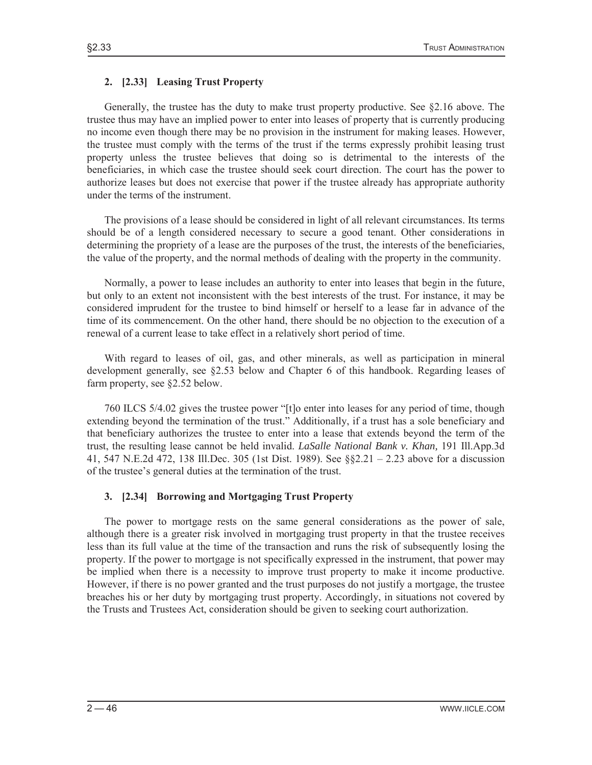## **2. [2.33] Leasing Trust Property**

 Generally, the trustee has the duty to make trust property productive. See §2.16 above. The trustee thus may have an implied power to enter into leases of property that is currently producing no income even though there may be no provision in the instrument for making leases. However, the trustee must comply with the terms of the trust if the terms expressly prohibit leasing trust property unless the trustee believes that doing so is detrimental to the interests of the beneficiaries, in which case the trustee should seek court direction. The court has the power to authorize leases but does not exercise that power if the trustee already has appropriate authority under the terms of the instrument.

 The provisions of a lease should be considered in light of all relevant circumstances. Its terms should be of a length considered necessary to secure a good tenant. Other considerations in determining the propriety of a lease are the purposes of the trust, the interests of the beneficiaries, the value of the property, and the normal methods of dealing with the property in the community.

 Normally, a power to lease includes an authority to enter into leases that begin in the future, but only to an extent not inconsistent with the best interests of the trust. For instance, it may be considered imprudent for the trustee to bind himself or herself to a lease far in advance of the time of its commencement. On the other hand, there should be no objection to the execution of a renewal of a current lease to take effect in a relatively short period of time.

 With regard to leases of oil, gas, and other minerals, as well as participation in mineral development generally, see §2.53 below and Chapter 6 of this handbook. Regarding leases of farm property, see §2.52 below.

 760 ILCS 5/4.02 gives the trustee power "[t]o enter into leases for any period of time, though extending beyond the termination of the trust." Additionally, if a trust has a sole beneficiary and that beneficiary authorizes the trustee to enter into a lease that extends beyond the term of the trust, the resulting lease cannot be held invalid. *LaSalle National Bank v. Khan,* 191 Ill.App.3d 41, 547 N.E.2d 472, 138 Ill.Dec. 305 (1st Dist. 1989). See §§2.21 – 2.23 above for a discussion of the trustee's general duties at the termination of the trust.

#### **3. [2.34] Borrowing and Mortgaging Trust Property**

 The power to mortgage rests on the same general considerations as the power of sale, although there is a greater risk involved in mortgaging trust property in that the trustee receives less than its full value at the time of the transaction and runs the risk of subsequently losing the property. If the power to mortgage is not specifically expressed in the instrument, that power may be implied when there is a necessity to improve trust property to make it income productive. However, if there is no power granted and the trust purposes do not justify a mortgage, the trustee breaches his or her duty by mortgaging trust property. Accordingly, in situations not covered by the Trusts and Trustees Act, consideration should be given to seeking court authorization.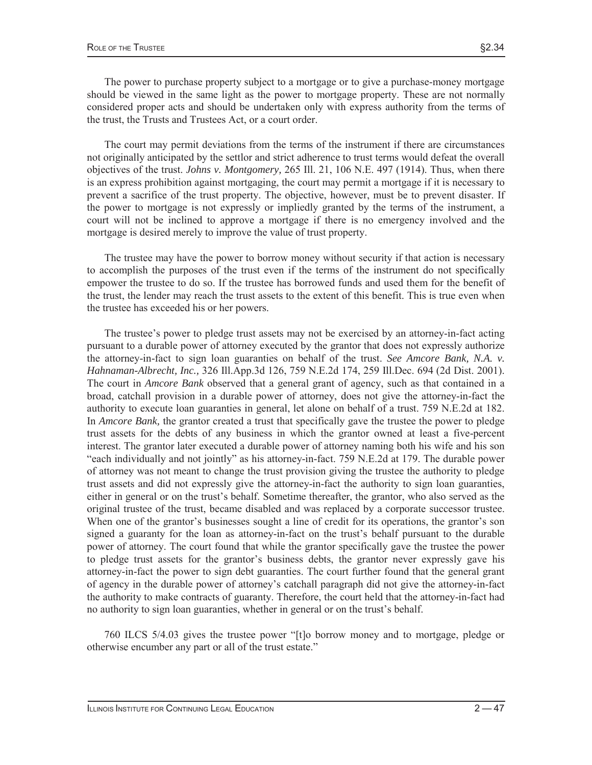The power to purchase property subject to a mortgage or to give a purchase-money mortgage should be viewed in the same light as the power to mortgage property. These are not normally considered proper acts and should be undertaken only with express authority from the terms of the trust, the Trusts and Trustees Act, or a court order.

 The court may permit deviations from the terms of the instrument if there are circumstances not originally anticipated by the settlor and strict adherence to trust terms would defeat the overall objectives of the trust. *Johns v. Montgomery,* 265 Ill. 21, 106 N.E. 497 (1914). Thus, when there is an express prohibition against mortgaging, the court may permit a mortgage if it is necessary to prevent a sacrifice of the trust property. The objective, however, must be to prevent disaster. If the power to mortgage is not expressly or impliedly granted by the terms of the instrument, a court will not be inclined to approve a mortgage if there is no emergency involved and the mortgage is desired merely to improve the value of trust property.

 The trustee may have the power to borrow money without security if that action is necessary to accomplish the purposes of the trust even if the terms of the instrument do not specifically empower the trustee to do so. If the trustee has borrowed funds and used them for the benefit of the trust, the lender may reach the trust assets to the extent of this benefit. This is true even when the trustee has exceeded his or her powers.

 The trustee's power to pledge trust assets may not be exercised by an attorney-in-fact acting pursuant to a durable power of attorney executed by the grantor that does not expressly authorize the attorney-in-fact to sign loan guaranties on behalf of the trust. *See Amcore Bank, N.A. v. Hahnaman-Albrecht, Inc.,* 326 Ill.App.3d 126, 759 N.E.2d 174, 259 Ill.Dec. 694 (2d Dist. 2001). The court in *Amcore Bank* observed that a general grant of agency, such as that contained in a broad, catchall provision in a durable power of attorney, does not give the attorney-in-fact the authority to execute loan guaranties in general, let alone on behalf of a trust. 759 N.E.2d at 182. In *Amcore Bank,* the grantor created a trust that specifically gave the trustee the power to pledge trust assets for the debts of any business in which the grantor owned at least a five-percent interest. The grantor later executed a durable power of attorney naming both his wife and his son "each individually and not jointly" as his attorney-in-fact. 759 N.E.2d at 179. The durable power of attorney was not meant to change the trust provision giving the trustee the authority to pledge trust assets and did not expressly give the attorney-in-fact the authority to sign loan guaranties, either in general or on the trust's behalf. Sometime thereafter, the grantor, who also served as the original trustee of the trust, became disabled and was replaced by a corporate successor trustee. When one of the grantor's businesses sought a line of credit for its operations, the grantor's son signed a guaranty for the loan as attorney-in-fact on the trust's behalf pursuant to the durable power of attorney. The court found that while the grantor specifically gave the trustee the power to pledge trust assets for the grantor's business debts, the grantor never expressly gave his attorney-in-fact the power to sign debt guaranties. The court further found that the general grant of agency in the durable power of attorney's catchall paragraph did not give the attorney-in-fact the authority to make contracts of guaranty. Therefore, the court held that the attorney-in-fact had no authority to sign loan guaranties, whether in general or on the trust's behalf.

 760 ILCS 5/4.03 gives the trustee power "[t]o borrow money and to mortgage, pledge or otherwise encumber any part or all of the trust estate."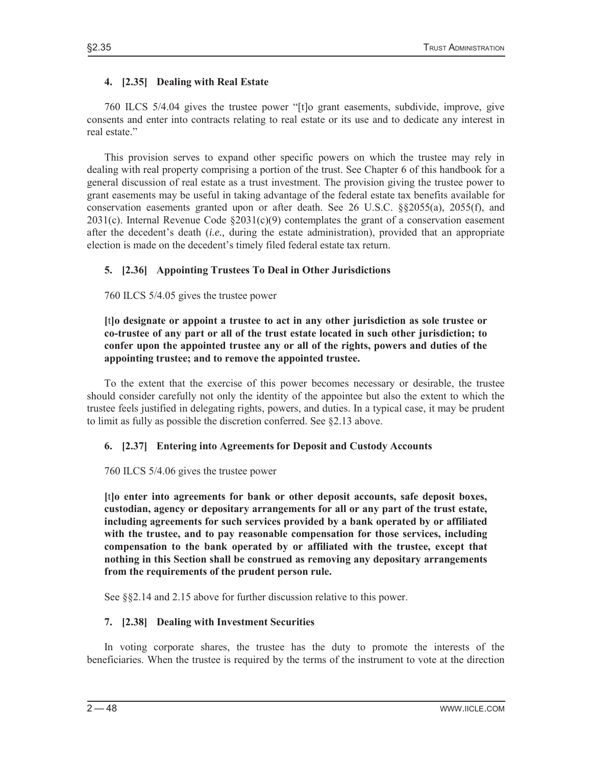## **4. [2.35] Dealing with Real Estate**

 760 ILCS 5/4.04 gives the trustee power "[t]o grant easements, subdivide, improve, give consents and enter into contracts relating to real estate or its use and to dedicate any interest in real estate."

 This provision serves to expand other specific powers on which the trustee may rely in dealing with real property comprising a portion of the trust. See Chapter 6 of this handbook for a general discussion of real estate as a trust investment. The provision giving the trustee power to grant easements may be useful in taking advantage of the federal estate tax benefits available for conservation easements granted upon or after death. See 26 U.S.C. §§2055(a), 2055(f), and  $2031(c)$ . Internal Revenue Code  $\S 2031(c)(9)$  contemplates the grant of a conservation easement after the decedent's death (*i.e.,* during the estate administration), provided that an appropriate election is made on the decedent's timely filed federal estate tax return.

## **5. [2.36] Appointing Trustees To Deal in Other Jurisdictions**

760 ILCS 5/4.05 gives the trustee power

**[**t**]o designate or appoint a trustee to act in any other jurisdiction as sole trustee or co-trustee of any part or all of the trust estate located in such other jurisdiction; to confer upon the appointed trustee any or all of the rights, powers and duties of the appointing trustee; and to remove the appointed trustee.** 

 To the extent that the exercise of this power becomes necessary or desirable, the trustee should consider carefully not only the identity of the appointee but also the extent to which the trustee feels justified in delegating rights, powers, and duties. In a typical case, it may be prudent to limit as fully as possible the discretion conferred. See §2.13 above.

## **6. [2.37] Entering into Agreements for Deposit and Custody Accounts**

#### 760 ILCS 5/4.06 gives the trustee power

**[**t**]o enter into agreements for bank or other deposit accounts, safe deposit boxes, custodian, agency or depositary arrangements for all or any part of the trust estate, including agreements for such services provided by a bank operated by or affiliated with the trustee, and to pay reasonable compensation for those services, including compensation to the bank operated by or affiliated with the trustee, except that nothing in this Section shall be construed as removing any depositary arrangements from the requirements of the prudent person rule.** 

See §§2.14 and 2.15 above for further discussion relative to this power.

## **7. [2.38] Dealing with Investment Securities**

 In voting corporate shares, the trustee has the duty to promote the interests of the beneficiaries. When the trustee is required by the terms of the instrument to vote at the direction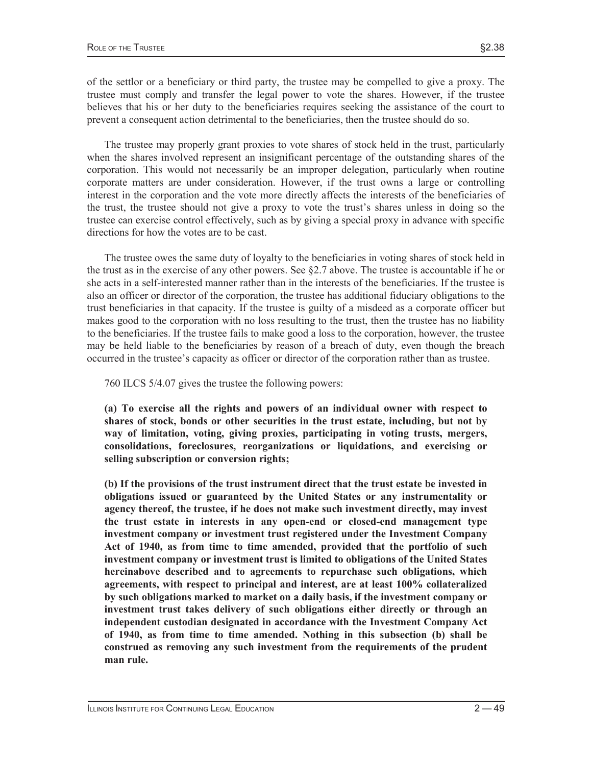of the settlor or a beneficiary or third party, the trustee may be compelled to give a proxy. The trustee must comply and transfer the legal power to vote the shares. However, if the trustee believes that his or her duty to the beneficiaries requires seeking the assistance of the court to prevent a consequent action detrimental to the beneficiaries, then the trustee should do so.

 The trustee may properly grant proxies to vote shares of stock held in the trust, particularly when the shares involved represent an insignificant percentage of the outstanding shares of the corporation. This would not necessarily be an improper delegation, particularly when routine corporate matters are under consideration. However, if the trust owns a large or controlling interest in the corporation and the vote more directly affects the interests of the beneficiaries of the trust, the trustee should not give a proxy to vote the trust's shares unless in doing so the trustee can exercise control effectively, such as by giving a special proxy in advance with specific directions for how the votes are to be cast.

 The trustee owes the same duty of loyalty to the beneficiaries in voting shares of stock held in the trust as in the exercise of any other powers. See §2.7 above. The trustee is accountable if he or she acts in a self-interested manner rather than in the interests of the beneficiaries. If the trustee is also an officer or director of the corporation, the trustee has additional fiduciary obligations to the trust beneficiaries in that capacity. If the trustee is guilty of a misdeed as a corporate officer but makes good to the corporation with no loss resulting to the trust, then the trustee has no liability to the beneficiaries. If the trustee fails to make good a loss to the corporation, however, the trustee may be held liable to the beneficiaries by reason of a breach of duty, even though the breach occurred in the trustee's capacity as officer or director of the corporation rather than as trustee.

760 ILCS 5/4.07 gives the trustee the following powers:

**(a) To exercise all the rights and powers of an individual owner with respect to shares of stock, bonds or other securities in the trust estate, including, but not by way of limitation, voting, giving proxies, participating in voting trusts, mergers, consolidations, foreclosures, reorganizations or liquidations, and exercising or selling subscription or conversion rights;** 

**(b) If the provisions of the trust instrument direct that the trust estate be invested in obligations issued or guaranteed by the United States or any instrumentality or agency thereof, the trustee, if he does not make such investment directly, may invest the trust estate in interests in any open-end or closed-end management type investment company or investment trust registered under the Investment Company Act of 1940, as from time to time amended, provided that the portfolio of such investment company or investment trust is limited to obligations of the United States hereinabove described and to agreements to repurchase such obligations, which agreements, with respect to principal and interest, are at least 100% collateralized by such obligations marked to market on a daily basis, if the investment company or investment trust takes delivery of such obligations either directly or through an independent custodian designated in accordance with the Investment Company Act of 1940, as from time to time amended. Nothing in this subsection (b) shall be construed as removing any such investment from the requirements of the prudent man rule.**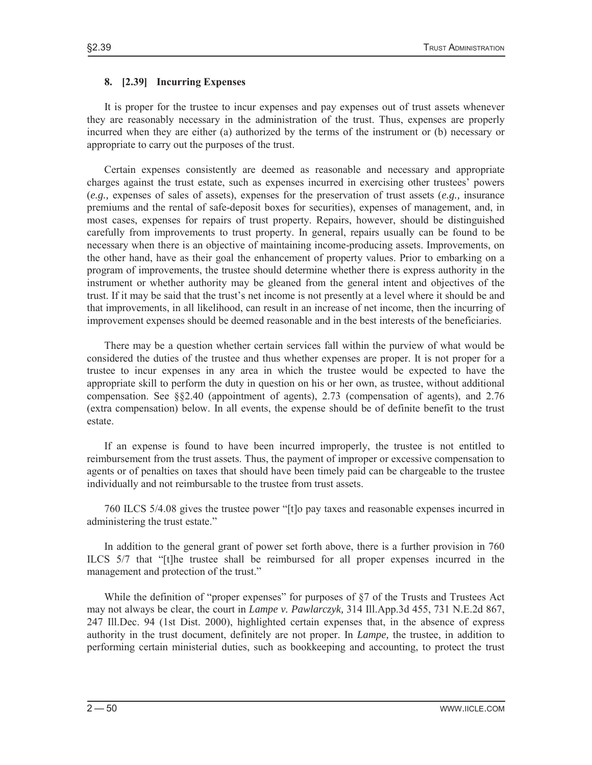### **8. [2.39] Incurring Expenses**

 It is proper for the trustee to incur expenses and pay expenses out of trust assets whenever they are reasonably necessary in the administration of the trust. Thus, expenses are properly incurred when they are either (a) authorized by the terms of the instrument or (b) necessary or appropriate to carry out the purposes of the trust.

 Certain expenses consistently are deemed as reasonable and necessary and appropriate charges against the trust estate, such as expenses incurred in exercising other trustees' powers (*e.g.,* expenses of sales of assets), expenses for the preservation of trust assets (*e.g.,* insurance premiums and the rental of safe-deposit boxes for securities), expenses of management, and, in most cases, expenses for repairs of trust property. Repairs, however, should be distinguished carefully from improvements to trust property. In general, repairs usually can be found to be necessary when there is an objective of maintaining income-producing assets. Improvements, on the other hand, have as their goal the enhancement of property values. Prior to embarking on a program of improvements, the trustee should determine whether there is express authority in the instrument or whether authority may be gleaned from the general intent and objectives of the trust. If it may be said that the trust's net income is not presently at a level where it should be and that improvements, in all likelihood, can result in an increase of net income, then the incurring of improvement expenses should be deemed reasonable and in the best interests of the beneficiaries.

 There may be a question whether certain services fall within the purview of what would be considered the duties of the trustee and thus whether expenses are proper. It is not proper for a trustee to incur expenses in any area in which the trustee would be expected to have the appropriate skill to perform the duty in question on his or her own, as trustee, without additional compensation. See §§2.40 (appointment of agents), 2.73 (compensation of agents), and 2.76 (extra compensation) below. In all events, the expense should be of definite benefit to the trust estate.

 If an expense is found to have been incurred improperly, the trustee is not entitled to reimbursement from the trust assets. Thus, the payment of improper or excessive compensation to agents or of penalties on taxes that should have been timely paid can be chargeable to the trustee individually and not reimbursable to the trustee from trust assets.

 760 ILCS 5/4.08 gives the trustee power "[t]o pay taxes and reasonable expenses incurred in administering the trust estate."

 In addition to the general grant of power set forth above, there is a further provision in 760 ILCS 5/7 that "[t]he trustee shall be reimbursed for all proper expenses incurred in the management and protection of the trust."

While the definition of "proper expenses" for purposes of  $\S7$  of the Trusts and Trustees Act may not always be clear, the court in *Lampe v. Pawlarczyk,* 314 Ill.App.3d 455, 731 N.E.2d 867, 247 Ill.Dec. 94 (1st Dist. 2000), highlighted certain expenses that, in the absence of express authority in the trust document, definitely are not proper. In *Lampe,* the trustee, in addition to performing certain ministerial duties, such as bookkeeping and accounting, to protect the trust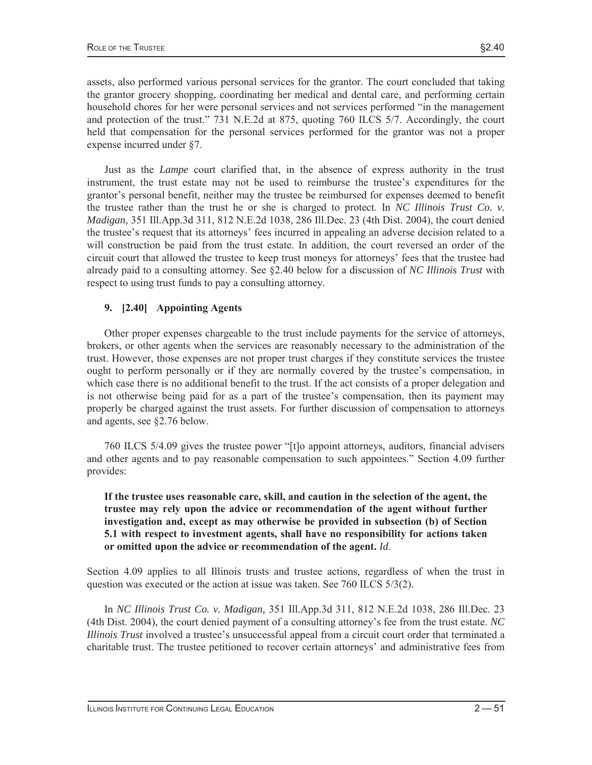assets, also performed various personal services for the grantor. The court concluded that taking the grantor grocery shopping, coordinating her medical and dental care, and performing certain household chores for her were personal services and not services performed "in the management and protection of the trust." 731 N.E.2d at 875, quoting 760 ILCS 5/7. Accordingly, the court held that compensation for the personal services performed for the grantor was not a proper expense incurred under §7.

 Just as the *Lampe* court clarified that, in the absence of express authority in the trust instrument, the trust estate may not be used to reimburse the trustee's expenditures for the grantor's personal benefit, neither may the trustee be reimbursed for expenses deemed to benefit the trustee rather than the trust he or she is charged to protect. In *NC Illinois Trust Co. v. Madigan,* 351 Ill.App.3d 311, 812 N.E.2d 1038, 286 Ill.Dec. 23 (4th Dist. 2004), the court denied the trustee's request that its attorneys' fees incurred in appealing an adverse decision related to a will construction be paid from the trust estate. In addition, the court reversed an order of the circuit court that allowed the trustee to keep trust moneys for attorneys' fees that the trustee had already paid to a consulting attorney. See §2.40 below for a discussion of *NC Illinois Trust* with respect to using trust funds to pay a consulting attorney.

## **9. [2.40] Appointing Agents**

 Other proper expenses chargeable to the trust include payments for the service of attorneys, brokers, or other agents when the services are reasonably necessary to the administration of the trust. However, those expenses are not proper trust charges if they constitute services the trustee ought to perform personally or if they are normally covered by the trustee's compensation, in which case there is no additional benefit to the trust. If the act consists of a proper delegation and is not otherwise being paid for as a part of the trustee's compensation, then its payment may properly be charged against the trust assets. For further discussion of compensation to attorneys and agents, see §2.76 below.

 760 ILCS 5/4.09 gives the trustee power "[t]o appoint attorneys, auditors, financial advisers and other agents and to pay reasonable compensation to such appointees." Section 4.09 further provides:

## **If the trustee uses reasonable care, skill, and caution in the selection of the agent, the trustee may rely upon the advice or recommendation of the agent without further investigation and, except as may otherwise be provided in subsection (b) of Section 5.1 with respect to investment agents, shall have no responsibility for actions taken or omitted upon the advice or recommendation of the agent.** *Id*.

Section 4.09 applies to all Illinois trusts and trustee actions, regardless of when the trust in question was executed or the action at issue was taken. See 760 ILCS 5/3(2).

 In *NC Illinois Trust Co. v. Madigan,* 351 Ill.App.3d 311, 812 N.E.2d 1038, 286 Ill.Dec. 23 (4th Dist. 2004), the court denied payment of a consulting attorney's fee from the trust estate. *NC Illinois Trust* involved a trustee's unsuccessful appeal from a circuit court order that terminated a charitable trust. The trustee petitioned to recover certain attorneys' and administrative fees from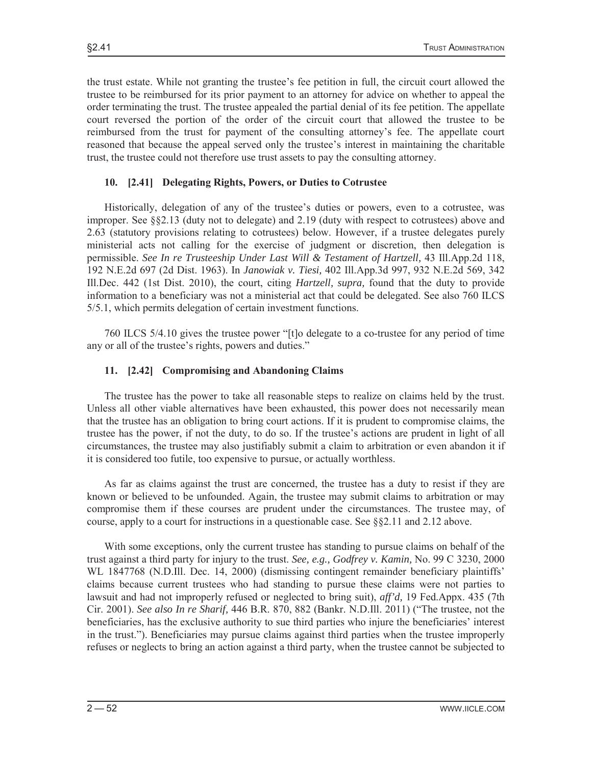the trust estate. While not granting the trustee's fee petition in full, the circuit court allowed the trustee to be reimbursed for its prior payment to an attorney for advice on whether to appeal the order terminating the trust. The trustee appealed the partial denial of its fee petition. The appellate court reversed the portion of the order of the circuit court that allowed the trustee to be reimbursed from the trust for payment of the consulting attorney's fee. The appellate court reasoned that because the appeal served only the trustee's interest in maintaining the charitable trust, the trustee could not therefore use trust assets to pay the consulting attorney.

## **10. [2.41] Delegating Rights, Powers, or Duties to Cotrustee**

 Historically, delegation of any of the trustee's duties or powers, even to a cotrustee, was improper. See §§2.13 (duty not to delegate) and 2.19 (duty with respect to cotrustees) above and 2.63 (statutory provisions relating to cotrustees) below. However, if a trustee delegates purely ministerial acts not calling for the exercise of judgment or discretion, then delegation is permissible. *See In re Trusteeship Under Last Will & Testament of Hartzell,* 43 Ill.App.2d 118, 192 N.E.2d 697 (2d Dist. 1963). In *Janowiak v. Tiesi,* 402 Ill.App.3d 997, 932 N.E.2d 569, 342 Ill.Dec. 442 (1st Dist. 2010), the court, citing *Hartzell, supra,* found that the duty to provide information to a beneficiary was not a ministerial act that could be delegated. See also 760 ILCS 5/5.1, which permits delegation of certain investment functions.

 760 ILCS 5/4.10 gives the trustee power "[t]o delegate to a co-trustee for any period of time any or all of the trustee's rights, powers and duties."

## **11. [2.42] Compromising and Abandoning Claims**

 The trustee has the power to take all reasonable steps to realize on claims held by the trust. Unless all other viable alternatives have been exhausted, this power does not necessarily mean that the trustee has an obligation to bring court actions. If it is prudent to compromise claims, the trustee has the power, if not the duty, to do so. If the trustee's actions are prudent in light of all circumstances, the trustee may also justifiably submit a claim to arbitration or even abandon it if it is considered too futile, too expensive to pursue, or actually worthless.

 As far as claims against the trust are concerned, the trustee has a duty to resist if they are known or believed to be unfounded. Again, the trustee may submit claims to arbitration or may compromise them if these courses are prudent under the circumstances. The trustee may, of course, apply to a court for instructions in a questionable case. See  $\S$ 2.11 and 2.12 above.

 With some exceptions, only the current trustee has standing to pursue claims on behalf of the trust against a third party for injury to the trust. *See, e.g., Godfrey v. Kamin,* No. 99 C 3230, 2000 WL 1847768 (N.D.Ill. Dec. 14, 2000) (dismissing contingent remainder beneficiary plaintiffs' claims because current trustees who had standing to pursue these claims were not parties to lawsuit and had not improperly refused or neglected to bring suit), *aff'd,* 19 Fed.Appx. 435 (7th Cir. 2001). *See also In re Sharif,* 446 B.R. 870, 882 (Bankr. N.D.Ill. 2011) ("The trustee, not the beneficiaries, has the exclusive authority to sue third parties who injure the beneficiaries' interest in the trust."). Beneficiaries may pursue claims against third parties when the trustee improperly refuses or neglects to bring an action against a third party, when the trustee cannot be subjected to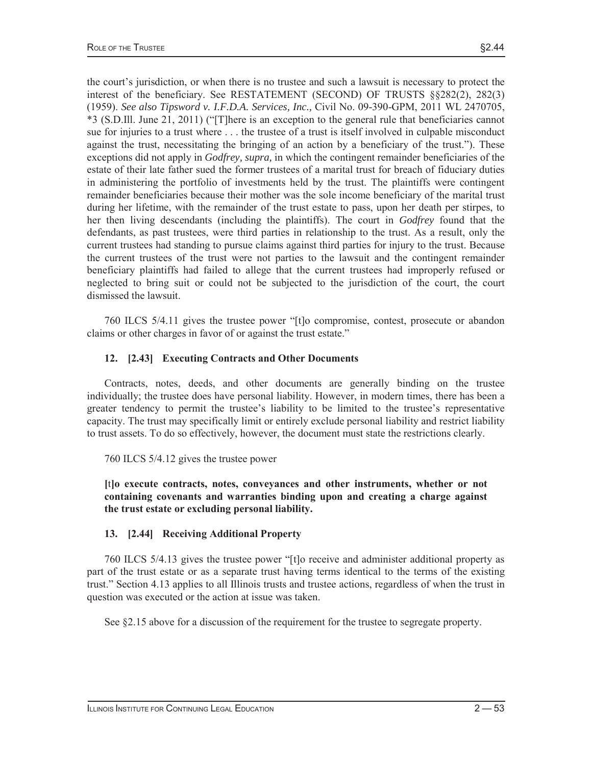the court's jurisdiction, or when there is no trustee and such a lawsuit is necessary to protect the interest of the beneficiary. See RESTATEMENT (SECOND) OF TRUSTS §§282(2), 282(3) (1959). *See also Tipsword v. I.F.D.A. Services, Inc.,* Civil No. 09-390-GPM, 2011 WL 2470705, \*3 (S.D.Ill. June 21, 2011) ("[T]here is an exception to the general rule that beneficiaries cannot sue for injuries to a trust where . . . the trustee of a trust is itself involved in culpable misconduct against the trust, necessitating the bringing of an action by a beneficiary of the trust."). These exceptions did not apply in *Godfrey, supra,* in which the contingent remainder beneficiaries of the estate of their late father sued the former trustees of a marital trust for breach of fiduciary duties in administering the portfolio of investments held by the trust. The plaintiffs were contingent remainder beneficiaries because their mother was the sole income beneficiary of the marital trust during her lifetime, with the remainder of the trust estate to pass, upon her death per stirpes, to her then living descendants (including the plaintiffs). The court in *Godfrey* found that the defendants, as past trustees, were third parties in relationship to the trust. As a result, only the current trustees had standing to pursue claims against third parties for injury to the trust. Because the current trustees of the trust were not parties to the lawsuit and the contingent remainder beneficiary plaintiffs had failed to allege that the current trustees had improperly refused or neglected to bring suit or could not be subjected to the jurisdiction of the court, the court dismissed the lawsuit.

 760 ILCS 5/4.11 gives the trustee power "[t]o compromise, contest, prosecute or abandon claims or other charges in favor of or against the trust estate."

#### **12. [2.43] Executing Contracts and Other Documents**

 Contracts, notes, deeds, and other documents are generally binding on the trustee individually; the trustee does have personal liability. However, in modern times, there has been a greater tendency to permit the trustee's liability to be limited to the trustee's representative capacity. The trust may specifically limit or entirely exclude personal liability and restrict liability to trust assets. To do so effectively, however, the document must state the restrictions clearly.

760 ILCS 5/4.12 gives the trustee power

**[**t**]o execute contracts, notes, conveyances and other instruments, whether or not containing covenants and warranties binding upon and creating a charge against the trust estate or excluding personal liability.** 

#### **13. [2.44] Receiving Additional Property**

 760 ILCS 5/4.13 gives the trustee power "[t]o receive and administer additional property as part of the trust estate or as a separate trust having terms identical to the terms of the existing trust." Section 4.13 applies to all Illinois trusts and trustee actions, regardless of when the trust in question was executed or the action at issue was taken.

See §2.15 above for a discussion of the requirement for the trustee to segregate property.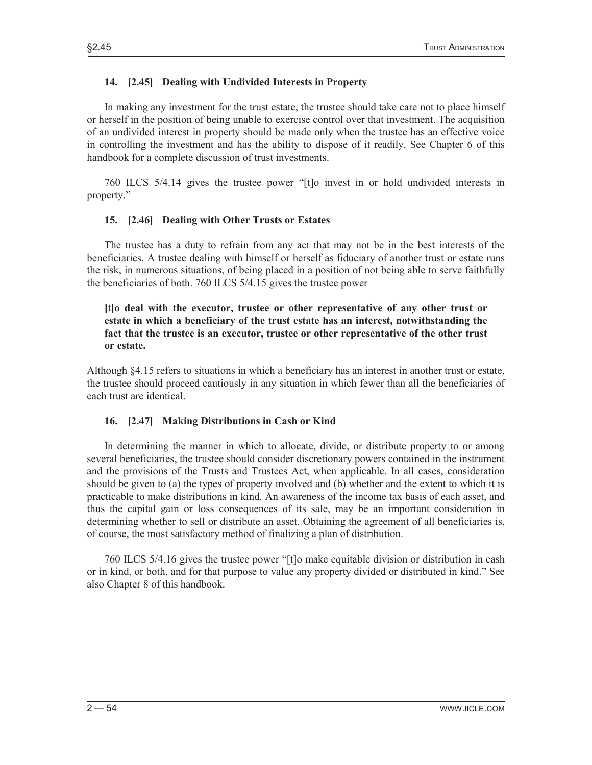## **14. [2.45] Dealing with Undivided Interests in Property**

 In making any investment for the trust estate, the trustee should take care not to place himself or herself in the position of being unable to exercise control over that investment. The acquisition of an undivided interest in property should be made only when the trustee has an effective voice in controlling the investment and has the ability to dispose of it readily. See Chapter 6 of this handbook for a complete discussion of trust investments.

 760 ILCS 5/4.14 gives the trustee power "[t]o invest in or hold undivided interests in property."

## **15. [2.46] Dealing with Other Trusts or Estates**

 The trustee has a duty to refrain from any act that may not be in the best interests of the beneficiaries. A trustee dealing with himself or herself as fiduciary of another trust or estate runs the risk, in numerous situations, of being placed in a position of not being able to serve faithfully the beneficiaries of both. 760 ILCS 5/4.15 gives the trustee power

**[**t**]o deal with the executor, trustee or other representative of any other trust or estate in which a beneficiary of the trust estate has an interest, notwithstanding the fact that the trustee is an executor, trustee or other representative of the other trust or estate.** 

Although §4.15 refers to situations in which a beneficiary has an interest in another trust or estate, the trustee should proceed cautiously in any situation in which fewer than all the beneficiaries of each trust are identical.

#### **16. [2.47] Making Distributions in Cash or Kind**

 In determining the manner in which to allocate, divide, or distribute property to or among several beneficiaries, the trustee should consider discretionary powers contained in the instrument and the provisions of the Trusts and Trustees Act, when applicable. In all cases, consideration should be given to (a) the types of property involved and (b) whether and the extent to which it is practicable to make distributions in kind. An awareness of the income tax basis of each asset, and thus the capital gain or loss consequences of its sale, may be an important consideration in determining whether to sell or distribute an asset. Obtaining the agreement of all beneficiaries is, of course, the most satisfactory method of finalizing a plan of distribution.

 760 ILCS 5/4.16 gives the trustee power "[t]o make equitable division or distribution in cash or in kind, or both, and for that purpose to value any property divided or distributed in kind." See also Chapter 8 of this handbook.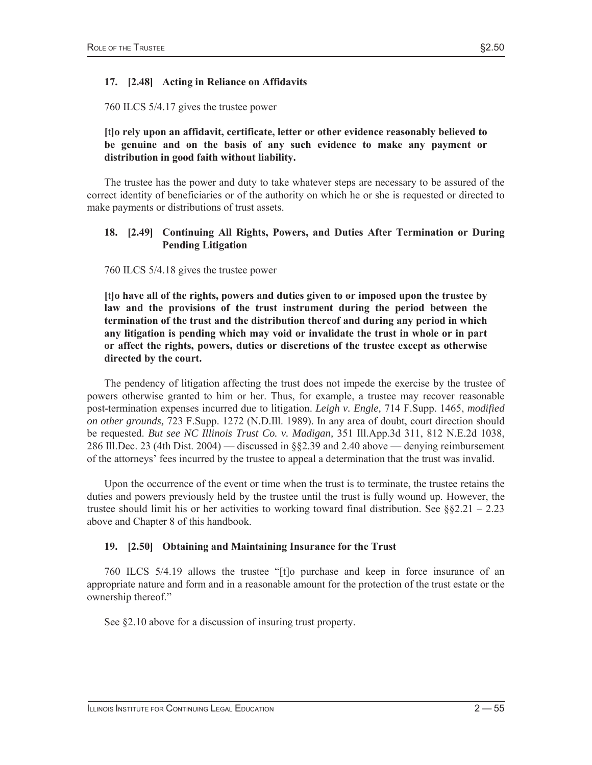## **17. [2.48] Acting in Reliance on Affidavits**

760 ILCS 5/4.17 gives the trustee power

## **[**t**]o rely upon an affidavit, certificate, letter or other evidence reasonably believed to be genuine and on the basis of any such evidence to make any payment or distribution in good faith without liability.**

 The trustee has the power and duty to take whatever steps are necessary to be assured of the correct identity of beneficiaries or of the authority on which he or she is requested or directed to make payments or distributions of trust assets.

### **18. [2.49] Continuing All Rights, Powers, and Duties After Termination or During Pending Litigation**

#### 760 ILCS 5/4.18 gives the trustee power

**[**t**]o have all of the rights, powers and duties given to or imposed upon the trustee by law and the provisions of the trust instrument during the period between the termination of the trust and the distribution thereof and during any period in which any litigation is pending which may void or invalidate the trust in whole or in part or affect the rights, powers, duties or discretions of the trustee except as otherwise directed by the court.** 

 The pendency of litigation affecting the trust does not impede the exercise by the trustee of powers otherwise granted to him or her. Thus, for example, a trustee may recover reasonable post-termination expenses incurred due to litigation. *Leigh v. Engle,* 714 F.Supp. 1465, *modified on other grounds,* 723 F.Supp. 1272 (N.D.Ill. 1989). In any area of doubt, court direction should be requested. *But see NC Illinois Trust Co. v. Madigan,* 351 Ill.App.3d 311, 812 N.E.2d 1038, 286 Ill.Dec. 23 (4th Dist. 2004) — discussed in §§2.39 and 2.40 above — denying reimbursement of the attorneys' fees incurred by the trustee to appeal a determination that the trust was invalid.

 Upon the occurrence of the event or time when the trust is to terminate, the trustee retains the duties and powers previously held by the trustee until the trust is fully wound up. However, the trustee should limit his or her activities to working toward final distribution. See  $\S$ 2.21 – 2.23 above and Chapter 8 of this handbook.

## **19. [2.50] Obtaining and Maintaining Insurance for the Trust**

 760 ILCS 5/4.19 allows the trustee "[t]o purchase and keep in force insurance of an appropriate nature and form and in a reasonable amount for the protection of the trust estate or the ownership thereof."

See §2.10 above for a discussion of insuring trust property.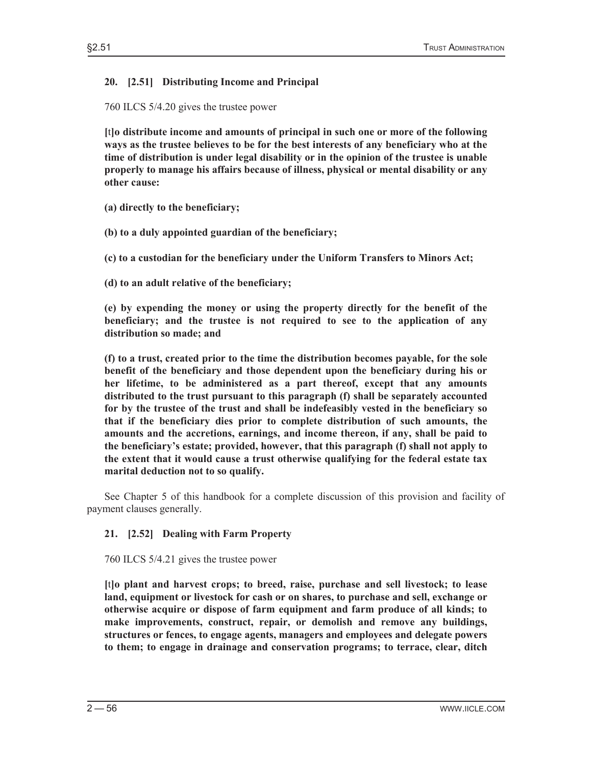# **20. [2.51] Distributing Income and Principal**

760 ILCS 5/4.20 gives the trustee power

**[**t**]o distribute income and amounts of principal in such one or more of the following ways as the trustee believes to be for the best interests of any beneficiary who at the time of distribution is under legal disability or in the opinion of the trustee is unable properly to manage his affairs because of illness, physical or mental disability or any other cause:** 

- **(a) directly to the beneficiary;**
- **(b) to a duly appointed guardian of the beneficiary;**

**(c) to a custodian for the beneficiary under the Uniform Transfers to Minors Act;** 

**(d) to an adult relative of the beneficiary;** 

**(e) by expending the money or using the property directly for the benefit of the beneficiary; and the trustee is not required to see to the application of any distribution so made; and** 

**(f) to a trust, created prior to the time the distribution becomes payable, for the sole benefit of the beneficiary and those dependent upon the beneficiary during his or her lifetime, to be administered as a part thereof, except that any amounts distributed to the trust pursuant to this paragraph (f) shall be separately accounted for by the trustee of the trust and shall be indefeasibly vested in the beneficiary so that if the beneficiary dies prior to complete distribution of such amounts, the amounts and the accretions, earnings, and income thereon, if any, shall be paid to the beneficiary's estate; provided, however, that this paragraph (f) shall not apply to the extent that it would cause a trust otherwise qualifying for the federal estate tax marital deduction not to so qualify.** 

 See Chapter 5 of this handbook for a complete discussion of this provision and facility of payment clauses generally.

# **21. [2.52] Dealing with Farm Property**

760 ILCS 5/4.21 gives the trustee power

**[**t**]o plant and harvest crops; to breed, raise, purchase and sell livestock; to lease land, equipment or livestock for cash or on shares, to purchase and sell, exchange or otherwise acquire or dispose of farm equipment and farm produce of all kinds; to make improvements, construct, repair, or demolish and remove any buildings, structures or fences, to engage agents, managers and employees and delegate powers to them; to engage in drainage and conservation programs; to terrace, clear, ditch**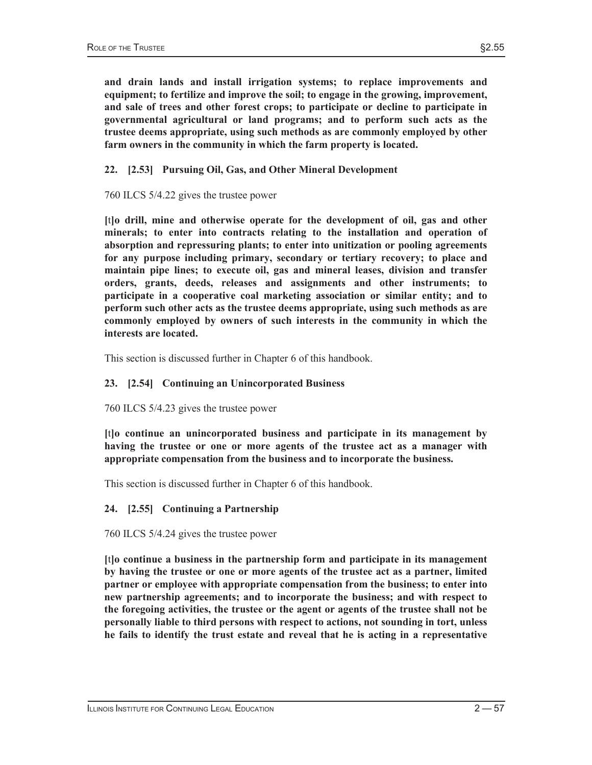**and drain lands and install irrigation systems; to replace improvements and equipment; to fertilize and improve the soil; to engage in the growing, improvement, and sale of trees and other forest crops; to participate or decline to participate in governmental agricultural or land programs; and to perform such acts as the trustee deems appropriate, using such methods as are commonly employed by other farm owners in the community in which the farm property is located.** 

## **22. [2.53] Pursuing Oil, Gas, and Other Mineral Development**

760 ILCS 5/4.22 gives the trustee power

**[**t**]o drill, mine and otherwise operate for the development of oil, gas and other minerals; to enter into contracts relating to the installation and operation of absorption and repressuring plants; to enter into unitization or pooling agreements for any purpose including primary, secondary or tertiary recovery; to place and maintain pipe lines; to execute oil, gas and mineral leases, division and transfer orders, grants, deeds, releases and assignments and other instruments; to participate in a cooperative coal marketing association or similar entity; and to perform such other acts as the trustee deems appropriate, using such methods as are commonly employed by owners of such interests in the community in which the interests are located.** 

This section is discussed further in Chapter 6 of this handbook.

## **23. [2.54] Continuing an Unincorporated Business**

760 ILCS 5/4.23 gives the trustee power

**[**t**]o continue an unincorporated business and participate in its management by having the trustee or one or more agents of the trustee act as a manager with appropriate compensation from the business and to incorporate the business.** 

This section is discussed further in Chapter 6 of this handbook.

## **24. [2.55] Continuing a Partnership**

760 ILCS 5/4.24 gives the trustee power

**[**t**]o continue a business in the partnership form and participate in its management by having the trustee or one or more agents of the trustee act as a partner, limited partner or employee with appropriate compensation from the business; to enter into new partnership agreements; and to incorporate the business; and with respect to the foregoing activities, the trustee or the agent or agents of the trustee shall not be personally liable to third persons with respect to actions, not sounding in tort, unless he fails to identify the trust estate and reveal that he is acting in a representative**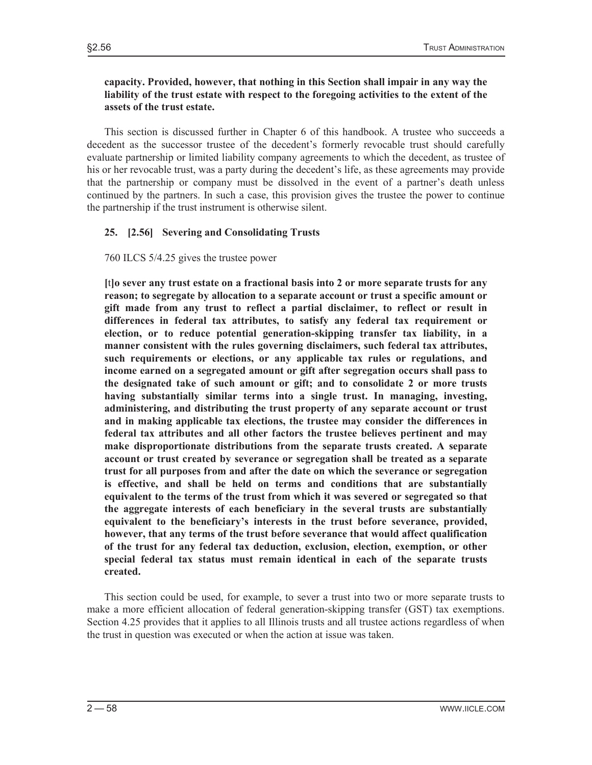#### **capacity. Provided, however, that nothing in this Section shall impair in any way the liability of the trust estate with respect to the foregoing activities to the extent of the assets of the trust estate.**

 This section is discussed further in Chapter 6 of this handbook. A trustee who succeeds a decedent as the successor trustee of the decedent's formerly revocable trust should carefully evaluate partnership or limited liability company agreements to which the decedent, as trustee of his or her revocable trust, was a party during the decedent's life, as these agreements may provide that the partnership or company must be dissolved in the event of a partner's death unless continued by the partners. In such a case, this provision gives the trustee the power to continue the partnership if the trust instrument is otherwise silent.

## **25. [2.56] Severing and Consolidating Trusts**

#### 760 ILCS 5/4.25 gives the trustee power

**[**t**]o sever any trust estate on a fractional basis into 2 or more separate trusts for any reason; to segregate by allocation to a separate account or trust a specific amount or gift made from any trust to reflect a partial disclaimer, to reflect or result in differences in federal tax attributes, to satisfy any federal tax requirement or election, or to reduce potential generation-skipping transfer tax liability, in a manner consistent with the rules governing disclaimers, such federal tax attributes, such requirements or elections, or any applicable tax rules or regulations, and income earned on a segregated amount or gift after segregation occurs shall pass to the designated take of such amount or gift; and to consolidate 2 or more trusts having substantially similar terms into a single trust. In managing, investing, administering, and distributing the trust property of any separate account or trust and in making applicable tax elections, the trustee may consider the differences in federal tax attributes and all other factors the trustee believes pertinent and may make disproportionate distributions from the separate trusts created. A separate account or trust created by severance or segregation shall be treated as a separate trust for all purposes from and after the date on which the severance or segregation is effective, and shall be held on terms and conditions that are substantially equivalent to the terms of the trust from which it was severed or segregated so that the aggregate interests of each beneficiary in the several trusts are substantially equivalent to the beneficiary's interests in the trust before severance, provided, however, that any terms of the trust before severance that would affect qualification of the trust for any federal tax deduction, exclusion, election, exemption, or other special federal tax status must remain identical in each of the separate trusts created.** 

 This section could be used, for example, to sever a trust into two or more separate trusts to make a more efficient allocation of federal generation-skipping transfer (GST) tax exemptions. Section 4.25 provides that it applies to all Illinois trusts and all trustee actions regardless of when the trust in question was executed or when the action at issue was taken.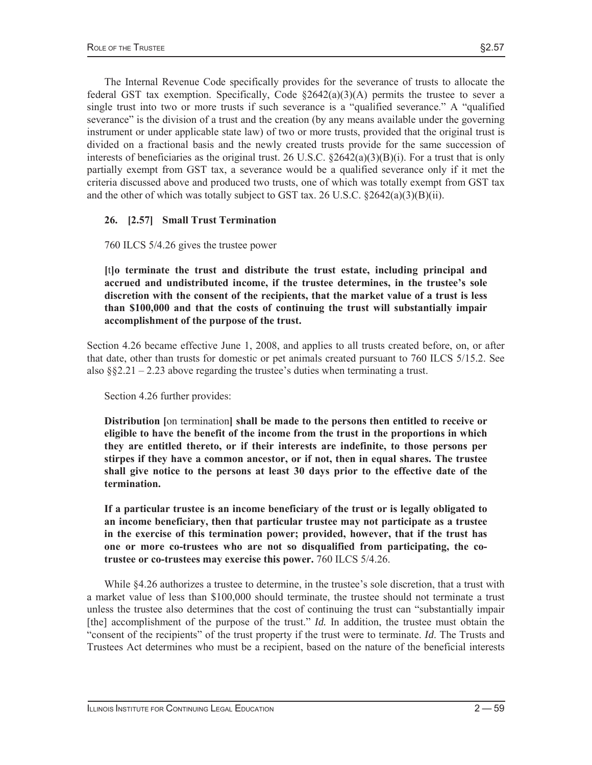The Internal Revenue Code specifically provides for the severance of trusts to allocate the federal GST tax exemption. Specifically, Code  $\S2642(a)(3)(A)$  permits the trustee to sever a single trust into two or more trusts if such severance is a "qualified severance." A "qualified severance" is the division of a trust and the creation (by any means available under the governing instrument or under applicable state law) of two or more trusts, provided that the original trust is divided on a fractional basis and the newly created trusts provide for the same succession of interests of beneficiaries as the original trust. 26 U.S.C.  $\S2642(a)(3)(B)(i)$ . For a trust that is only partially exempt from GST tax, a severance would be a qualified severance only if it met the criteria discussed above and produced two trusts, one of which was totally exempt from GST tax and the other of which was totally subject to GST tax. 26 U.S.C.  $\S2642(a)(3)(B)(ii)$ .

## **26. [2.57] Small Trust Termination**

760 ILCS 5/4.26 gives the trustee power

**[**t**]o terminate the trust and distribute the trust estate, including principal and accrued and undistributed income, if the trustee determines, in the trustee's sole discretion with the consent of the recipients, that the market value of a trust is less than \$100,000 and that the costs of continuing the trust will substantially impair accomplishment of the purpose of the trust.** 

Section 4.26 became effective June 1, 2008, and applies to all trusts created before, on, or after that date, other than trusts for domestic or pet animals created pursuant to 760 ILCS 5/15.2. See also §§2.21 – 2.23 above regarding the trustee's duties when terminating a trust.

Section 4.26 further provides:

**Distribution [**on termination**] shall be made to the persons then entitled to receive or eligible to have the benefit of the income from the trust in the proportions in which they are entitled thereto, or if their interests are indefinite, to those persons per stirpes if they have a common ancestor, or if not, then in equal shares. The trustee shall give notice to the persons at least 30 days prior to the effective date of the termination.** 

**If a particular trustee is an income beneficiary of the trust or is legally obligated to an income beneficiary, then that particular trustee may not participate as a trustee in the exercise of this termination power; provided, however, that if the trust has one or more co-trustees who are not so disqualified from participating, the cotrustee or co-trustees may exercise this power.** 760 ILCS 5/4.26.

 While §4.26 authorizes a trustee to determine, in the trustee's sole discretion, that a trust with a market value of less than \$100,000 should terminate, the trustee should not terminate a trust unless the trustee also determines that the cost of continuing the trust can "substantially impair [the] accomplishment of the purpose of the trust." *Id.* In addition, the trustee must obtain the "consent of the recipients" of the trust property if the trust were to terminate. *Id*. The Trusts and Trustees Act determines who must be a recipient, based on the nature of the beneficial interests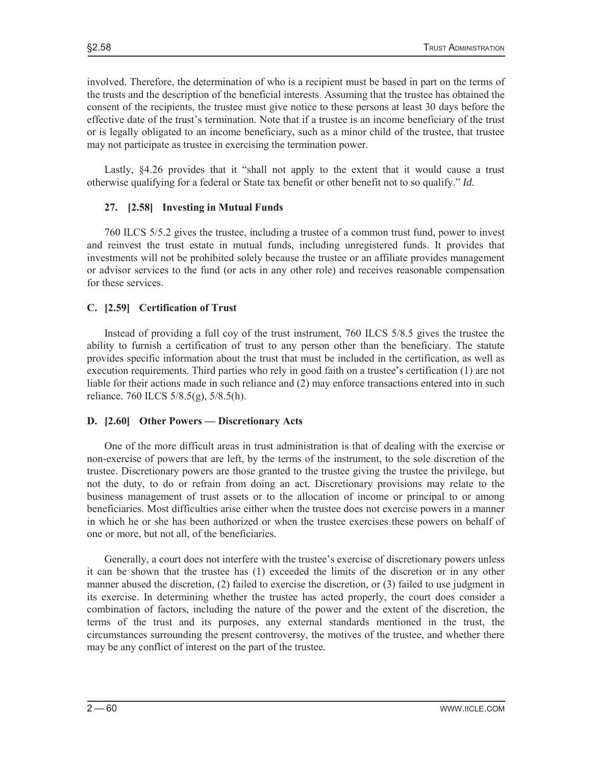involved. Therefore, the determination of who is a recipient must be based in part on the terms of the trusts and the description of the beneficial interests. Assuming that the trustee has obtained the consent of the recipients, the trustee must give notice to these persons at least 30 days before the effective date of the trust's termination. Note that if a trustee is an income beneficiary of the trust or is legally obligated to an income beneficiary, such as a minor child of the trustee, that trustee may not participate as trustee in exercising the termination power.

 Lastly, §4.26 provides that it "shall not apply to the extent that it would cause a trust otherwise qualifying for a federal or State tax benefit or other benefit not to so qualify." *Id.*

#### **27. [2.58] Investing in Mutual Funds**

 760 ILCS 5/5.2 gives the trustee, including a trustee of a common trust fund, power to invest and reinvest the trust estate in mutual funds, including unregistered funds. It provides that investments will not be prohibited solely because the trustee or an affiliate provides management or advisor services to the fund (or acts in any other role) and receives reasonable compensation for these services.

#### **C. [2.59] Certification of Trust**

Instead of providing a full coy of the trust instrument, 760 ILCS 5/8.5 gives the trustee the ability to furnish a certification of trust to any person other than the beneficiary. The statute provides specific information about the trust that must be included in the certification, as well as execution requirements. Third parties who rely in good faith on a trustee's certification (1) are not liable for their actions made in such reliance and (2) may enforce transactions entered into in such reliance. 760 ILCS  $5/8.5(g)$ ,  $5/8.5(h)$ .

#### **D. [2.60] Other Powers — Discretionary Acts**

 One of the more difficult areas in trust administration is that of dealing with the exercise or non-exercise of powers that are left, by the terms of the instrument, to the sole discretion of the trustee. Discretionary powers are those granted to the trustee giving the trustee the privilege, but not the duty, to do or refrain from doing an act. Discretionary provisions may relate to the business management of trust assets or to the allocation of income or principal to or among beneficiaries. Most difficulties arise either when the trustee does not exercise powers in a manner in which he or she has been authorized or when the trustee exercises these powers on behalf of one or more, but not all, of the beneficiaries.

 Generally, a court does not interfere with the trustee's exercise of discretionary powers unless it can be shown that the trustee has (1) exceeded the limits of the discretion or in any other manner abused the discretion, (2) failed to exercise the discretion, or (3) failed to use judgment in its exercise. In determining whether the trustee has acted properly, the court does consider a combination of factors, including the nature of the power and the extent of the discretion, the terms of the trust and its purposes, any external standards mentioned in the trust, the circumstances surrounding the present controversy, the motives of the trustee, and whether there may be any conflict of interest on the part of the trustee.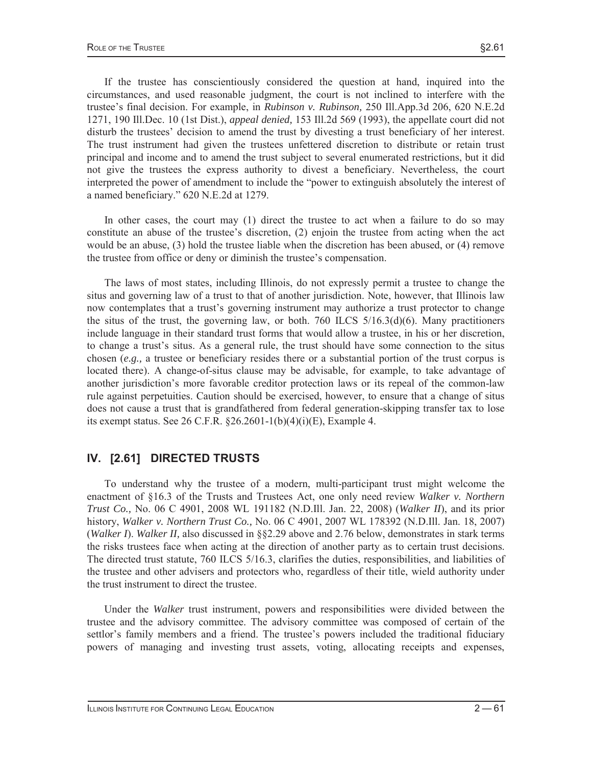If the trustee has conscientiously considered the question at hand, inquired into the circumstances, and used reasonable judgment, the court is not inclined to interfere with the trustee's final decision. For example, in *Rubinson v. Rubinson,* 250 Ill.App.3d 206, 620 N.E.2d 1271, 190 Ill.Dec. 10 (1st Dist.), *appeal denied,* 153 Ill.2d 569 (1993), the appellate court did not disturb the trustees' decision to amend the trust by divesting a trust beneficiary of her interest. The trust instrument had given the trustees unfettered discretion to distribute or retain trust principal and income and to amend the trust subject to several enumerated restrictions, but it did not give the trustees the express authority to divest a beneficiary. Nevertheless, the court interpreted the power of amendment to include the "power to extinguish absolutely the interest of a named beneficiary." 620 N.E.2d at 1279.

 In other cases, the court may (1) direct the trustee to act when a failure to do so may constitute an abuse of the trustee's discretion, (2) enjoin the trustee from acting when the act would be an abuse, (3) hold the trustee liable when the discretion has been abused, or (4) remove the trustee from office or deny or diminish the trustee's compensation.

 The laws of most states, including Illinois, do not expressly permit a trustee to change the situs and governing law of a trust to that of another jurisdiction. Note, however, that Illinois law now contemplates that a trust's governing instrument may authorize a trust protector to change the situs of the trust, the governing law, or both. 760 ILCS  $5/16.3(d)(6)$ . Many practitioners include language in their standard trust forms that would allow a trustee, in his or her discretion, to change a trust's situs. As a general rule, the trust should have some connection to the situs chosen (*e.g.,* a trustee or beneficiary resides there or a substantial portion of the trust corpus is located there). A change-of-situs clause may be advisable, for example, to take advantage of another jurisdiction's more favorable creditor protection laws or its repeal of the common-law rule against perpetuities. Caution should be exercised, however, to ensure that a change of situs does not cause a trust that is grandfathered from federal generation-skipping transfer tax to lose its exempt status. See 26 C.F.R.  $\S 26.2601 - 1(b)(4)(i)(E)$ , Example 4.

# **IV. [2.61] DIRECTED TRUSTS**

 To understand why the trustee of a modern, multi-participant trust might welcome the enactment of §16.3 of the Trusts and Trustees Act, one only need review *Walker v. Northern Trust Co.,* No. 06 C 4901, 2008 WL 191182 (N.D.Ill. Jan. 22, 2008) (*Walker II*), and its prior history, *Walker v. Northern Trust Co.,* No. 06 C 4901, 2007 WL 178392 (N.D.Ill. Jan. 18, 2007) (*Walker I*). *Walker II,* also discussed in §§2.29 above and 2.76 below, demonstrates in stark terms the risks trustees face when acting at the direction of another party as to certain trust decisions. The directed trust statute, 760 ILCS 5/16.3, clarifies the duties, responsibilities, and liabilities of the trustee and other advisers and protectors who, regardless of their title, wield authority under the trust instrument to direct the trustee.

 Under the *Walker* trust instrument, powers and responsibilities were divided between the trustee and the advisory committee. The advisory committee was composed of certain of the settlor's family members and a friend. The trustee's powers included the traditional fiduciary powers of managing and investing trust assets, voting, allocating receipts and expenses,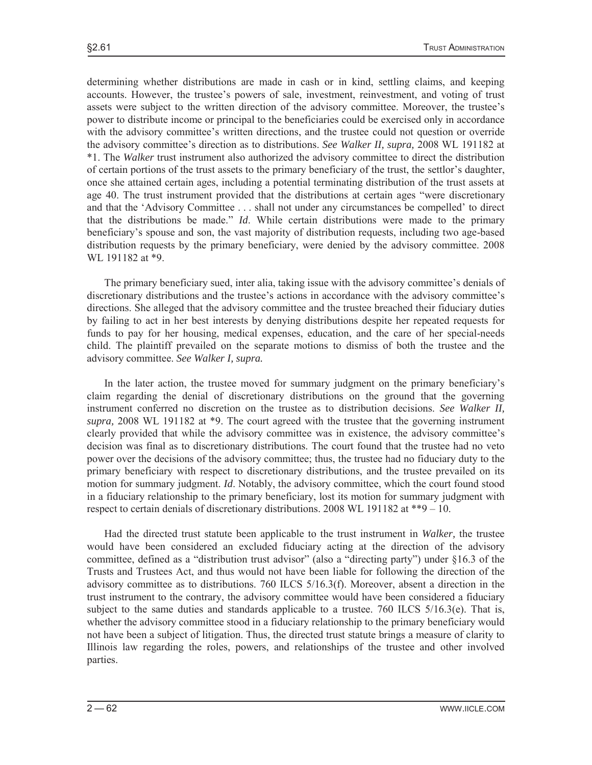determining whether distributions are made in cash or in kind, settling claims, and keeping accounts. However, the trustee's powers of sale, investment, reinvestment, and voting of trust assets were subject to the written direction of the advisory committee. Moreover, the trustee's power to distribute income or principal to the beneficiaries could be exercised only in accordance with the advisory committee's written directions, and the trustee could not question or override the advisory committee's direction as to distributions. *See Walker II, supra,* 2008 WL 191182 at \*1. The *Walker* trust instrument also authorized the advisory committee to direct the distribution of certain portions of the trust assets to the primary beneficiary of the trust, the settlor's daughter, once she attained certain ages, including a potential terminating distribution of the trust assets at age 40. The trust instrument provided that the distributions at certain ages "were discretionary and that the 'Advisory Committee . . . shall not under any circumstances be compelled' to direct that the distributions be made." *Id*. While certain distributions were made to the primary beneficiary's spouse and son, the vast majority of distribution requests, including two age-based distribution requests by the primary beneficiary, were denied by the advisory committee. 2008 WL 191182 at \*9.

 The primary beneficiary sued, inter alia, taking issue with the advisory committee's denials of discretionary distributions and the trustee's actions in accordance with the advisory committee's directions. She alleged that the advisory committee and the trustee breached their fiduciary duties by failing to act in her best interests by denying distributions despite her repeated requests for funds to pay for her housing, medical expenses, education, and the care of her special-needs child. The plaintiff prevailed on the separate motions to dismiss of both the trustee and the advisory committee. *See Walker I, supra.* 

 In the later action, the trustee moved for summary judgment on the primary beneficiary's claim regarding the denial of discretionary distributions on the ground that the governing instrument conferred no discretion on the trustee as to distribution decisions. *See Walker II, supra,* 2008 WL 191182 at \*9. The court agreed with the trustee that the governing instrument clearly provided that while the advisory committee was in existence, the advisory committee's decision was final as to discretionary distributions. The court found that the trustee had no veto power over the decisions of the advisory committee; thus, the trustee had no fiduciary duty to the primary beneficiary with respect to discretionary distributions, and the trustee prevailed on its motion for summary judgment. *Id*. Notably, the advisory committee, which the court found stood in a fiduciary relationship to the primary beneficiary, lost its motion for summary judgment with respect to certain denials of discretionary distributions. 2008 WL 191182 at \*\*9 – 10.

 Had the directed trust statute been applicable to the trust instrument in *Walker,* the trustee would have been considered an excluded fiduciary acting at the direction of the advisory committee, defined as a "distribution trust advisor" (also a "directing party") under §16.3 of the Trusts and Trustees Act, and thus would not have been liable for following the direction of the advisory committee as to distributions. 760 ILCS 5/16.3(f). Moreover, absent a direction in the trust instrument to the contrary, the advisory committee would have been considered a fiduciary subject to the same duties and standards applicable to a trustee.  $760$  ILCS  $5/16.3$ (e). That is, whether the advisory committee stood in a fiduciary relationship to the primary beneficiary would not have been a subject of litigation. Thus, the directed trust statute brings a measure of clarity to Illinois law regarding the roles, powers, and relationships of the trustee and other involved parties.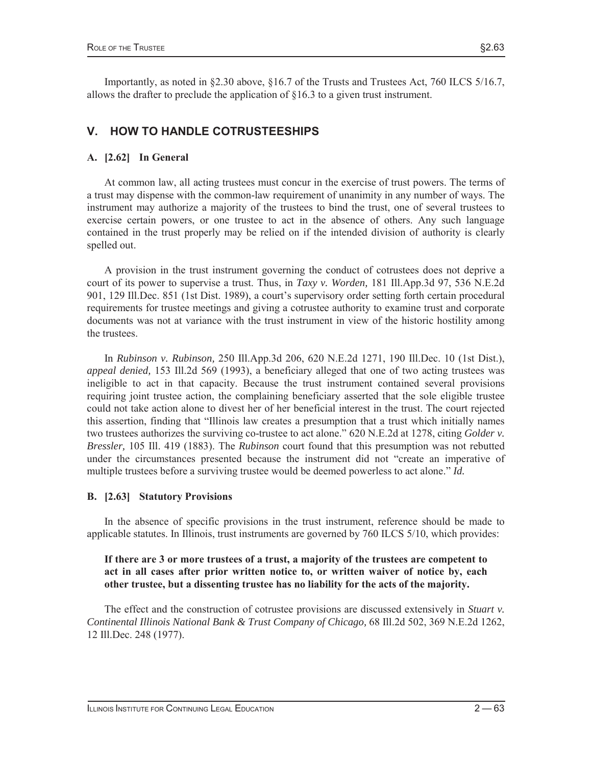Importantly, as noted in §2.30 above, §16.7 of the Trusts and Trustees Act, 760 ILCS 5/16.7, allows the drafter to preclude the application of §16.3 to a given trust instrument.

# **V. HOW TO HANDLE COTRUSTEESHIPS**

## **A. [2.62] In General**

 At common law, all acting trustees must concur in the exercise of trust powers. The terms of a trust may dispense with the common-law requirement of unanimity in any number of ways. The instrument may authorize a majority of the trustees to bind the trust, one of several trustees to exercise certain powers, or one trustee to act in the absence of others. Any such language contained in the trust properly may be relied on if the intended division of authority is clearly spelled out.

 A provision in the trust instrument governing the conduct of cotrustees does not deprive a court of its power to supervise a trust. Thus, in *Taxy v. Worden,* 181 Ill.App.3d 97, 536 N.E.2d 901, 129 Ill.Dec. 851 (1st Dist. 1989), a court's supervisory order setting forth certain procedural requirements for trustee meetings and giving a cotrustee authority to examine trust and corporate documents was not at variance with the trust instrument in view of the historic hostility among the trustees.

 In *Rubinson v. Rubinson,* 250 Ill.App.3d 206, 620 N.E.2d 1271, 190 Ill.Dec. 10 (1st Dist.), *appeal denied,* 153 Ill.2d 569 (1993), a beneficiary alleged that one of two acting trustees was ineligible to act in that capacity. Because the trust instrument contained several provisions requiring joint trustee action, the complaining beneficiary asserted that the sole eligible trustee could not take action alone to divest her of her beneficial interest in the trust. The court rejected this assertion, finding that "Illinois law creates a presumption that a trust which initially names two trustees authorizes the surviving co-trustee to act alone." 620 N.E.2d at 1278, citing *Golder v. Bressler,* 105 Ill. 419 (1883). The *Rubinson* court found that this presumption was not rebutted under the circumstances presented because the instrument did not "create an imperative of multiple trustees before a surviving trustee would be deemed powerless to act alone." *Id.*

#### **B. [2.63] Statutory Provisions**

 In the absence of specific provisions in the trust instrument, reference should be made to applicable statutes. In Illinois, trust instruments are governed by 760 ILCS 5/10, which provides:

## **If there are 3 or more trustees of a trust, a majority of the trustees are competent to act in all cases after prior written notice to, or written waiver of notice by, each other trustee, but a dissenting trustee has no liability for the acts of the majority.**

 The effect and the construction of cotrustee provisions are discussed extensively in *Stuart v. Continental Illinois National Bank & Trust Company of Chicago,* 68 Ill.2d 502, 369 N.E.2d 1262, 12 Ill.Dec. 248 (1977).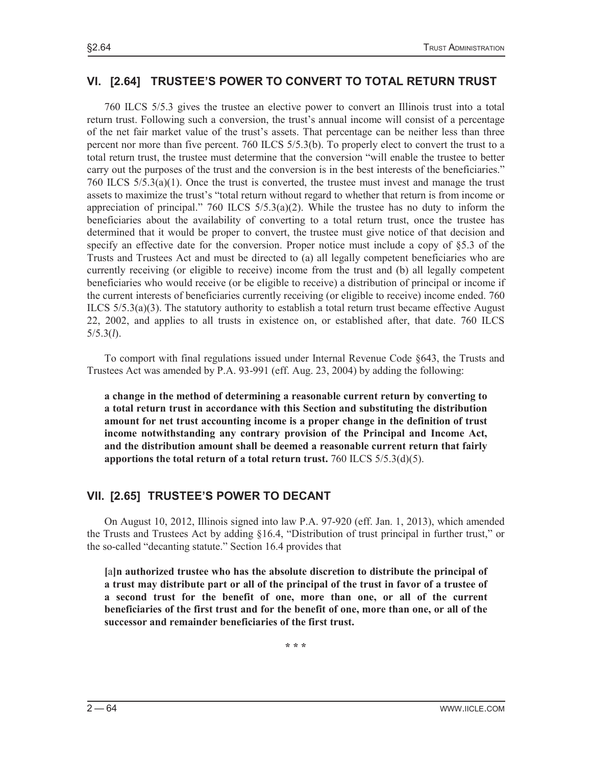## **VI. [2.64] TRUSTEE'S POWER TO CONVERT TO TOTAL RETURN TRUST**

 760 ILCS 5/5.3 gives the trustee an elective power to convert an Illinois trust into a total return trust. Following such a conversion, the trust's annual income will consist of a percentage of the net fair market value of the trust's assets. That percentage can be neither less than three percent nor more than five percent. 760 ILCS 5/5.3(b). To properly elect to convert the trust to a total return trust, the trustee must determine that the conversion "will enable the trustee to better carry out the purposes of the trust and the conversion is in the best interests of the beneficiaries." 760 ILCS 5/5.3(a)(1). Once the trust is converted, the trustee must invest and manage the trust assets to maximize the trust's "total return without regard to whether that return is from income or appreciation of principal." 760 ILCS  $5/5.3(a)(2)$ . While the trustee has no duty to inform the beneficiaries about the availability of converting to a total return trust, once the trustee has determined that it would be proper to convert, the trustee must give notice of that decision and specify an effective date for the conversion. Proper notice must include a copy of §5.3 of the Trusts and Trustees Act and must be directed to (a) all legally competent beneficiaries who are currently receiving (or eligible to receive) income from the trust and (b) all legally competent beneficiaries who would receive (or be eligible to receive) a distribution of principal or income if the current interests of beneficiaries currently receiving (or eligible to receive) income ended. 760 ILCS  $5/5.3(a)(3)$ . The statutory authority to establish a total return trust became effective August 22, 2002, and applies to all trusts in existence on, or established after, that date. 760 ILCS 5/5.3(*l*).

 To comport with final regulations issued under Internal Revenue Code §643, the Trusts and Trustees Act was amended by P.A. 93-991 (eff. Aug. 23, 2004) by adding the following:

**a change in the method of determining a reasonable current return by converting to a total return trust in accordance with this Section and substituting the distribution amount for net trust accounting income is a proper change in the definition of trust income notwithstanding any contrary provision of the Principal and Income Act, and the distribution amount shall be deemed a reasonable current return that fairly apportions the total return of a total return trust.** 760 ILCS 5/5.3(d)(5).

# **VII. [2.65] TRUSTEE'S POWER TO DECANT**

On August 10, 2012, Illinois signed into law P.A. 97-920 (eff. Jan. 1, 2013), which amended the Trusts and Trustees Act by adding §16.4, "Distribution of trust principal in further trust," or the so-called "decanting statute." Section 16.4 provides that

**[**a**]n authorized trustee who has the absolute discretion to distribute the principal of a trust may distribute part or all of the principal of the trust in favor of a trustee of a second trust for the benefit of one, more than one, or all of the current beneficiaries of the first trust and for the benefit of one, more than one, or all of the successor and remainder beneficiaries of the first trust.** 

**\* \* \***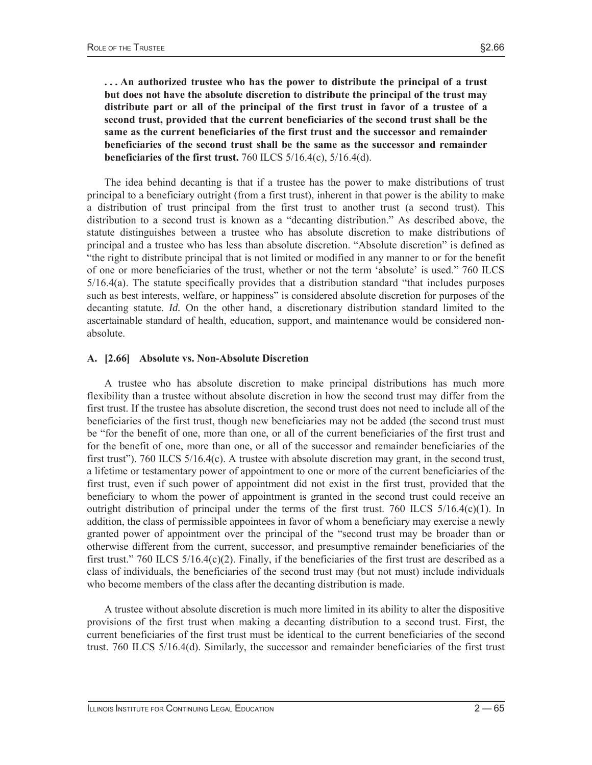**. . . An authorized trustee who has the power to distribute the principal of a trust but does not have the absolute discretion to distribute the principal of the trust may distribute part or all of the principal of the first trust in favor of a trustee of a second trust, provided that the current beneficiaries of the second trust shall be the same as the current beneficiaries of the first trust and the successor and remainder beneficiaries of the second trust shall be the same as the successor and remainder beneficiaries of the first trust.** 760 ILCS 5/16.4(c), 5/16.4(d).

 The idea behind decanting is that if a trustee has the power to make distributions of trust principal to a beneficiary outright (from a first trust), inherent in that power is the ability to make a distribution of trust principal from the first trust to another trust (a second trust). This distribution to a second trust is known as a "decanting distribution." As described above, the statute distinguishes between a trustee who has absolute discretion to make distributions of principal and a trustee who has less than absolute discretion. "Absolute discretion" is defined as "the right to distribute principal that is not limited or modified in any manner to or for the benefit of one or more beneficiaries of the trust, whether or not the term 'absolute' is used." 760 ILCS 5/16.4(a). The statute specifically provides that a distribution standard "that includes purposes such as best interests, welfare, or happiness" is considered absolute discretion for purposes of the decanting statute. *Id.* On the other hand, a discretionary distribution standard limited to the ascertainable standard of health, education, support, and maintenance would be considered nonabsolute.

#### **A. [2.66] Absolute vs. Non-Absolute Discretion**

 A trustee who has absolute discretion to make principal distributions has much more flexibility than a trustee without absolute discretion in how the second trust may differ from the first trust. If the trustee has absolute discretion, the second trust does not need to include all of the beneficiaries of the first trust, though new beneficiaries may not be added (the second trust must be "for the benefit of one, more than one, or all of the current beneficiaries of the first trust and for the benefit of one, more than one, or all of the successor and remainder beneficiaries of the first trust"). 760 ILCS 5/16.4(c). A trustee with absolute discretion may grant, in the second trust, a lifetime or testamentary power of appointment to one or more of the current beneficiaries of the first trust, even if such power of appointment did not exist in the first trust, provided that the beneficiary to whom the power of appointment is granted in the second trust could receive an outright distribution of principal under the terms of the first trust. 760 ILCS  $5/16.4(c)(1)$ . In addition, the class of permissible appointees in favor of whom a beneficiary may exercise a newly granted power of appointment over the principal of the "second trust may be broader than or otherwise different from the current, successor, and presumptive remainder beneficiaries of the first trust." 760 ILCS  $5/16.4(c)(2)$ . Finally, if the beneficiaries of the first trust are described as a class of individuals, the beneficiaries of the second trust may (but not must) include individuals who become members of the class after the decanting distribution is made.

 A trustee without absolute discretion is much more limited in its ability to alter the dispositive provisions of the first trust when making a decanting distribution to a second trust. First, the current beneficiaries of the first trust must be identical to the current beneficiaries of the second trust. 760 ILCS 5/16.4(d). Similarly, the successor and remainder beneficiaries of the first trust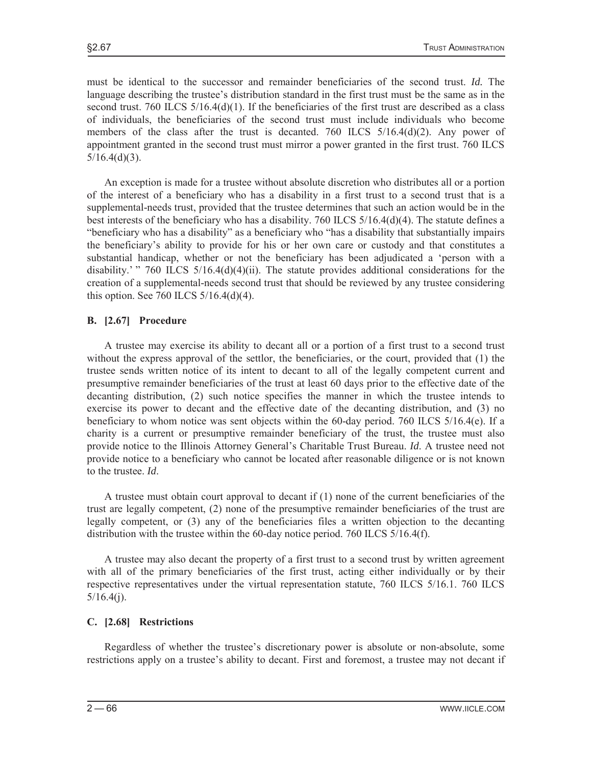must be identical to the successor and remainder beneficiaries of the second trust. *Id.* The language describing the trustee's distribution standard in the first trust must be the same as in the second trust. 760 ILCS  $5/16.4(d)(1)$ . If the beneficiaries of the first trust are described as a class of individuals, the beneficiaries of the second trust must include individuals who become members of the class after the trust is decanted. 760 ILCS  $5/16.4(d)(2)$ . Any power of appointment granted in the second trust must mirror a power granted in the first trust. 760 ILCS  $5/16.4(d)(3)$ .

 An exception is made for a trustee without absolute discretion who distributes all or a portion of the interest of a beneficiary who has a disability in a first trust to a second trust that is a supplemental-needs trust, provided that the trustee determines that such an action would be in the best interests of the beneficiary who has a disability. 760 ILCS 5/16.4(d)(4). The statute defines a "beneficiary who has a disability" as a beneficiary who "has a disability that substantially impairs the beneficiary's ability to provide for his or her own care or custody and that constitutes a substantial handicap, whether or not the beneficiary has been adjudicated a 'person with a disability.' " 760 ILCS 5/16.4(d)(4)(ii). The statute provides additional considerations for the creation of a supplemental-needs second trust that should be reviewed by any trustee considering this option. See 760 ILCS  $5/16.4(d)(4)$ .

# **B. [2.67] Procedure**

 A trustee may exercise its ability to decant all or a portion of a first trust to a second trust without the express approval of the settlor, the beneficiaries, or the court, provided that (1) the trustee sends written notice of its intent to decant to all of the legally competent current and presumptive remainder beneficiaries of the trust at least 60 days prior to the effective date of the decanting distribution, (2) such notice specifies the manner in which the trustee intends to exercise its power to decant and the effective date of the decanting distribution, and (3) no beneficiary to whom notice was sent objects within the 60-day period. 760 ILCS 5/16.4(e). If a charity is a current or presumptive remainder beneficiary of the trust, the trustee must also provide notice to the Illinois Attorney General's Charitable Trust Bureau. *Id*. A trustee need not provide notice to a beneficiary who cannot be located after reasonable diligence or is not known to the trustee. *Id*.

 A trustee must obtain court approval to decant if (1) none of the current beneficiaries of the trust are legally competent, (2) none of the presumptive remainder beneficiaries of the trust are legally competent, or (3) any of the beneficiaries files a written objection to the decanting distribution with the trustee within the 60-day notice period. 760 ILCS 5/16.4(f).

 A trustee may also decant the property of a first trust to a second trust by written agreement with all of the primary beneficiaries of the first trust, acting either individually or by their respective representatives under the virtual representation statute, 760 ILCS 5/16.1. 760 ILCS  $5/16.4(j)$ .

# **C. [2.68] Restrictions**

 Regardless of whether the trustee's discretionary power is absolute or non-absolute, some restrictions apply on a trustee's ability to decant. First and foremost, a trustee may not decant if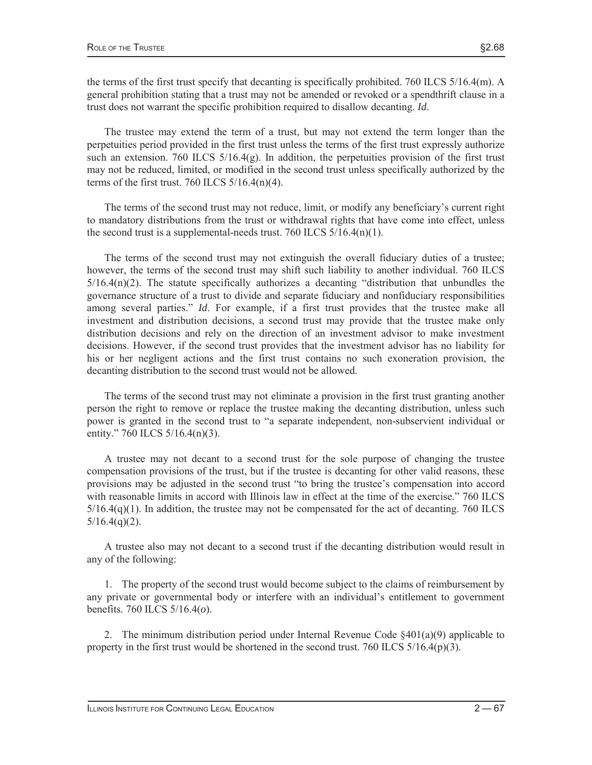the terms of the first trust specify that decanting is specifically prohibited. 760 ILCS  $5/16.4(m)$ . A general prohibition stating that a trust may not be amended or revoked or a spendthrift clause in a trust does not warrant the specific prohibition required to disallow decanting. *Id*.

 The trustee may extend the term of a trust, but may not extend the term longer than the perpetuities period provided in the first trust unless the terms of the first trust expressly authorize such an extension. 760 ILCS  $5/16.4(g)$ . In addition, the perpetuities provision of the first trust may not be reduced, limited, or modified in the second trust unless specifically authorized by the terms of the first trust. 760 ILCS  $5/16.4(n)(4)$ .

 The terms of the second trust may not reduce, limit, or modify any beneficiary's current right to mandatory distributions from the trust or withdrawal rights that have come into effect, unless the second trust is a supplemental-needs trust. 760 ILCS  $5/16.4(n)(1)$ .

 The terms of the second trust may not extinguish the overall fiduciary duties of a trustee; however, the terms of the second trust may shift such liability to another individual. 760 ILCS  $5/16.4(n)(2)$ . The statute specifically authorizes a decanting "distribution that unbundles the governance structure of a trust to divide and separate fiduciary and nonfiduciary responsibilities among several parties." *Id*. For example, if a first trust provides that the trustee make all investment and distribution decisions, a second trust may provide that the trustee make only distribution decisions and rely on the direction of an investment advisor to make investment decisions. However, if the second trust provides that the investment advisor has no liability for his or her negligent actions and the first trust contains no such exoneration provision, the decanting distribution to the second trust would not be allowed.

 The terms of the second trust may not eliminate a provision in the first trust granting another person the right to remove or replace the trustee making the decanting distribution, unless such power is granted in the second trust to "a separate independent, non-subservient individual or entity." 760 ILCS 5/16.4(n)(3).

 A trustee may not decant to a second trust for the sole purpose of changing the trustee compensation provisions of the trust, but if the trustee is decanting for other valid reasons, these provisions may be adjusted in the second trust "to bring the trustee's compensation into accord with reasonable limits in accord with Illinois law in effect at the time of the exercise." 760 ILCS  $5/16.4(q)(1)$ . In addition, the trustee may not be compensated for the act of decanting. 760 ILCS  $5/16.4(q)(2)$ .

 A trustee also may not decant to a second trust if the decanting distribution would result in any of the following:

 1. The property of the second trust would become subject to the claims of reimbursement by any private or governmental body or interfere with an individual's entitlement to government benefits. 760 ILCS 5/16.4(*o*).

2. The minimum distribution period under Internal Revenue Code  $\S401(a)(9)$  applicable to property in the first trust would be shortened in the second trust. 760 ILCS  $5/16.4(p)(3)$ .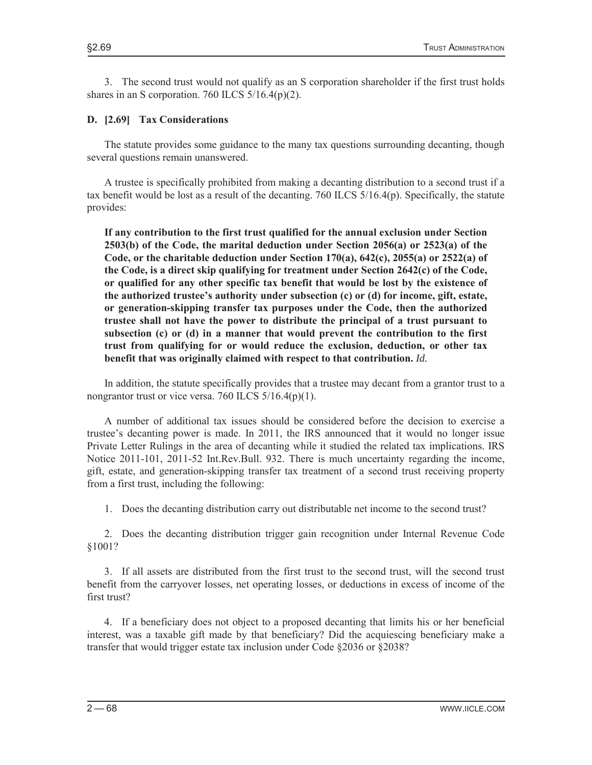3. The second trust would not qualify as an S corporation shareholder if the first trust holds shares in an S corporation. 760 ILCS  $5/16.4(p)(2)$ .

#### **D. [2.69] Tax Considerations**

 The statute provides some guidance to the many tax questions surrounding decanting, though several questions remain unanswered.

 A trustee is specifically prohibited from making a decanting distribution to a second trust if a tax benefit would be lost as a result of the decanting. 760 ILCS 5/16.4(p). Specifically, the statute provides:

**If any contribution to the first trust qualified for the annual exclusion under Section 2503(b) of the Code, the marital deduction under Section 2056(a) or 2523(a) of the Code, or the charitable deduction under Section 170(a), 642(c), 2055(a) or 2522(a) of the Code, is a direct skip qualifying for treatment under Section 2642(c) of the Code, or qualified for any other specific tax benefit that would be lost by the existence of the authorized trustee's authority under subsection (c) or (d) for income, gift, estate, or generation-skipping transfer tax purposes under the Code, then the authorized trustee shall not have the power to distribute the principal of a trust pursuant to subsection (c) or (d) in a manner that would prevent the contribution to the first trust from qualifying for or would reduce the exclusion, deduction, or other tax benefit that was originally claimed with respect to that contribution.** *Id.* 

 In addition, the statute specifically provides that a trustee may decant from a grantor trust to a nongrantor trust or vice versa. 760 ILCS  $5/16.4(p)(1)$ .

 A number of additional tax issues should be considered before the decision to exercise a trustee's decanting power is made. In 2011, the IRS announced that it would no longer issue Private Letter Rulings in the area of decanting while it studied the related tax implications. IRS Notice 2011-101, 2011-52 Int.Rev.Bull. 932. There is much uncertainty regarding the income, gift, estate, and generation-skipping transfer tax treatment of a second trust receiving property from a first trust, including the following:

1. Does the decanting distribution carry out distributable net income to the second trust?

 2. Does the decanting distribution trigger gain recognition under Internal Revenue Code §1001?

 3. If all assets are distributed from the first trust to the second trust, will the second trust benefit from the carryover losses, net operating losses, or deductions in excess of income of the first trust?

 4. If a beneficiary does not object to a proposed decanting that limits his or her beneficial interest, was a taxable gift made by that beneficiary? Did the acquiescing beneficiary make a transfer that would trigger estate tax inclusion under Code §2036 or §2038?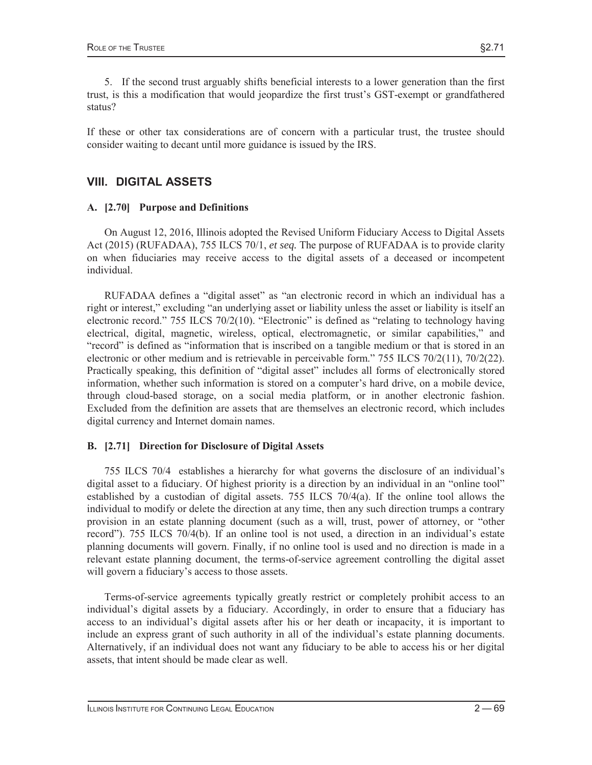5. If the second trust arguably shifts beneficial interests to a lower generation than the first trust, is this a modification that would jeopardize the first trust's GST-exempt or grandfathered status?

If these or other tax considerations are of concern with a particular trust, the trustee should consider waiting to decant until more guidance is issued by the IRS.

# **VIII. DIGITAL ASSETS**

## **A. [2.70] Purpose and Definitions**

 On August 12, 2016, Illinois adopted the Revised Uniform Fiduciary Access to Digital Assets Act (2015) (RUFADAA), 755 ILCS 70/1, *et seq.* The purpose of RUFADAA is to provide clarity on when fiduciaries may receive access to the digital assets of a deceased or incompetent individual.

 RUFADAA defines a "digital asset" as "an electronic record in which an individual has a right or interest," excluding "an underlying asset or liability unless the asset or liability is itself an electronic record." 755 ILCS 70/2(10). "Electronic" is defined as "relating to technology having electrical, digital, magnetic, wireless, optical, electromagnetic, or similar capabilities," and "record" is defined as "information that is inscribed on a tangible medium or that is stored in an electronic or other medium and is retrievable in perceivable form." 755 ILCS 70/2(11), 70/2(22). Practically speaking, this definition of "digital asset" includes all forms of electronically stored information, whether such information is stored on a computer's hard drive, on a mobile device, through cloud-based storage, on a social media platform, or in another electronic fashion. Excluded from the definition are assets that are themselves an electronic record, which includes digital currency and Internet domain names.

## **B. [2.71] Direction for Disclosure of Digital Assets**

 755 ILCS 70/4 establishes a hierarchy for what governs the disclosure of an individual's digital asset to a fiduciary. Of highest priority is a direction by an individual in an "online tool" established by a custodian of digital assets. 755 ILCS 70/4(a). If the online tool allows the individual to modify or delete the direction at any time, then any such direction trumps a contrary provision in an estate planning document (such as a will, trust, power of attorney, or "other record"). 755 ILCS 70/4(b). If an online tool is not used, a direction in an individual's estate planning documents will govern. Finally, if no online tool is used and no direction is made in a relevant estate planning document, the terms-of-service agreement controlling the digital asset will govern a fiduciary's access to those assets.

 Terms-of-service agreements typically greatly restrict or completely prohibit access to an individual's digital assets by a fiduciary. Accordingly, in order to ensure that a fiduciary has access to an individual's digital assets after his or her death or incapacity, it is important to include an express grant of such authority in all of the individual's estate planning documents. Alternatively, if an individual does not want any fiduciary to be able to access his or her digital assets, that intent should be made clear as well.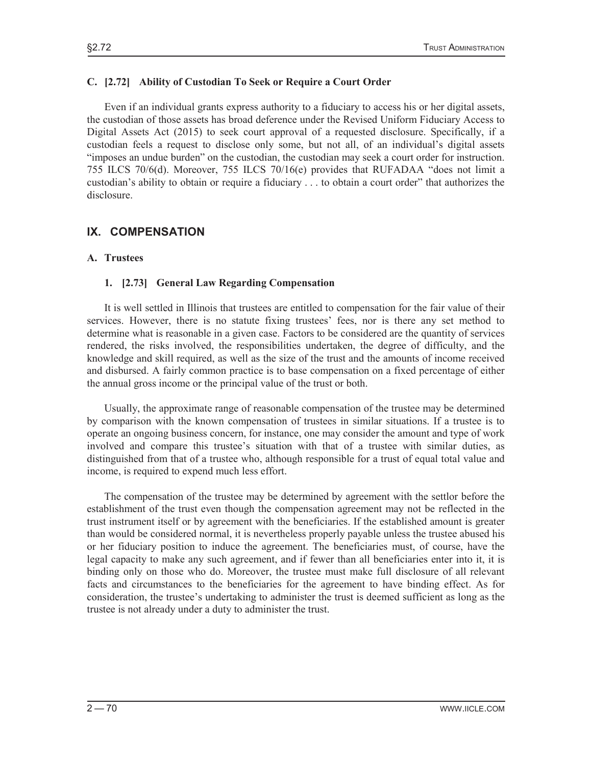### **C. [2.72] Ability of Custodian To Seek or Require a Court Order**

Even if an individual grants express authority to a fiduciary to access his or her digital assets, the custodian of those assets has broad deference under the Revised Uniform Fiduciary Access to Digital Assets Act (2015) to seek court approval of a requested disclosure. Specifically, if a custodian feels a request to disclose only some, but not all, of an individual's digital assets "imposes an undue burden" on the custodian, the custodian may seek a court order for instruction. 755 ILCS 70/6(d). Moreover, 755 ILCS 70/16(e) provides that RUFADAA "does not limit a custodian's ability to obtain or require a fiduciary . . . to obtain a court order" that authorizes the disclosure.

## **IX. COMPENSATION**

#### **A. Trustees**

#### **1. [2.73] General Law Regarding Compensation**

 It is well settled in Illinois that trustees are entitled to compensation for the fair value of their services. However, there is no statute fixing trustees' fees, nor is there any set method to determine what is reasonable in a given case. Factors to be considered are the quantity of services rendered, the risks involved, the responsibilities undertaken, the degree of difficulty, and the knowledge and skill required, as well as the size of the trust and the amounts of income received and disbursed. A fairly common practice is to base compensation on a fixed percentage of either the annual gross income or the principal value of the trust or both.

 Usually, the approximate range of reasonable compensation of the trustee may be determined by comparison with the known compensation of trustees in similar situations. If a trustee is to operate an ongoing business concern, for instance, one may consider the amount and type of work involved and compare this trustee's situation with that of a trustee with similar duties, as distinguished from that of a trustee who, although responsible for a trust of equal total value and income, is required to expend much less effort.

 The compensation of the trustee may be determined by agreement with the settlor before the establishment of the trust even though the compensation agreement may not be reflected in the trust instrument itself or by agreement with the beneficiaries. If the established amount is greater than would be considered normal, it is nevertheless properly payable unless the trustee abused his or her fiduciary position to induce the agreement. The beneficiaries must, of course, have the legal capacity to make any such agreement, and if fewer than all beneficiaries enter into it, it is binding only on those who do. Moreover, the trustee must make full disclosure of all relevant facts and circumstances to the beneficiaries for the agreement to have binding effect. As for consideration, the trustee's undertaking to administer the trust is deemed sufficient as long as the trustee is not already under a duty to administer the trust.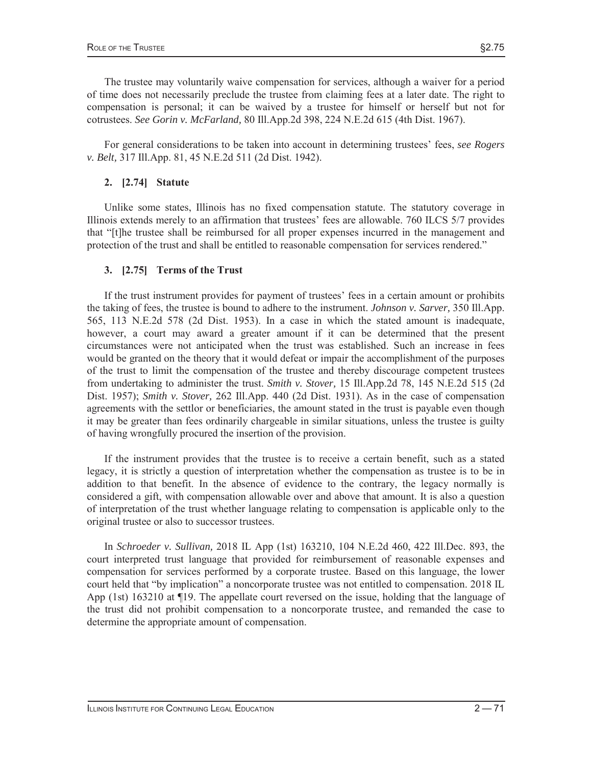The trustee may voluntarily waive compensation for services, although a waiver for a period of time does not necessarily preclude the trustee from claiming fees at a later date. The right to compensation is personal; it can be waived by a trustee for himself or herself but not for cotrustees. *See Gorin v. McFarland,* 80 Ill.App.2d 398, 224 N.E.2d 615 (4th Dist. 1967).

 For general considerations to be taken into account in determining trustees' fees, *see Rogers v. Belt,* 317 Ill.App. 81, 45 N.E.2d 511 (2d Dist. 1942).

### **2. [2.74] Statute**

 Unlike some states, Illinois has no fixed compensation statute. The statutory coverage in Illinois extends merely to an affirmation that trustees' fees are allowable. 760 ILCS 5/7 provides that "[t]he trustee shall be reimbursed for all proper expenses incurred in the management and protection of the trust and shall be entitled to reasonable compensation for services rendered."

## **3. [2.75] Terms of the Trust**

 If the trust instrument provides for payment of trustees' fees in a certain amount or prohibits the taking of fees, the trustee is bound to adhere to the instrument. *Johnson v. Sarver,* 350 Ill.App. 565, 113 N.E.2d 578 (2d Dist. 1953). In a case in which the stated amount is inadequate, however, a court may award a greater amount if it can be determined that the present circumstances were not anticipated when the trust was established. Such an increase in fees would be granted on the theory that it would defeat or impair the accomplishment of the purposes of the trust to limit the compensation of the trustee and thereby discourage competent trustees from undertaking to administer the trust. *Smith v. Stover,* 15 Ill.App.2d 78, 145 N.E.2d 515 (2d Dist. 1957); *Smith v. Stover,* 262 Ill.App. 440 (2d Dist. 1931). As in the case of compensation agreements with the settlor or beneficiaries, the amount stated in the trust is payable even though it may be greater than fees ordinarily chargeable in similar situations, unless the trustee is guilty of having wrongfully procured the insertion of the provision.

 If the instrument provides that the trustee is to receive a certain benefit, such as a stated legacy, it is strictly a question of interpretation whether the compensation as trustee is to be in addition to that benefit. In the absence of evidence to the contrary, the legacy normally is considered a gift, with compensation allowable over and above that amount. It is also a question of interpretation of the trust whether language relating to compensation is applicable only to the original trustee or also to successor trustees.

 In *Schroeder v. Sullivan,* 2018 IL App (1st) 163210, 104 N.E.2d 460, 422 Ill.Dec. 893, the court interpreted trust language that provided for reimbursement of reasonable expenses and compensation for services performed by a corporate trustee. Based on this language, the lower court held that "by implication" a noncorporate trustee was not entitled to compensation. 2018 IL App (1st) 163210 at ¶19. The appellate court reversed on the issue, holding that the language of the trust did not prohibit compensation to a noncorporate trustee, and remanded the case to determine the appropriate amount of compensation.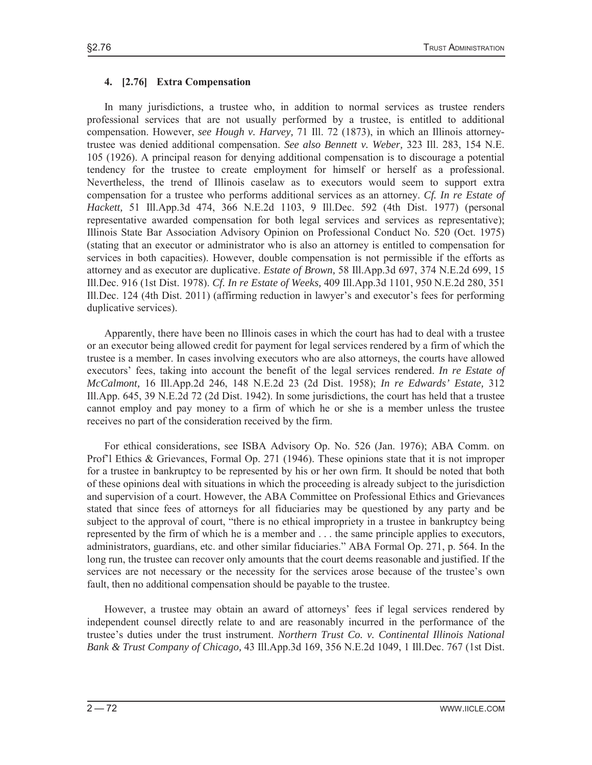# **4. [2.76] Extra Compensation**

 In many jurisdictions, a trustee who, in addition to normal services as trustee renders professional services that are not usually performed by a trustee, is entitled to additional compensation. However, *see Hough v. Harvey,* 71 Ill. 72 (1873), in which an Illinois attorneytrustee was denied additional compensation. *See also Bennett v. Weber,* 323 Ill. 283, 154 N.E. 105 (1926). A principal reason for denying additional compensation is to discourage a potential tendency for the trustee to create employment for himself or herself as a professional. Nevertheless, the trend of Illinois caselaw as to executors would seem to support extra compensation for a trustee who performs additional services as an attorney. *Cf. In re Estate of Hackett,* 51 Ill.App.3d 474, 366 N.E.2d 1103, 9 Ill.Dec. 592 (4th Dist. 1977) (personal representative awarded compensation for both legal services and services as representative); Illinois State Bar Association Advisory Opinion on Professional Conduct No. 520 (Oct. 1975) (stating that an executor or administrator who is also an attorney is entitled to compensation for services in both capacities). However, double compensation is not permissible if the efforts as attorney and as executor are duplicative. *Estate of Brown,* 58 Ill.App.3d 697, 374 N.E.2d 699, 15 Ill.Dec. 916 (1st Dist. 1978). *Cf. In re Estate of Weeks,* 409 Ill.App.3d 1101, 950 N.E.2d 280, 351 Ill.Dec. 124 (4th Dist. 2011) (affirming reduction in lawyer's and executor's fees for performing duplicative services).

 Apparently, there have been no Illinois cases in which the court has had to deal with a trustee or an executor being allowed credit for payment for legal services rendered by a firm of which the trustee is a member. In cases involving executors who are also attorneys, the courts have allowed executors' fees, taking into account the benefit of the legal services rendered. *In re Estate of McCalmont,* 16 Ill.App.2d 246, 148 N.E.2d 23 (2d Dist. 1958); *In re Edwards' Estate,* 312 Ill.App. 645, 39 N.E.2d 72 (2d Dist. 1942). In some jurisdictions, the court has held that a trustee cannot employ and pay money to a firm of which he or she is a member unless the trustee receives no part of the consideration received by the firm.

 For ethical considerations, see ISBA Advisory Op. No. 526 (Jan. 1976); ABA Comm. on Prof'l Ethics & Grievances, Formal Op. 271 (1946). These opinions state that it is not improper for a trustee in bankruptcy to be represented by his or her own firm. It should be noted that both of these opinions deal with situations in which the proceeding is already subject to the jurisdiction and supervision of a court. However, the ABA Committee on Professional Ethics and Grievances stated that since fees of attorneys for all fiduciaries may be questioned by any party and be subject to the approval of court, "there is no ethical impropriety in a trustee in bankruptcy being represented by the firm of which he is a member and . . . the same principle applies to executors, administrators, guardians, etc. and other similar fiduciaries." ABA Formal Op. 271, p. 564. In the long run, the trustee can recover only amounts that the court deems reasonable and justified. If the services are not necessary or the necessity for the services arose because of the trustee's own fault, then no additional compensation should be payable to the trustee.

 However, a trustee may obtain an award of attorneys' fees if legal services rendered by independent counsel directly relate to and are reasonably incurred in the performance of the trustee's duties under the trust instrument. *Northern Trust Co. v. Continental Illinois National Bank & Trust Company of Chicago,* 43 Ill.App.3d 169, 356 N.E.2d 1049, 1 Ill.Dec. 767 (1st Dist.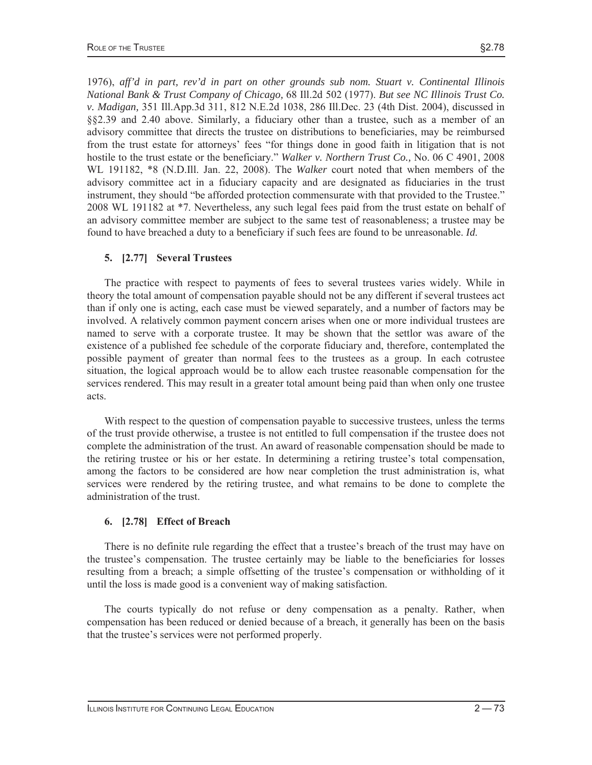1976), *aff'd in part, rev'd in part on other grounds sub nom. Stuart v. Continental Illinois National Bank & Trust Company of Chicago,* 68 Ill.2d 502 (1977). *But see NC Illinois Trust Co. v. Madigan,* 351 Ill.App.3d 311, 812 N.E.2d 1038, 286 Ill.Dec. 23 (4th Dist. 2004), discussed in §§2.39 and 2.40 above. Similarly, a fiduciary other than a trustee, such as a member of an advisory committee that directs the trustee on distributions to beneficiaries, may be reimbursed from the trust estate for attorneys' fees "for things done in good faith in litigation that is not hostile to the trust estate or the beneficiary." *Walker v. Northern Trust Co.,* No. 06 C 4901, 2008 WL 191182, \*8 (N.D.Ill. Jan. 22, 2008). The *Walker* court noted that when members of the advisory committee act in a fiduciary capacity and are designated as fiduciaries in the trust instrument, they should "be afforded protection commensurate with that provided to the Trustee." 2008 WL 191182 at \*7. Nevertheless, any such legal fees paid from the trust estate on behalf of an advisory committee member are subject to the same test of reasonableness; a trustee may be found to have breached a duty to a beneficiary if such fees are found to be unreasonable. *Id*.

## **5. [2.77] Several Trustees**

 The practice with respect to payments of fees to several trustees varies widely. While in theory the total amount of compensation payable should not be any different if several trustees act than if only one is acting, each case must be viewed separately, and a number of factors may be involved. A relatively common payment concern arises when one or more individual trustees are named to serve with a corporate trustee. It may be shown that the settlor was aware of the existence of a published fee schedule of the corporate fiduciary and, therefore, contemplated the possible payment of greater than normal fees to the trustees as a group. In each cotrustee situation, the logical approach would be to allow each trustee reasonable compensation for the services rendered. This may result in a greater total amount being paid than when only one trustee acts.

 With respect to the question of compensation payable to successive trustees, unless the terms of the trust provide otherwise, a trustee is not entitled to full compensation if the trustee does not complete the administration of the trust. An award of reasonable compensation should be made to the retiring trustee or his or her estate. In determining a retiring trustee's total compensation, among the factors to be considered are how near completion the trust administration is, what services were rendered by the retiring trustee, and what remains to be done to complete the administration of the trust.

## **6. [2.78] Effect of Breach**

 There is no definite rule regarding the effect that a trustee's breach of the trust may have on the trustee's compensation. The trustee certainly may be liable to the beneficiaries for losses resulting from a breach; a simple offsetting of the trustee's compensation or withholding of it until the loss is made good is a convenient way of making satisfaction.

 The courts typically do not refuse or deny compensation as a penalty. Rather, when compensation has been reduced or denied because of a breach, it generally has been on the basis that the trustee's services were not performed properly.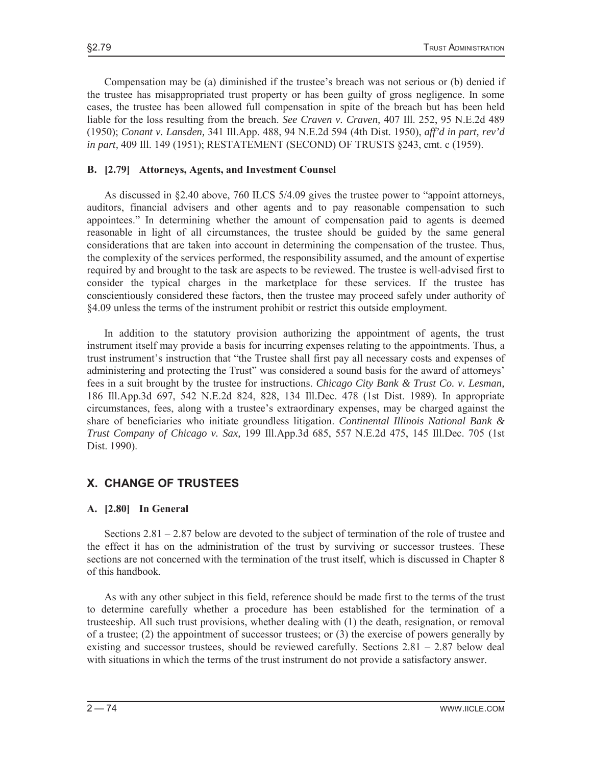Compensation may be (a) diminished if the trustee's breach was not serious or (b) denied if the trustee has misappropriated trust property or has been guilty of gross negligence. In some cases, the trustee has been allowed full compensation in spite of the breach but has been held liable for the loss resulting from the breach. *See Craven v. Craven,* 407 Ill. 252, 95 N.E.2d 489 (1950); *Conant v. Lansden,* 341 Ill.App. 488, 94 N.E.2d 594 (4th Dist. 1950), *aff'd in part, rev'd in part,* 409 Ill. 149 (1951); RESTATEMENT (SECOND) OF TRUSTS §243, cmt. c (1959).

#### **B. [2.79] Attorneys, Agents, and Investment Counsel**

 As discussed in §2.40 above, 760 ILCS 5/4.09 gives the trustee power to "appoint attorneys, auditors, financial advisers and other agents and to pay reasonable compensation to such appointees." In determining whether the amount of compensation paid to agents is deemed reasonable in light of all circumstances, the trustee should be guided by the same general considerations that are taken into account in determining the compensation of the trustee. Thus, the complexity of the services performed, the responsibility assumed, and the amount of expertise required by and brought to the task are aspects to be reviewed. The trustee is well-advised first to consider the typical charges in the marketplace for these services. If the trustee has conscientiously considered these factors, then the trustee may proceed safely under authority of §4.09 unless the terms of the instrument prohibit or restrict this outside employment.

 In addition to the statutory provision authorizing the appointment of agents, the trust instrument itself may provide a basis for incurring expenses relating to the appointments. Thus, a trust instrument's instruction that "the Trustee shall first pay all necessary costs and expenses of administering and protecting the Trust" was considered a sound basis for the award of attorneys' fees in a suit brought by the trustee for instructions. *Chicago City Bank & Trust Co. v. Lesman,*  186 Ill.App.3d 697, 542 N.E.2d 824, 828, 134 Ill.Dec. 478 (1st Dist. 1989). In appropriate circumstances, fees, along with a trustee's extraordinary expenses, may be charged against the share of beneficiaries who initiate groundless litigation. *Continental Illinois National Bank & Trust Company of Chicago v. Sax,* 199 Ill.App.3d 685, 557 N.E.2d 475, 145 Ill.Dec. 705 (1st Dist. 1990).

# **X. CHANGE OF TRUSTEES**

## **A. [2.80] In General**

 Sections 2.81 – 2.87 below are devoted to the subject of termination of the role of trustee and the effect it has on the administration of the trust by surviving or successor trustees. These sections are not concerned with the termination of the trust itself, which is discussed in Chapter 8 of this handbook.

 As with any other subject in this field, reference should be made first to the terms of the trust to determine carefully whether a procedure has been established for the termination of a trusteeship. All such trust provisions, whether dealing with (1) the death, resignation, or removal of a trustee; (2) the appointment of successor trustees; or (3) the exercise of powers generally by existing and successor trustees, should be reviewed carefully. Sections  $2.81 - 2.87$  below deal with situations in which the terms of the trust instrument do not provide a satisfactory answer.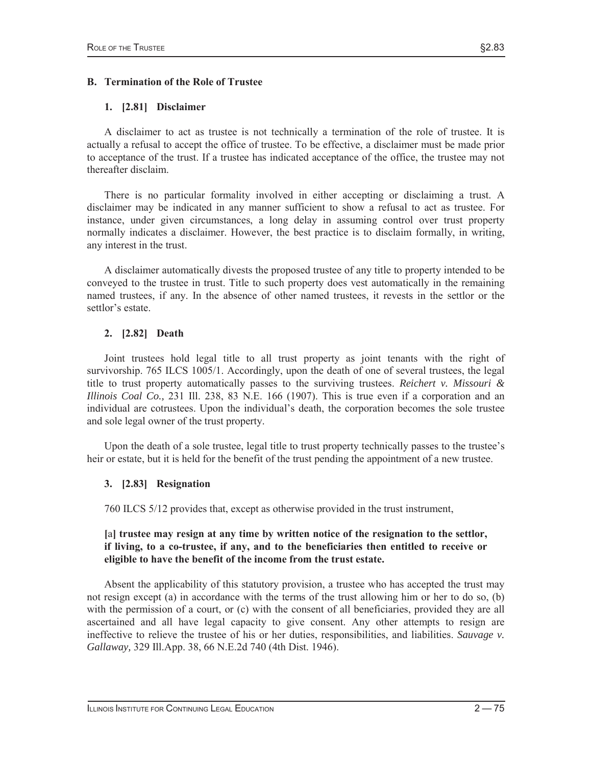# **B. Termination of the Role of Trustee**

## **1. [2.81] Disclaimer**

 A disclaimer to act as trustee is not technically a termination of the role of trustee. It is actually a refusal to accept the office of trustee. To be effective, a disclaimer must be made prior to acceptance of the trust. If a trustee has indicated acceptance of the office, the trustee may not thereafter disclaim.

 There is no particular formality involved in either accepting or disclaiming a trust. A disclaimer may be indicated in any manner sufficient to show a refusal to act as trustee. For instance, under given circumstances, a long delay in assuming control over trust property normally indicates a disclaimer. However, the best practice is to disclaim formally, in writing, any interest in the trust.

 A disclaimer automatically divests the proposed trustee of any title to property intended to be conveyed to the trustee in trust. Title to such property does vest automatically in the remaining named trustees, if any. In the absence of other named trustees, it revests in the settlor or the settlor's estate.

## **2. [2.82] Death**

 Joint trustees hold legal title to all trust property as joint tenants with the right of survivorship. 765 ILCS 1005/1. Accordingly, upon the death of one of several trustees, the legal title to trust property automatically passes to the surviving trustees. *Reichert v. Missouri & Illinois Coal Co.,* 231 Ill. 238, 83 N.E. 166 (1907). This is true even if a corporation and an individual are cotrustees. Upon the individual's death, the corporation becomes the sole trustee and sole legal owner of the trust property.

 Upon the death of a sole trustee, legal title to trust property technically passes to the trustee's heir or estate, but it is held for the benefit of the trust pending the appointment of a new trustee.

# **3. [2.83] Resignation**

760 ILCS 5/12 provides that, except as otherwise provided in the trust instrument,

#### **[**a**] trustee may resign at any time by written notice of the resignation to the settlor, if living, to a co-trustee, if any, and to the beneficiaries then entitled to receive or eligible to have the benefit of the income from the trust estate.**

 Absent the applicability of this statutory provision, a trustee who has accepted the trust may not resign except (a) in accordance with the terms of the trust allowing him or her to do so, (b) with the permission of a court, or (c) with the consent of all beneficiaries, provided they are all ascertained and all have legal capacity to give consent. Any other attempts to resign are ineffective to relieve the trustee of his or her duties, responsibilities, and liabilities. *Sauvage v. Gallaway,* 329 Ill.App. 38, 66 N.E.2d 740 (4th Dist. 1946).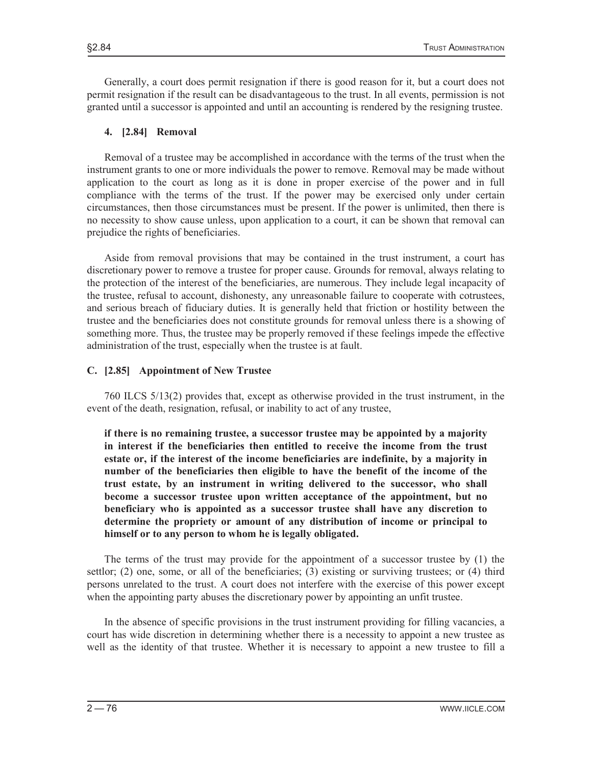Generally, a court does permit resignation if there is good reason for it, but a court does not permit resignation if the result can be disadvantageous to the trust. In all events, permission is not granted until a successor is appointed and until an accounting is rendered by the resigning trustee.

#### **4. [2.84] Removal**

 Removal of a trustee may be accomplished in accordance with the terms of the trust when the instrument grants to one or more individuals the power to remove. Removal may be made without application to the court as long as it is done in proper exercise of the power and in full compliance with the terms of the trust. If the power may be exercised only under certain circumstances, then those circumstances must be present. If the power is unlimited, then there is no necessity to show cause unless, upon application to a court, it can be shown that removal can prejudice the rights of beneficiaries.

 Aside from removal provisions that may be contained in the trust instrument, a court has discretionary power to remove a trustee for proper cause. Grounds for removal, always relating to the protection of the interest of the beneficiaries, are numerous. They include legal incapacity of the trustee, refusal to account, dishonesty, any unreasonable failure to cooperate with cotrustees, and serious breach of fiduciary duties. It is generally held that friction or hostility between the trustee and the beneficiaries does not constitute grounds for removal unless there is a showing of something more. Thus, the trustee may be properly removed if these feelings impede the effective administration of the trust, especially when the trustee is at fault.

#### **C. [2.85] Appointment of New Trustee**

 760 ILCS 5/13(2) provides that, except as otherwise provided in the trust instrument, in the event of the death, resignation, refusal, or inability to act of any trustee,

**if there is no remaining trustee, a successor trustee may be appointed by a majority in interest if the beneficiaries then entitled to receive the income from the trust estate or, if the interest of the income beneficiaries are indefinite, by a majority in number of the beneficiaries then eligible to have the benefit of the income of the trust estate, by an instrument in writing delivered to the successor, who shall become a successor trustee upon written acceptance of the appointment, but no beneficiary who is appointed as a successor trustee shall have any discretion to determine the propriety or amount of any distribution of income or principal to himself or to any person to whom he is legally obligated.** 

 The terms of the trust may provide for the appointment of a successor trustee by (1) the settlor; (2) one, some, or all of the beneficiaries; (3) existing or surviving trustees; or (4) third persons unrelated to the trust. A court does not interfere with the exercise of this power except when the appointing party abuses the discretionary power by appointing an unfit trustee.

 In the absence of specific provisions in the trust instrument providing for filling vacancies, a court has wide discretion in determining whether there is a necessity to appoint a new trustee as well as the identity of that trustee. Whether it is necessary to appoint a new trustee to fill a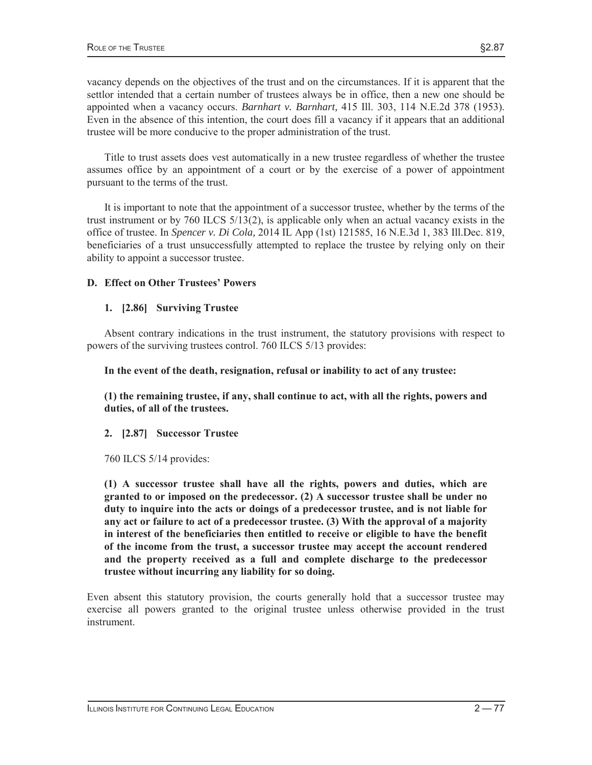vacancy depends on the objectives of the trust and on the circumstances. If it is apparent that the settlor intended that a certain number of trustees always be in office, then a new one should be appointed when a vacancy occurs. *Barnhart v. Barnhart,* 415 Ill. 303, 114 N.E.2d 378 (1953). Even in the absence of this intention, the court does fill a vacancy if it appears that an additional trustee will be more conducive to the proper administration of the trust.

 Title to trust assets does vest automatically in a new trustee regardless of whether the trustee assumes office by an appointment of a court or by the exercise of a power of appointment pursuant to the terms of the trust.

 It is important to note that the appointment of a successor trustee, whether by the terms of the trust instrument or by 760 ILCS 5/13(2), is applicable only when an actual vacancy exists in the office of trustee. In *Spencer v. Di Cola,* 2014 IL App (1st) 121585, 16 N.E.3d 1, 383 Ill.Dec. 819, beneficiaries of a trust unsuccessfully attempted to replace the trustee by relying only on their ability to appoint a successor trustee.

#### **D. Effect on Other Trustees' Powers**

## **1. [2.86] Surviving Trustee**

 Absent contrary indications in the trust instrument, the statutory provisions with respect to powers of the surviving trustees control. 760 ILCS 5/13 provides:

#### **In the event of the death, resignation, refusal or inability to act of any trustee:**

**(1) the remaining trustee, if any, shall continue to act, with all the rights, powers and duties, of all of the trustees.** 

## **2. [2.87] Successor Trustee**

760 ILCS 5/14 provides:

**(1) A successor trustee shall have all the rights, powers and duties, which are granted to or imposed on the predecessor. (2) A successor trustee shall be under no duty to inquire into the acts or doings of a predecessor trustee, and is not liable for any act or failure to act of a predecessor trustee. (3) With the approval of a majority in interest of the beneficiaries then entitled to receive or eligible to have the benefit of the income from the trust, a successor trustee may accept the account rendered and the property received as a full and complete discharge to the predecessor trustee without incurring any liability for so doing.** 

Even absent this statutory provision, the courts generally hold that a successor trustee may exercise all powers granted to the original trustee unless otherwise provided in the trust instrument.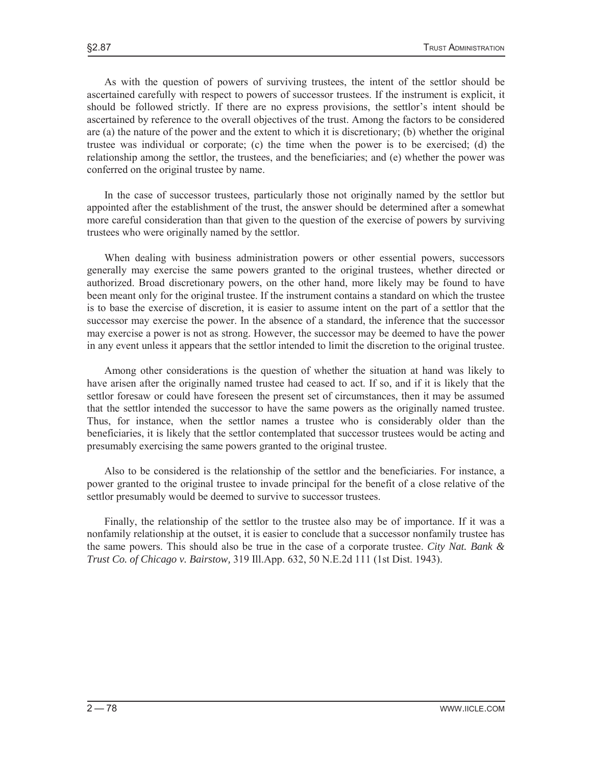As with the question of powers of surviving trustees, the intent of the settlor should be ascertained carefully with respect to powers of successor trustees. If the instrument is explicit, it should be followed strictly. If there are no express provisions, the settlor's intent should be ascertained by reference to the overall objectives of the trust. Among the factors to be considered are (a) the nature of the power and the extent to which it is discretionary; (b) whether the original trustee was individual or corporate; (c) the time when the power is to be exercised; (d) the

 In the case of successor trustees, particularly those not originally named by the settlor but appointed after the establishment of the trust, the answer should be determined after a somewhat more careful consideration than that given to the question of the exercise of powers by surviving trustees who were originally named by the settlor.

relationship among the settlor, the trustees, and the beneficiaries; and (e) whether the power was

 When dealing with business administration powers or other essential powers, successors generally may exercise the same powers granted to the original trustees, whether directed or authorized. Broad discretionary powers, on the other hand, more likely may be found to have been meant only for the original trustee. If the instrument contains a standard on which the trustee is to base the exercise of discretion, it is easier to assume intent on the part of a settlor that the successor may exercise the power. In the absence of a standard, the inference that the successor may exercise a power is not as strong. However, the successor may be deemed to have the power in any event unless it appears that the settlor intended to limit the discretion to the original trustee.

 Among other considerations is the question of whether the situation at hand was likely to have arisen after the originally named trustee had ceased to act. If so, and if it is likely that the settlor foresaw or could have foreseen the present set of circumstances, then it may be assumed that the settlor intended the successor to have the same powers as the originally named trustee. Thus, for instance, when the settlor names a trustee who is considerably older than the beneficiaries, it is likely that the settlor contemplated that successor trustees would be acting and presumably exercising the same powers granted to the original trustee.

 Also to be considered is the relationship of the settlor and the beneficiaries. For instance, a power granted to the original trustee to invade principal for the benefit of a close relative of the settlor presumably would be deemed to survive to successor trustees.

 Finally, the relationship of the settlor to the trustee also may be of importance. If it was a nonfamily relationship at the outset, it is easier to conclude that a successor nonfamily trustee has the same powers. This should also be true in the case of a corporate trustee. *City Nat. Bank & Trust Co. of Chicago v. Bairstow,* 319 Ill.App. 632, 50 N.E.2d 111 (1st Dist. 1943).

conferred on the original trustee by name.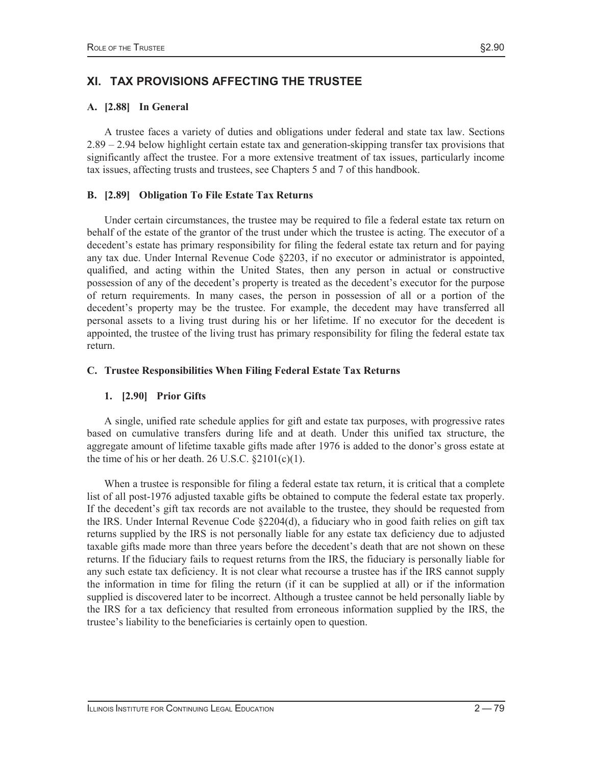## **A. [2.88] In General**

 A trustee faces a variety of duties and obligations under federal and state tax law. Sections 2.89 – 2.94 below highlight certain estate tax and generation-skipping transfer tax provisions that significantly affect the trustee. For a more extensive treatment of tax issues, particularly income tax issues, affecting trusts and trustees, see Chapters 5 and 7 of this handbook.

## **B. [2.89] Obligation To File Estate Tax Returns**

 Under certain circumstances, the trustee may be required to file a federal estate tax return on behalf of the estate of the grantor of the trust under which the trustee is acting. The executor of a decedent's estate has primary responsibility for filing the federal estate tax return and for paying any tax due. Under Internal Revenue Code §2203, if no executor or administrator is appointed, qualified, and acting within the United States, then any person in actual or constructive possession of any of the decedent's property is treated as the decedent's executor for the purpose of return requirements. In many cases, the person in possession of all or a portion of the decedent's property may be the trustee. For example, the decedent may have transferred all personal assets to a living trust during his or her lifetime. If no executor for the decedent is appointed, the trustee of the living trust has primary responsibility for filing the federal estate tax return.

## **C. Trustee Responsibilities When Filing Federal Estate Tax Returns**

# **1. [2.90] Prior Gifts**

 A single, unified rate schedule applies for gift and estate tax purposes, with progressive rates based on cumulative transfers during life and at death. Under this unified tax structure, the aggregate amount of lifetime taxable gifts made after 1976 is added to the donor's gross estate at the time of his or her death. 26 U.S.C.  $\S2101(c)(1)$ .

When a trustee is responsible for filing a federal estate tax return, it is critical that a complete list of all post-1976 adjusted taxable gifts be obtained to compute the federal estate tax properly. If the decedent's gift tax records are not available to the trustee, they should be requested from the IRS. Under Internal Revenue Code §2204(d), a fiduciary who in good faith relies on gift tax returns supplied by the IRS is not personally liable for any estate tax deficiency due to adjusted taxable gifts made more than three years before the decedent's death that are not shown on these returns. If the fiduciary fails to request returns from the IRS, the fiduciary is personally liable for any such estate tax deficiency. It is not clear what recourse a trustee has if the IRS cannot supply the information in time for filing the return (if it can be supplied at all) or if the information supplied is discovered later to be incorrect. Although a trustee cannot be held personally liable by the IRS for a tax deficiency that resulted from erroneous information supplied by the IRS, the trustee's liability to the beneficiaries is certainly open to question.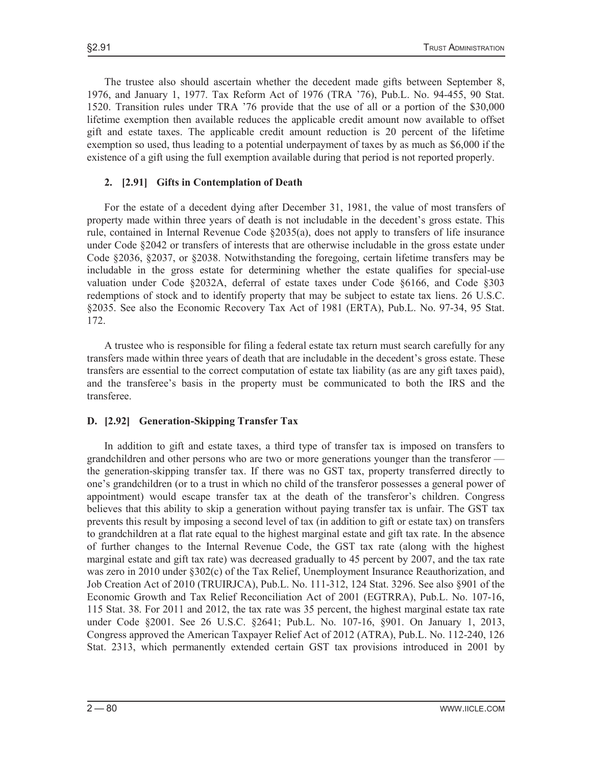The trustee also should ascertain whether the decedent made gifts between September 8, 1976, and January 1, 1977. Tax Reform Act of 1976 (TRA '76), Pub.L. No. 94-455, 90 Stat. 1520. Transition rules under TRA '76 provide that the use of all or a portion of the \$30,000 lifetime exemption then available reduces the applicable credit amount now available to offset gift and estate taxes. The applicable credit amount reduction is 20 percent of the lifetime exemption so used, thus leading to a potential underpayment of taxes by as much as \$6,000 if the existence of a gift using the full exemption available during that period is not reported properly.

#### **2. [2.91] Gifts in Contemplation of Death**

 For the estate of a decedent dying after December 31, 1981, the value of most transfers of property made within three years of death is not includable in the decedent's gross estate. This rule, contained in Internal Revenue Code §2035(a), does not apply to transfers of life insurance under Code §2042 or transfers of interests that are otherwise includable in the gross estate under Code §2036, §2037, or §2038. Notwithstanding the foregoing, certain lifetime transfers may be includable in the gross estate for determining whether the estate qualifies for special-use valuation under Code §2032A, deferral of estate taxes under Code §6166, and Code §303 redemptions of stock and to identify property that may be subject to estate tax liens. 26 U.S.C. §2035. See also the Economic Recovery Tax Act of 1981 (ERTA), Pub.L. No. 97-34, 95 Stat. 172.

 A trustee who is responsible for filing a federal estate tax return must search carefully for any transfers made within three years of death that are includable in the decedent's gross estate. These transfers are essential to the correct computation of estate tax liability (as are any gift taxes paid), and the transferee's basis in the property must be communicated to both the IRS and the transferee.

#### **D. [2.92] Generation-Skipping Transfer Tax**

 In addition to gift and estate taxes, a third type of transfer tax is imposed on transfers to grandchildren and other persons who are two or more generations younger than the transferor the generation-skipping transfer tax. If there was no GST tax, property transferred directly to one's grandchildren (or to a trust in which no child of the transferor possesses a general power of appointment) would escape transfer tax at the death of the transferor's children. Congress believes that this ability to skip a generation without paying transfer tax is unfair. The GST tax prevents this result by imposing a second level of tax (in addition to gift or estate tax) on transfers to grandchildren at a flat rate equal to the highest marginal estate and gift tax rate. In the absence of further changes to the Internal Revenue Code, the GST tax rate (along with the highest marginal estate and gift tax rate) was decreased gradually to 45 percent by 2007, and the tax rate was zero in 2010 under §302(c) of the Tax Relief, Unemployment Insurance Reauthorization, and Job Creation Act of 2010 (TRUIRJCA), Pub.L. No. 111-312, 124 Stat. 3296. See also §901 of the Economic Growth and Tax Relief Reconciliation Act of 2001 (EGTRRA), Pub.L. No. 107-16, 115 Stat. 38. For 2011 and 2012, the tax rate was 35 percent, the highest marginal estate tax rate under Code §2001. See 26 U.S.C. §2641; Pub.L. No. 107-16, §901. On January 1, 2013, Congress approved the American Taxpayer Relief Act of 2012 (ATRA), Pub.L. No. 112-240, 126 Stat. 2313, which permanently extended certain GST tax provisions introduced in 2001 by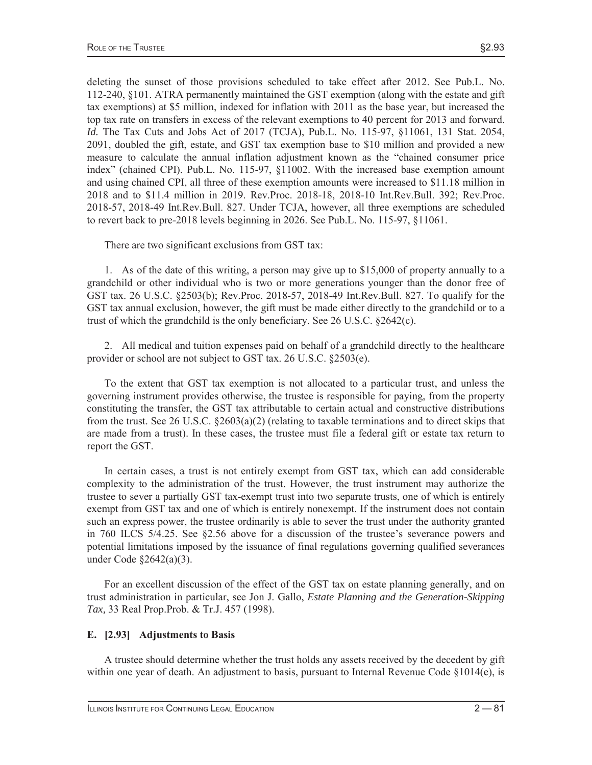deleting the sunset of those provisions scheduled to take effect after 2012. See Pub.L. No. 112-240, §101. ATRA permanently maintained the GST exemption (along with the estate and gift tax exemptions) at \$5 million, indexed for inflation with 2011 as the base year, but increased the top tax rate on transfers in excess of the relevant exemptions to 40 percent for 2013 and forward. *Id.* The Tax Cuts and Jobs Act of 2017 (TCJA), Pub.L. No. 115-97, §11061, 131 Stat. 2054, 2091, doubled the gift, estate, and GST tax exemption base to \$10 million and provided a new measure to calculate the annual inflation adjustment known as the "chained consumer price index" (chained CPI). Pub.L. No. 115-97, §11002. With the increased base exemption amount and using chained CPI, all three of these exemption amounts were increased to \$11.18 million in 2018 and to \$11.4 million in 2019. Rev.Proc. 2018-18, 2018-10 Int.Rev.Bull. 392; Rev.Proc. 2018-57, 2018-49 Int.Rev.Bull. 827. Under TCJA, however, all three exemptions are scheduled to revert back to pre-2018 levels beginning in 2026. See Pub.L. No. 115-97, §11061.

There are two significant exclusions from GST tax:

 1. As of the date of this writing, a person may give up to \$15,000 of property annually to a grandchild or other individual who is two or more generations younger than the donor free of GST tax. 26 U.S.C. §2503(b); Rev.Proc. 2018-57, 2018-49 Int.Rev.Bull. 827. To qualify for the GST tax annual exclusion, however, the gift must be made either directly to the grandchild or to a trust of which the grandchild is the only beneficiary. See 26 U.S.C. §2642(c).

 2. All medical and tuition expenses paid on behalf of a grandchild directly to the healthcare provider or school are not subject to GST tax. 26 U.S.C. §2503(e).

 To the extent that GST tax exemption is not allocated to a particular trust, and unless the governing instrument provides otherwise, the trustee is responsible for paying, from the property constituting the transfer, the GST tax attributable to certain actual and constructive distributions from the trust. See 26 U.S.C. §2603(a)(2) (relating to taxable terminations and to direct skips that are made from a trust). In these cases, the trustee must file a federal gift or estate tax return to report the GST.

 In certain cases, a trust is not entirely exempt from GST tax, which can add considerable complexity to the administration of the trust. However, the trust instrument may authorize the trustee to sever a partially GST tax-exempt trust into two separate trusts, one of which is entirely exempt from GST tax and one of which is entirely nonexempt. If the instrument does not contain such an express power, the trustee ordinarily is able to sever the trust under the authority granted in 760 ILCS 5/4.25. See §2.56 above for a discussion of the trustee's severance powers and potential limitations imposed by the issuance of final regulations governing qualified severances under Code §2642(a)(3).

 For an excellent discussion of the effect of the GST tax on estate planning generally, and on trust administration in particular, see Jon J. Gallo, *Estate Planning and the Generation-Skipping Tax,* 33 Real Prop.Prob. & Tr.J. 457 (1998).

# **E. [2.93] Adjustments to Basis**

 A trustee should determine whether the trust holds any assets received by the decedent by gift within one year of death. An adjustment to basis, pursuant to Internal Revenue Code §1014(e), is